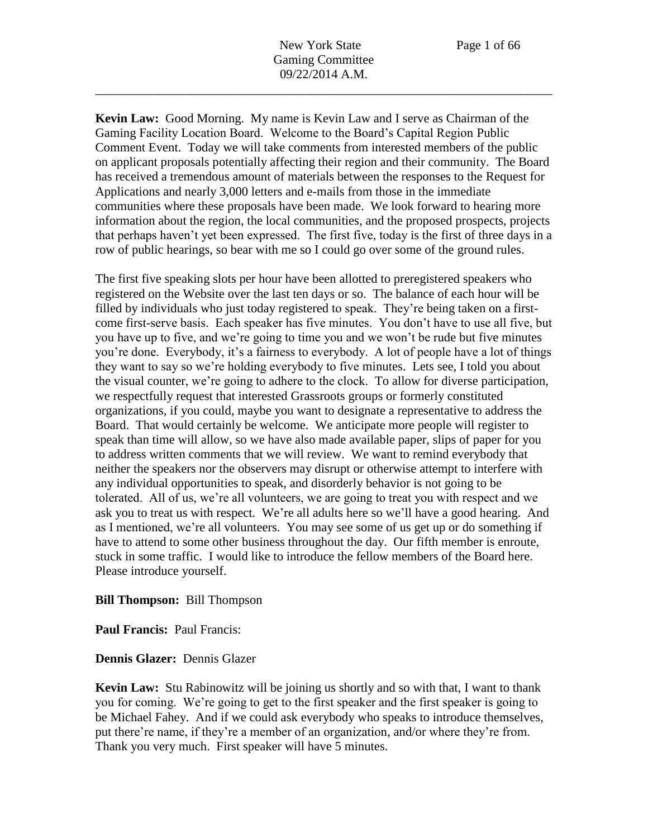**Kevin Law:** Good Morning. My name is Kevin Law and I serve as Chairman of the Gaming Facility Location Board. Welcome to the Board's Capital Region Public Comment Event. Today we will take comments from interested members of the public on applicant proposals potentially affecting their region and their community. The Board has received a tremendous amount of materials between the responses to the Request for Applications and nearly 3,000 letters and e-mails from those in the immediate communities where these proposals have been made. We look forward to hearing more information about the region, the local communities, and the proposed prospects, projects that perhaps haven't yet been expressed. The first five, today is the first of three days in a row of public hearings, so bear with me so I could go over some of the ground rules.

The first five speaking slots per hour have been allotted to preregistered speakers who registered on the Website over the last ten days or so. The balance of each hour will be filled by individuals who just today registered to speak. They're being taken on a firstcome first-serve basis. Each speaker has five minutes. You don't have to use all five, but you have up to five, and we're going to time you and we won't be rude but five minutes you're done. Everybody, it's a fairness to everybody. A lot of people have a lot of things they want to say so we're holding everybody to five minutes. Lets see, I told you about the visual counter, we're going to adhere to the clock. To allow for diverse participation, we respectfully request that interested Grassroots groups or formerly constituted organizations, if you could, maybe you want to designate a representative to address the Board. That would certainly be welcome. We anticipate more people will register to speak than time will allow, so we have also made available paper, slips of paper for you to address written comments that we will review. We want to remind everybody that neither the speakers nor the observers may disrupt or otherwise attempt to interfere with any individual opportunities to speak, and disorderly behavior is not going to be tolerated. All of us, we're all volunteers, we are going to treat you with respect and we ask you to treat us with respect. We're all adults here so we'll have a good hearing. And as I mentioned, we're all volunteers. You may see some of us get up or do something if have to attend to some other business throughout the day. Our fifth member is enroute, stuck in some traffic. I would like to introduce the fellow members of the Board here. Please introduce yourself.

### **Bill Thompson:** Bill Thompson

**Paul Francis:** Paul Francis:

**Dennis Glazer:** Dennis Glazer

**Kevin Law:** Stu Rabinowitz will be joining us shortly and so with that, I want to thank you for coming. We're going to get to the first speaker and the first speaker is going to be Michael Fahey. And if we could ask everybody who speaks to introduce themselves, put there're name, if they're a member of an organization, and/or where they're from. Thank you very much. First speaker will have 5 minutes.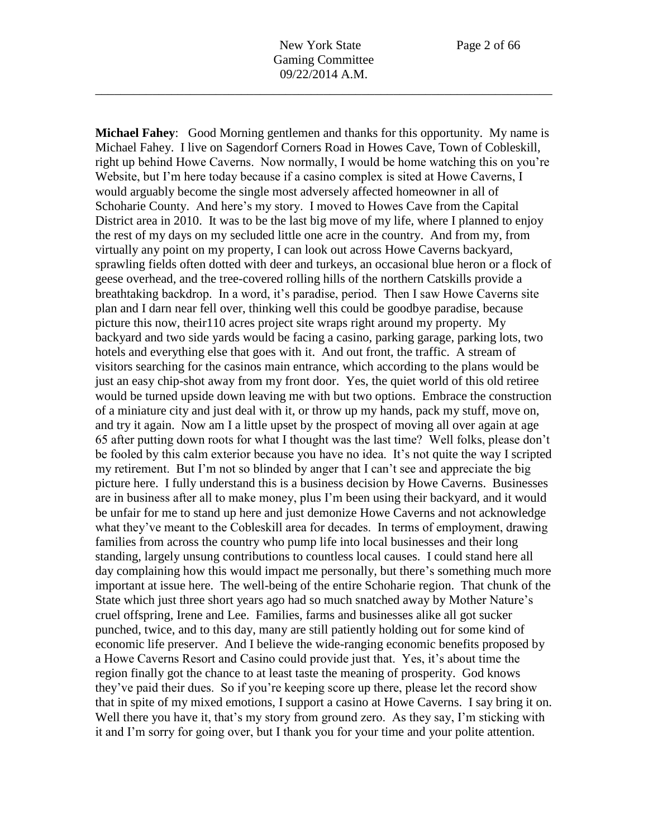**Michael Fahey**: Good Morning gentlemen and thanks for this opportunity. My name is Michael Fahey. I live on Sagendorf Corners Road in Howes Cave, Town of Cobleskill, right up behind Howe Caverns. Now normally, I would be home watching this on you're Website, but I'm here today because if a casino complex is sited at Howe Caverns, I would arguably become the single most adversely affected homeowner in all of Schoharie County. And here's my story. I moved to Howes Cave from the Capital District area in 2010. It was to be the last big move of my life, where I planned to enjoy the rest of my days on my secluded little one acre in the country. And from my, from virtually any point on my property, I can look out across Howe Caverns backyard, sprawling fields often dotted with deer and turkeys, an occasional blue heron or a flock of geese overhead, and the tree-covered rolling hills of the northern Catskills provide a breathtaking backdrop. In a word, it's paradise, period. Then I saw Howe Caverns site plan and I darn near fell over, thinking well this could be goodbye paradise, because picture this now, their110 acres project site wraps right around my property. My backyard and two side yards would be facing a casino, parking garage, parking lots, two hotels and everything else that goes with it. And out front, the traffic. A stream of visitors searching for the casinos main entrance, which according to the plans would be just an easy chip-shot away from my front door. Yes, the quiet world of this old retiree would be turned upside down leaving me with but two options. Embrace the construction of a miniature city and just deal with it, or throw up my hands, pack my stuff, move on, and try it again. Now am I a little upset by the prospect of moving all over again at age 65 after putting down roots for what I thought was the last time? Well folks, please don't be fooled by this calm exterior because you have no idea. It's not quite the way I scripted my retirement. But I'm not so blinded by anger that I can't see and appreciate the big picture here. I fully understand this is a business decision by Howe Caverns. Businesses are in business after all to make money, plus I'm been using their backyard, and it would be unfair for me to stand up here and just demonize Howe Caverns and not acknowledge what they've meant to the Cobleskill area for decades. In terms of employment, drawing families from across the country who pump life into local businesses and their long standing, largely unsung contributions to countless local causes. I could stand here all day complaining how this would impact me personally, but there's something much more important at issue here. The well-being of the entire Schoharie region. That chunk of the State which just three short years ago had so much snatched away by Mother Nature's cruel offspring, Irene and Lee. Families, farms and businesses alike all got sucker punched, twice, and to this day, many are still patiently holding out for some kind of economic life preserver. And I believe the wide-ranging economic benefits proposed by a Howe Caverns Resort and Casino could provide just that. Yes, it's about time the region finally got the chance to at least taste the meaning of prosperity. God knows they've paid their dues. So if you're keeping score up there, please let the record show that in spite of my mixed emotions, I support a casino at Howe Caverns. I say bring it on. Well there you have it, that's my story from ground zero. As they say, I'm sticking with it and I'm sorry for going over, but I thank you for your time and your polite attention.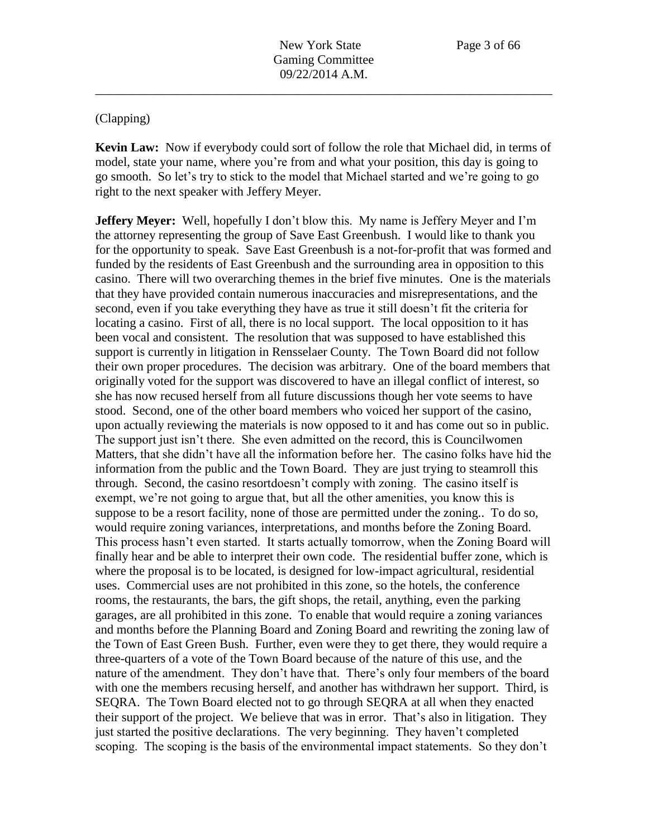## (Clapping)

**Kevin Law:** Now if everybody could sort of follow the role that Michael did, in terms of model, state your name, where you're from and what your position, this day is going to go smooth. So let's try to stick to the model that Michael started and we're going to go right to the next speaker with Jeffery Meyer.

**Jeffery Meyer:** Well, hopefully I don't blow this. My name is Jeffery Meyer and I'm the attorney representing the group of Save East Greenbush. I would like to thank you for the opportunity to speak. Save East Greenbush is a not-for-profit that was formed and funded by the residents of East Greenbush and the surrounding area in opposition to this casino. There will two overarching themes in the brief five minutes. One is the materials that they have provided contain numerous inaccuracies and misrepresentations, and the second, even if you take everything they have as true it still doesn't fit the criteria for locating a casino. First of all, there is no local support. The local opposition to it has been vocal and consistent. The resolution that was supposed to have established this support is currently in litigation in Rensselaer County. The Town Board did not follow their own proper procedures. The decision was arbitrary. One of the board members that originally voted for the support was discovered to have an illegal conflict of interest, so she has now recused herself from all future discussions though her vote seems to have stood. Second, one of the other board members who voiced her support of the casino, upon actually reviewing the materials is now opposed to it and has come out so in public. The support just isn't there. She even admitted on the record, this is Councilwomen Matters, that she didn't have all the information before her. The casino folks have hid the information from the public and the Town Board. They are just trying to steamroll this through. Second, the casino resortdoesn't comply with zoning. The casino itself is exempt, we're not going to argue that, but all the other amenities, you know this is suppose to be a resort facility, none of those are permitted under the zoning.. To do so, would require zoning variances, interpretations, and months before the Zoning Board. This process hasn't even started. It starts actually tomorrow, when the Zoning Board will finally hear and be able to interpret their own code. The residential buffer zone, which is where the proposal is to be located, is designed for low-impact agricultural, residential uses. Commercial uses are not prohibited in this zone, so the hotels, the conference rooms, the restaurants, the bars, the gift shops, the retail, anything, even the parking garages, are all prohibited in this zone. To enable that would require a zoning variances and months before the Planning Board and Zoning Board and rewriting the zoning law of the Town of East Green Bush. Further, even were they to get there, they would require a three-quarters of a vote of the Town Board because of the nature of this use, and the nature of the amendment. They don't have that. There's only four members of the board with one the members recusing herself, and another has withdrawn her support. Third, is SEQRA. The Town Board elected not to go through SEQRA at all when they enacted their support of the project. We believe that was in error. That's also in litigation. They just started the positive declarations. The very beginning. They haven't completed scoping. The scoping is the basis of the environmental impact statements. So they don't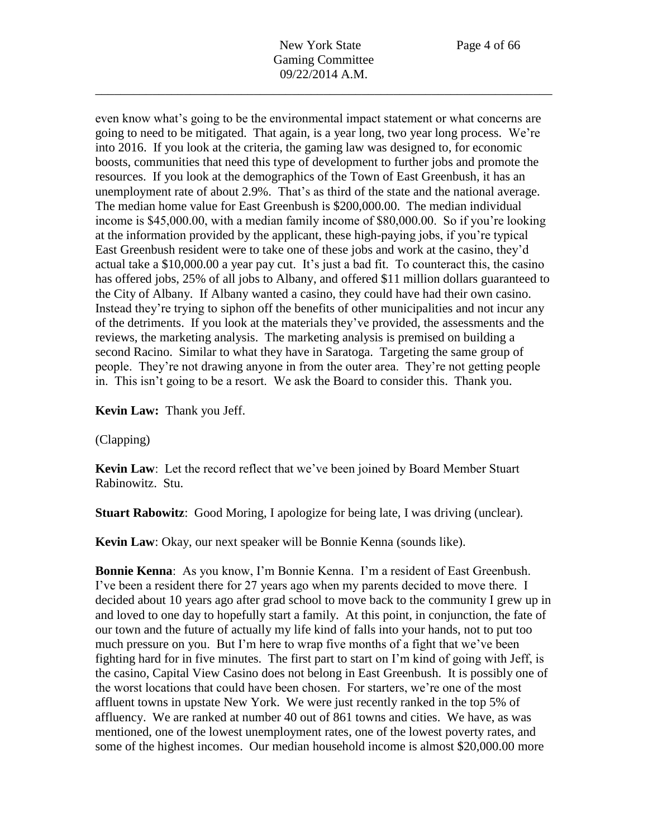even know what's going to be the environmental impact statement or what concerns are going to need to be mitigated. That again, is a year long, two year long process. We're into 2016. If you look at the criteria, the gaming law was designed to, for economic boosts, communities that need this type of development to further jobs and promote the resources. If you look at the demographics of the Town of East Greenbush, it has an unemployment rate of about 2.9%. That's as third of the state and the national average. The median home value for East Greenbush is \$200,000.00. The median individual income is \$45,000.00, with a median family income of \$80,000.00. So if you're looking at the information provided by the applicant, these high-paying jobs, if you're typical East Greenbush resident were to take one of these jobs and work at the casino, they'd actual take a \$10,000.00 a year pay cut. It's just a bad fit. To counteract this, the casino has offered jobs, 25% of all jobs to Albany, and offered \$11 million dollars guaranteed to the City of Albany. If Albany wanted a casino, they could have had their own casino. Instead they're trying to siphon off the benefits of other municipalities and not incur any of the detriments. If you look at the materials they've provided, the assessments and the reviews, the marketing analysis. The marketing analysis is premised on building a second Racino. Similar to what they have in Saratoga. Targeting the same group of people. They're not drawing anyone in from the outer area. They're not getting people in. This isn't going to be a resort. We ask the Board to consider this. Thank you.

**Kevin Law:** Thank you Jeff.

(Clapping)

**Kevin Law**: Let the record reflect that we've been joined by Board Member Stuart Rabinowitz. Stu.

**Stuart Rabowitz**: Good Moring, I apologize for being late, I was driving (unclear).

**Kevin Law**: Okay, our next speaker will be Bonnie Kenna (sounds like).

**Bonnie Kenna**: As you know, I'm Bonnie Kenna. I'm a resident of East Greenbush. I've been a resident there for 27 years ago when my parents decided to move there. I decided about 10 years ago after grad school to move back to the community I grew up in and loved to one day to hopefully start a family. At this point, in conjunction, the fate of our town and the future of actually my life kind of falls into your hands, not to put too much pressure on you. But I'm here to wrap five months of a fight that we've been fighting hard for in five minutes. The first part to start on I'm kind of going with Jeff, is the casino, Capital View Casino does not belong in East Greenbush. It is possibly one of the worst locations that could have been chosen. For starters, we're one of the most affluent towns in upstate New York. We were just recently ranked in the top 5% of affluency. We are ranked at number 40 out of 861 towns and cities. We have, as was mentioned, one of the lowest unemployment rates, one of the lowest poverty rates, and some of the highest incomes. Our median household income is almost \$20,000.00 more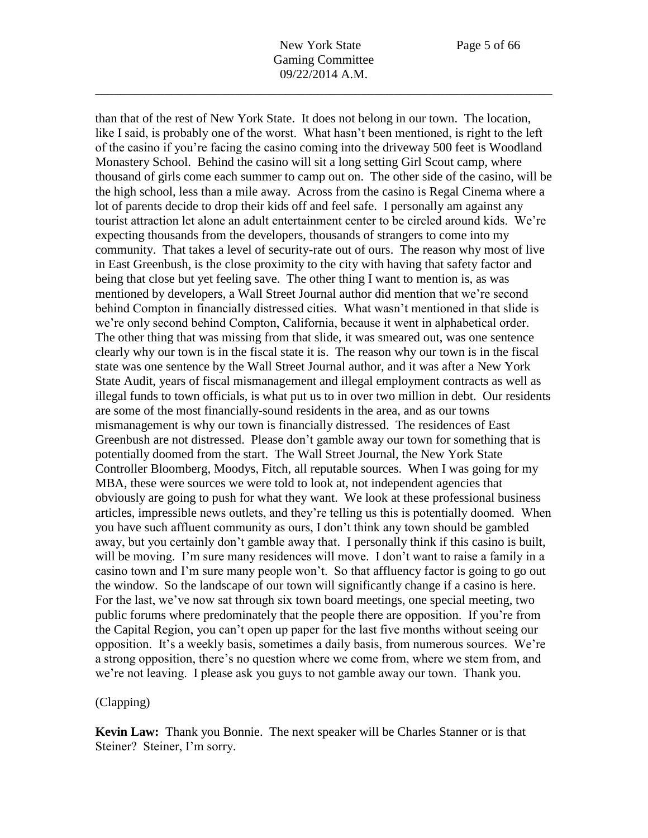than that of the rest of New York State. It does not belong in our town. The location, like I said, is probably one of the worst. What hasn't been mentioned, is right to the left of the casino if you're facing the casino coming into the driveway 500 feet is Woodland Monastery School. Behind the casino will sit a long setting Girl Scout camp, where thousand of girls come each summer to camp out on. The other side of the casino, will be the high school, less than a mile away. Across from the casino is Regal Cinema where a lot of parents decide to drop their kids off and feel safe. I personally am against any tourist attraction let alone an adult entertainment center to be circled around kids. We're expecting thousands from the developers, thousands of strangers to come into my community. That takes a level of security-rate out of ours. The reason why most of live in East Greenbush, is the close proximity to the city with having that safety factor and being that close but yet feeling save. The other thing I want to mention is, as was mentioned by developers, a Wall Street Journal author did mention that we're second behind Compton in financially distressed cities. What wasn't mentioned in that slide is we're only second behind Compton, California, because it went in alphabetical order. The other thing that was missing from that slide, it was smeared out, was one sentence clearly why our town is in the fiscal state it is. The reason why our town is in the fiscal state was one sentence by the Wall Street Journal author, and it was after a New York State Audit, years of fiscal mismanagement and illegal employment contracts as well as illegal funds to town officials, is what put us to in over two million in debt. Our residents are some of the most financially-sound residents in the area, and as our towns mismanagement is why our town is financially distressed. The residences of East Greenbush are not distressed. Please don't gamble away our town for something that is potentially doomed from the start. The Wall Street Journal, the New York State Controller Bloomberg, Moodys, Fitch, all reputable sources. When I was going for my MBA, these were sources we were told to look at, not independent agencies that obviously are going to push for what they want. We look at these professional business articles, impressible news outlets, and they're telling us this is potentially doomed. When you have such affluent community as ours, I don't think any town should be gambled away, but you certainly don't gamble away that. I personally think if this casino is built, will be moving. I'm sure many residences will move. I don't want to raise a family in a casino town and I'm sure many people won't. So that affluency factor is going to go out the window. So the landscape of our town will significantly change if a casino is here. For the last, we've now sat through six town board meetings, one special meeting, two public forums where predominately that the people there are opposition. If you're from the Capital Region, you can't open up paper for the last five months without seeing our opposition. It's a weekly basis, sometimes a daily basis, from numerous sources. We're a strong opposition, there's no question where we come from, where we stem from, and we're not leaving. I please ask you guys to not gamble away our town. Thank you.

#### (Clapping)

**Kevin Law:** Thank you Bonnie. The next speaker will be Charles Stanner or is that Steiner? Steiner, I'm sorry.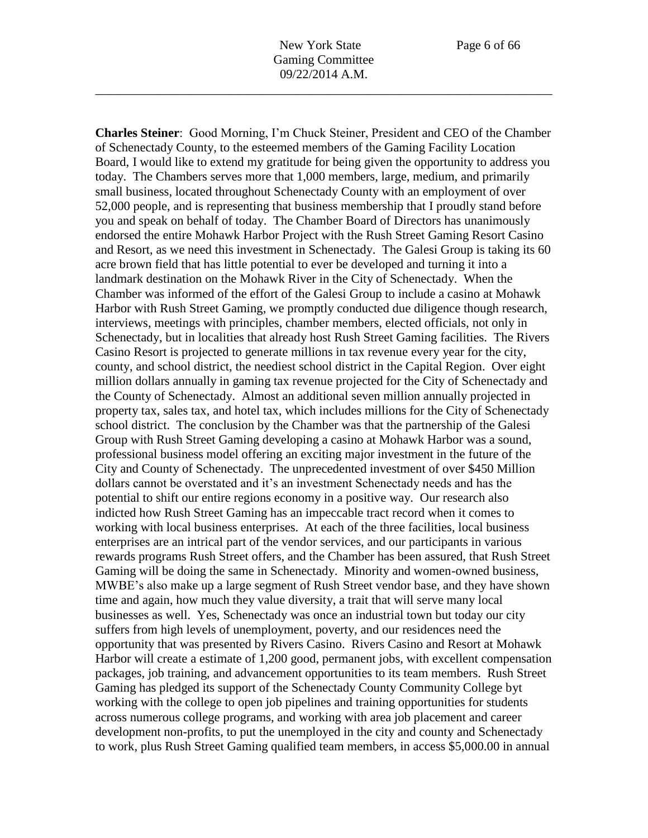**Charles Steiner**: Good Morning, I'm Chuck Steiner, President and CEO of the Chamber of Schenectady County, to the esteemed members of the Gaming Facility Location Board, I would like to extend my gratitude for being given the opportunity to address you today. The Chambers serves more that 1,000 members, large, medium, and primarily small business, located throughout Schenectady County with an employment of over 52,000 people, and is representing that business membership that I proudly stand before you and speak on behalf of today. The Chamber Board of Directors has unanimously endorsed the entire Mohawk Harbor Project with the Rush Street Gaming Resort Casino and Resort, as we need this investment in Schenectady. The Galesi Group is taking its 60 acre brown field that has little potential to ever be developed and turning it into a landmark destination on the Mohawk River in the City of Schenectady. When the Chamber was informed of the effort of the Galesi Group to include a casino at Mohawk Harbor with Rush Street Gaming, we promptly conducted due diligence though research, interviews, meetings with principles, chamber members, elected officials, not only in Schenectady, but in localities that already host Rush Street Gaming facilities. The Rivers Casino Resort is projected to generate millions in tax revenue every year for the city, county, and school district, the neediest school district in the Capital Region. Over eight million dollars annually in gaming tax revenue projected for the City of Schenectady and the County of Schenectady. Almost an additional seven million annually projected in property tax, sales tax, and hotel tax, which includes millions for the City of Schenectady school district. The conclusion by the Chamber was that the partnership of the Galesi Group with Rush Street Gaming developing a casino at Mohawk Harbor was a sound, professional business model offering an exciting major investment in the future of the City and County of Schenectady. The unprecedented investment of over \$450 Million dollars cannot be overstated and it's an investment Schenectady needs and has the potential to shift our entire regions economy in a positive way. Our research also indicted how Rush Street Gaming has an impeccable tract record when it comes to working with local business enterprises. At each of the three facilities, local business enterprises are an intrical part of the vendor services, and our participants in various rewards programs Rush Street offers, and the Chamber has been assured, that Rush Street Gaming will be doing the same in Schenectady. Minority and women-owned business, MWBE's also make up a large segment of Rush Street vendor base, and they have shown time and again, how much they value diversity, a trait that will serve many local businesses as well. Yes, Schenectady was once an industrial town but today our city suffers from high levels of unemployment, poverty, and our residences need the opportunity that was presented by Rivers Casino. Rivers Casino and Resort at Mohawk Harbor will create a estimate of 1,200 good, permanent jobs, with excellent compensation packages, job training, and advancement opportunities to its team members. Rush Street Gaming has pledged its support of the Schenectady County Community College byt working with the college to open job pipelines and training opportunities for students across numerous college programs, and working with area job placement and career development non-profits, to put the unemployed in the city and county and Schenectady to work, plus Rush Street Gaming qualified team members, in access \$5,000.00 in annual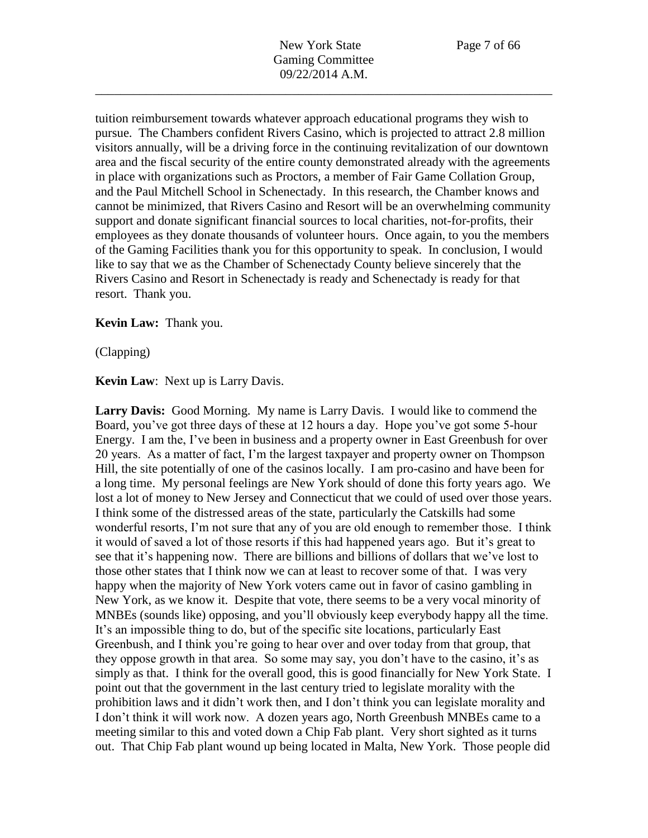tuition reimbursement towards whatever approach educational programs they wish to pursue. The Chambers confident Rivers Casino, which is projected to attract 2.8 million visitors annually, will be a driving force in the continuing revitalization of our downtown area and the fiscal security of the entire county demonstrated already with the agreements in place with organizations such as Proctors, a member of Fair Game Collation Group, and the Paul Mitchell School in Schenectady. In this research, the Chamber knows and cannot be minimized, that Rivers Casino and Resort will be an overwhelming community support and donate significant financial sources to local charities, not-for-profits, their employees as they donate thousands of volunteer hours. Once again, to you the members of the Gaming Facilities thank you for this opportunity to speak. In conclusion, I would like to say that we as the Chamber of Schenectady County believe sincerely that the Rivers Casino and Resort in Schenectady is ready and Schenectady is ready for that resort. Thank you.

### **Kevin Law:** Thank you.

(Clapping)

**Kevin Law**: Next up is Larry Davis.

**Larry Davis:** Good Morning. My name is Larry Davis. I would like to commend the Board, you've got three days of these at 12 hours a day. Hope you've got some 5-hour Energy. I am the, I've been in business and a property owner in East Greenbush for over 20 years. As a matter of fact, I'm the largest taxpayer and property owner on Thompson Hill, the site potentially of one of the casinos locally. I am pro-casino and have been for a long time. My personal feelings are New York should of done this forty years ago. We lost a lot of money to New Jersey and Connecticut that we could of used over those years. I think some of the distressed areas of the state, particularly the Catskills had some wonderful resorts, I'm not sure that any of you are old enough to remember those. I think it would of saved a lot of those resorts if this had happened years ago. But it's great to see that it's happening now. There are billions and billions of dollars that we've lost to those other states that I think now we can at least to recover some of that. I was very happy when the majority of New York voters came out in favor of casino gambling in New York, as we know it. Despite that vote, there seems to be a very vocal minority of MNBEs (sounds like) opposing, and you'll obviously keep everybody happy all the time. It's an impossible thing to do, but of the specific site locations, particularly East Greenbush, and I think you're going to hear over and over today from that group, that they oppose growth in that area. So some may say, you don't have to the casino, it's as simply as that. I think for the overall good, this is good financially for New York State. I point out that the government in the last century tried to legislate morality with the prohibition laws and it didn't work then, and I don't think you can legislate morality and I don't think it will work now. A dozen years ago, North Greenbush MNBEs came to a meeting similar to this and voted down a Chip Fab plant. Very short sighted as it turns out. That Chip Fab plant wound up being located in Malta, New York. Those people did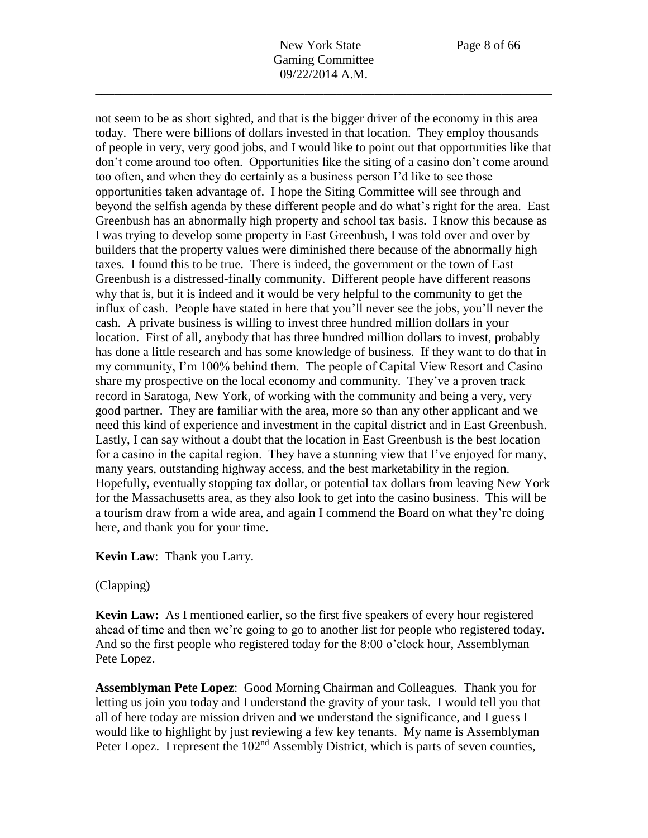not seem to be as short sighted, and that is the bigger driver of the economy in this area today. There were billions of dollars invested in that location. They employ thousands of people in very, very good jobs, and I would like to point out that opportunities like that don't come around too often. Opportunities like the siting of a casino don't come around too often, and when they do certainly as a business person I'd like to see those opportunities taken advantage of. I hope the Siting Committee will see through and beyond the selfish agenda by these different people and do what's right for the area. East Greenbush has an abnormally high property and school tax basis. I know this because as I was trying to develop some property in East Greenbush, I was told over and over by builders that the property values were diminished there because of the abnormally high taxes. I found this to be true. There is indeed, the government or the town of East Greenbush is a distressed-finally community. Different people have different reasons why that is, but it is indeed and it would be very helpful to the community to get the influx of cash. People have stated in here that you'll never see the jobs, you'll never the cash. A private business is willing to invest three hundred million dollars in your location. First of all, anybody that has three hundred million dollars to invest, probably has done a little research and has some knowledge of business. If they want to do that in my community, I'm 100% behind them. The people of Capital View Resort and Casino share my prospective on the local economy and community. They've a proven track record in Saratoga, New York, of working with the community and being a very, very good partner. They are familiar with the area, more so than any other applicant and we need this kind of experience and investment in the capital district and in East Greenbush. Lastly, I can say without a doubt that the location in East Greenbush is the best location for a casino in the capital region. They have a stunning view that I've enjoyed for many, many years, outstanding highway access, and the best marketability in the region. Hopefully, eventually stopping tax dollar, or potential tax dollars from leaving New York for the Massachusetts area, as they also look to get into the casino business. This will be a tourism draw from a wide area, and again I commend the Board on what they're doing here, and thank you for your time.

\_\_\_\_\_\_\_\_\_\_\_\_\_\_\_\_\_\_\_\_\_\_\_\_\_\_\_\_\_\_\_\_\_\_\_\_\_\_\_\_\_\_\_\_\_\_\_\_\_\_\_\_\_\_\_\_\_\_\_\_\_\_\_\_\_\_\_\_\_\_\_\_

### **Kevin Law**: Thank you Larry.

### (Clapping)

**Kevin Law:** As I mentioned earlier, so the first five speakers of every hour registered ahead of time and then we're going to go to another list for people who registered today. And so the first people who registered today for the 8:00 o'clock hour, Assemblyman Pete Lopez.

**Assemblyman Pete Lopez**: Good Morning Chairman and Colleagues. Thank you for letting us join you today and I understand the gravity of your task. I would tell you that all of here today are mission driven and we understand the significance, and I guess I would like to highlight by just reviewing a few key tenants. My name is Assemblyman Peter Lopez. I represent the 102<sup>nd</sup> Assembly District, which is parts of seven counties,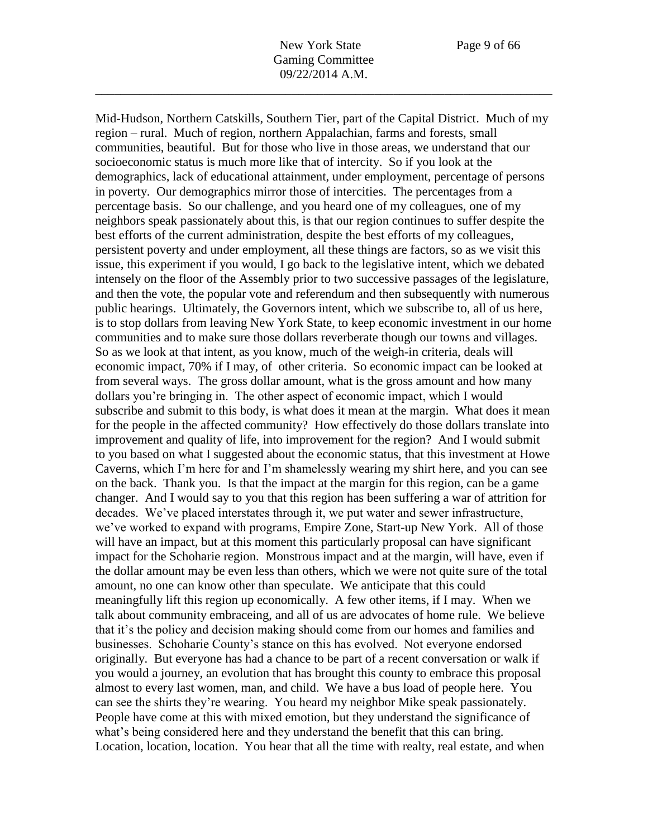Mid-Hudson, Northern Catskills, Southern Tier, part of the Capital District. Much of my region – rural. Much of region, northern Appalachian, farms and forests, small communities, beautiful. But for those who live in those areas, we understand that our socioeconomic status is much more like that of intercity. So if you look at the demographics, lack of educational attainment, under employment, percentage of persons in poverty. Our demographics mirror those of intercities. The percentages from a percentage basis. So our challenge, and you heard one of my colleagues, one of my neighbors speak passionately about this, is that our region continues to suffer despite the best efforts of the current administration, despite the best efforts of my colleagues, persistent poverty and under employment, all these things are factors, so as we visit this issue, this experiment if you would, I go back to the legislative intent, which we debated intensely on the floor of the Assembly prior to two successive passages of the legislature, and then the vote, the popular vote and referendum and then subsequently with numerous public hearings. Ultimately, the Governors intent, which we subscribe to, all of us here, is to stop dollars from leaving New York State, to keep economic investment in our home communities and to make sure those dollars reverberate though our towns and villages. So as we look at that intent, as you know, much of the weigh-in criteria, deals will economic impact, 70% if I may, of other criteria. So economic impact can be looked at from several ways. The gross dollar amount, what is the gross amount and how many dollars you're bringing in. The other aspect of economic impact, which I would subscribe and submit to this body, is what does it mean at the margin. What does it mean for the people in the affected community? How effectively do those dollars translate into improvement and quality of life, into improvement for the region? And I would submit to you based on what I suggested about the economic status, that this investment at Howe Caverns, which I'm here for and I'm shamelessly wearing my shirt here, and you can see on the back. Thank you. Is that the impact at the margin for this region, can be a game changer. And I would say to you that this region has been suffering a war of attrition for decades. We've placed interstates through it, we put water and sewer infrastructure, we've worked to expand with programs, Empire Zone, Start-up New York. All of those will have an impact, but at this moment this particularly proposal can have significant impact for the Schoharie region. Monstrous impact and at the margin, will have, even if the dollar amount may be even less than others, which we were not quite sure of the total amount, no one can know other than speculate. We anticipate that this could meaningfully lift this region up economically. A few other items, if I may. When we talk about community embraceing, and all of us are advocates of home rule. We believe that it's the policy and decision making should come from our homes and families and businesses. Schoharie County's stance on this has evolved. Not everyone endorsed originally. But everyone has had a chance to be part of a recent conversation or walk if you would a journey, an evolution that has brought this county to embrace this proposal almost to every last women, man, and child. We have a bus load of people here. You can see the shirts they're wearing. You heard my neighbor Mike speak passionately. People have come at this with mixed emotion, but they understand the significance of what's being considered here and they understand the benefit that this can bring. Location, location, location. You hear that all the time with realty, real estate, and when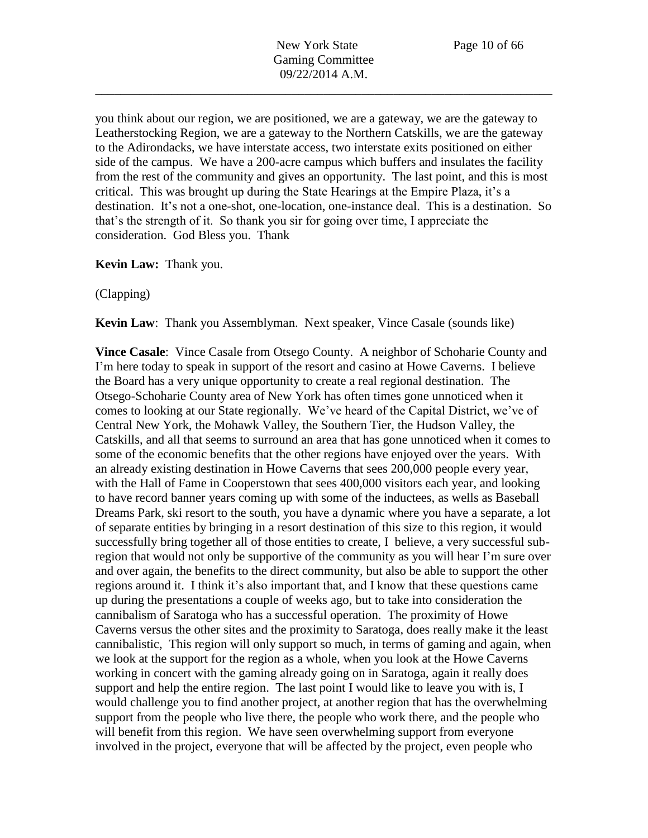you think about our region, we are positioned, we are a gateway, we are the gateway to Leatherstocking Region, we are a gateway to the Northern Catskills, we are the gateway to the Adirondacks, we have interstate access, two interstate exits positioned on either side of the campus. We have a 200-acre campus which buffers and insulates the facility from the rest of the community and gives an opportunity. The last point, and this is most critical. This was brought up during the State Hearings at the Empire Plaza, it's a destination. It's not a one-shot, one-location, one-instance deal. This is a destination. So that's the strength of it. So thank you sir for going over time, I appreciate the consideration. God Bless you. Thank

### **Kevin Law:** Thank you.

## (Clapping)

**Kevin Law**: Thank you Assemblyman. Next speaker, Vince Casale (sounds like)

**Vince Casale**: Vince Casale from Otsego County. A neighbor of Schoharie County and I'm here today to speak in support of the resort and casino at Howe Caverns. I believe the Board has a very unique opportunity to create a real regional destination. The Otsego-Schoharie County area of New York has often times gone unnoticed when it comes to looking at our State regionally. We've heard of the Capital District, we've of Central New York, the Mohawk Valley, the Southern Tier, the Hudson Valley, the Catskills, and all that seems to surround an area that has gone unnoticed when it comes to some of the economic benefits that the other regions have enjoyed over the years. With an already existing destination in Howe Caverns that sees 200,000 people every year, with the Hall of Fame in Cooperstown that sees 400,000 visitors each year, and looking to have record banner years coming up with some of the inductees, as wells as Baseball Dreams Park, ski resort to the south, you have a dynamic where you have a separate, a lot of separate entities by bringing in a resort destination of this size to this region, it would successfully bring together all of those entities to create, I believe, a very successful subregion that would not only be supportive of the community as you will hear I'm sure over and over again, the benefits to the direct community, but also be able to support the other regions around it. I think it's also important that, and I know that these questions came up during the presentations a couple of weeks ago, but to take into consideration the cannibalism of Saratoga who has a successful operation. The proximity of Howe Caverns versus the other sites and the proximity to Saratoga, does really make it the least cannibalistic, This region will only support so much, in terms of gaming and again, when we look at the support for the region as a whole, when you look at the Howe Caverns working in concert with the gaming already going on in Saratoga, again it really does support and help the entire region. The last point I would like to leave you with is, I would challenge you to find another project, at another region that has the overwhelming support from the people who live there, the people who work there, and the people who will benefit from this region. We have seen overwhelming support from everyone involved in the project, everyone that will be affected by the project, even people who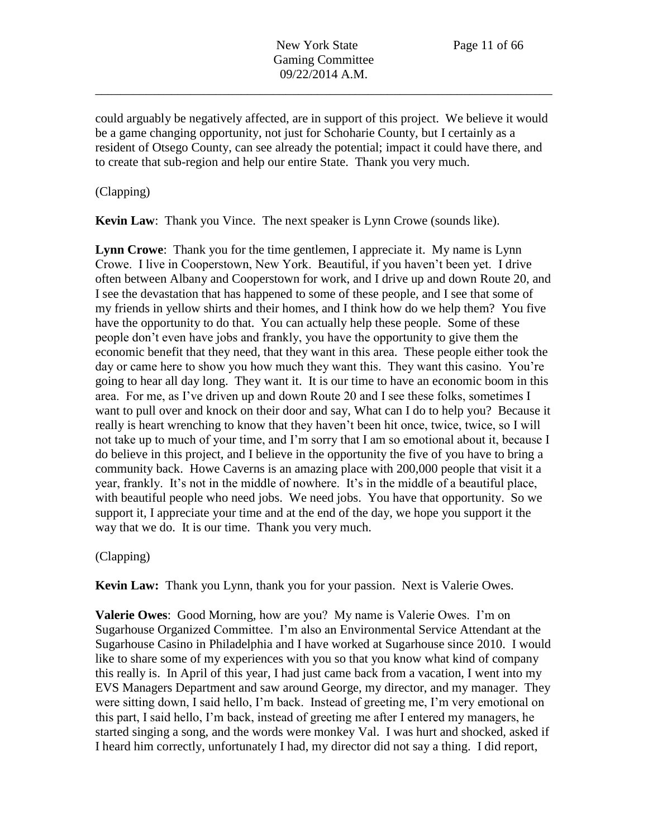could arguably be negatively affected, are in support of this project. We believe it would be a game changing opportunity, not just for Schoharie County, but I certainly as a resident of Otsego County, can see already the potential; impact it could have there, and to create that sub-region and help our entire State. Thank you very much.

# (Clapping)

**Kevin Law**: Thank you Vince. The next speaker is Lynn Crowe (sounds like).

**Lynn Crowe**: Thank you for the time gentlemen, I appreciate it. My name is Lynn Crowe. I live in Cooperstown, New York. Beautiful, if you haven't been yet. I drive often between Albany and Cooperstown for work, and I drive up and down Route 20, and I see the devastation that has happened to some of these people, and I see that some of my friends in yellow shirts and their homes, and I think how do we help them? You five have the opportunity to do that. You can actually help these people. Some of these people don't even have jobs and frankly, you have the opportunity to give them the economic benefit that they need, that they want in this area. These people either took the day or came here to show you how much they want this. They want this casino. You're going to hear all day long. They want it. It is our time to have an economic boom in this area. For me, as I've driven up and down Route 20 and I see these folks, sometimes I want to pull over and knock on their door and say, What can I do to help you? Because it really is heart wrenching to know that they haven't been hit once, twice, twice, so I will not take up to much of your time, and I'm sorry that I am so emotional about it, because I do believe in this project, and I believe in the opportunity the five of you have to bring a community back. Howe Caverns is an amazing place with 200,000 people that visit it a year, frankly. It's not in the middle of nowhere. It's in the middle of a beautiful place, with beautiful people who need jobs. We need jobs. You have that opportunity. So we support it, I appreciate your time and at the end of the day, we hope you support it the way that we do. It is our time. Thank you very much.

# (Clapping)

**Kevin Law:** Thank you Lynn, thank you for your passion. Next is Valerie Owes.

**Valerie Owes**: Good Morning, how are you? My name is Valerie Owes. I'm on Sugarhouse Organized Committee. I'm also an Environmental Service Attendant at the Sugarhouse Casino in Philadelphia and I have worked at Sugarhouse since 2010. I would like to share some of my experiences with you so that you know what kind of company this really is. In April of this year, I had just came back from a vacation, I went into my EVS Managers Department and saw around George, my director, and my manager. They were sitting down, I said hello, I'm back. Instead of greeting me, I'm very emotional on this part, I said hello, I'm back, instead of greeting me after I entered my managers, he started singing a song, and the words were monkey Val. I was hurt and shocked, asked if I heard him correctly, unfortunately I had, my director did not say a thing. I did report,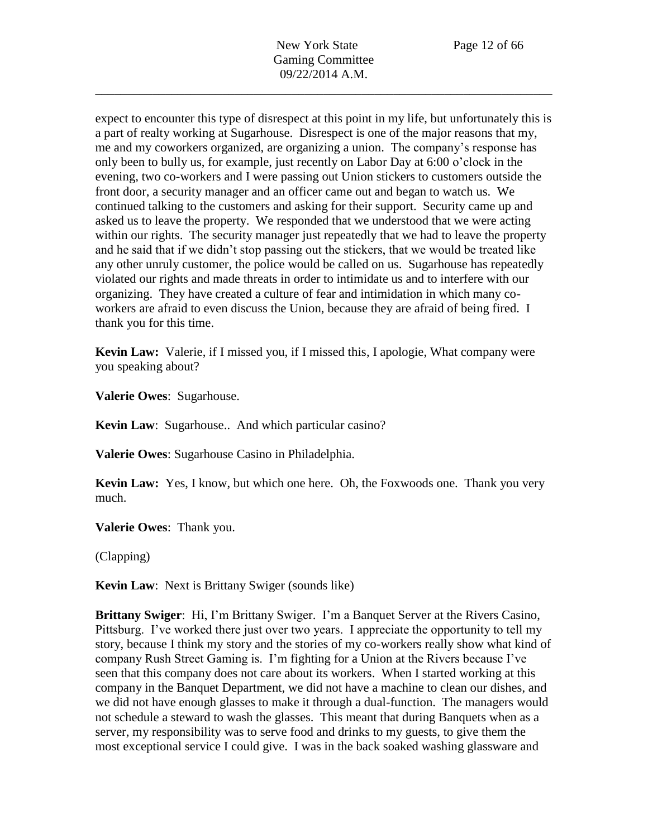New York State Page 12 of 66 Gaming Committee 09/22/2014 A.M.

\_\_\_\_\_\_\_\_\_\_\_\_\_\_\_\_\_\_\_\_\_\_\_\_\_\_\_\_\_\_\_\_\_\_\_\_\_\_\_\_\_\_\_\_\_\_\_\_\_\_\_\_\_\_\_\_\_\_\_\_\_\_\_\_\_\_\_\_\_\_\_\_

expect to encounter this type of disrespect at this point in my life, but unfortunately this is a part of realty working at Sugarhouse. Disrespect is one of the major reasons that my, me and my coworkers organized, are organizing a union. The company's response has only been to bully us, for example, just recently on Labor Day at 6:00 o'clock in the evening, two co-workers and I were passing out Union stickers to customers outside the front door, a security manager and an officer came out and began to watch us. We continued talking to the customers and asking for their support. Security came up and asked us to leave the property. We responded that we understood that we were acting within our rights. The security manager just repeatedly that we had to leave the property and he said that if we didn't stop passing out the stickers, that we would be treated like any other unruly customer, the police would be called on us. Sugarhouse has repeatedly violated our rights and made threats in order to intimidate us and to interfere with our organizing. They have created a culture of fear and intimidation in which many coworkers are afraid to even discuss the Union, because they are afraid of being fired. I thank you for this time.

**Kevin Law:** Valerie, if I missed you, if I missed this, I apologie, What company were you speaking about?

**Valerie Owes**: Sugarhouse.

**Kevin Law**: Sugarhouse.. And which particular casino?

**Valerie Owes**: Sugarhouse Casino in Philadelphia.

**Kevin Law:** Yes, I know, but which one here. Oh, the Foxwoods one. Thank you very much.

**Valerie Owes**: Thank you.

(Clapping)

**Kevin Law:** Next is Brittany Swiger (sounds like)

**Brittany Swiger**: Hi, I'm Brittany Swiger. I'm a Banquet Server at the Rivers Casino, Pittsburg. I've worked there just over two years. I appreciate the opportunity to tell my story, because I think my story and the stories of my co-workers really show what kind of company Rush Street Gaming is. I'm fighting for a Union at the Rivers because I've seen that this company does not care about its workers. When I started working at this company in the Banquet Department, we did not have a machine to clean our dishes, and we did not have enough glasses to make it through a dual-function. The managers would not schedule a steward to wash the glasses. This meant that during Banquets when as a server, my responsibility was to serve food and drinks to my guests, to give them the most exceptional service I could give. I was in the back soaked washing glassware and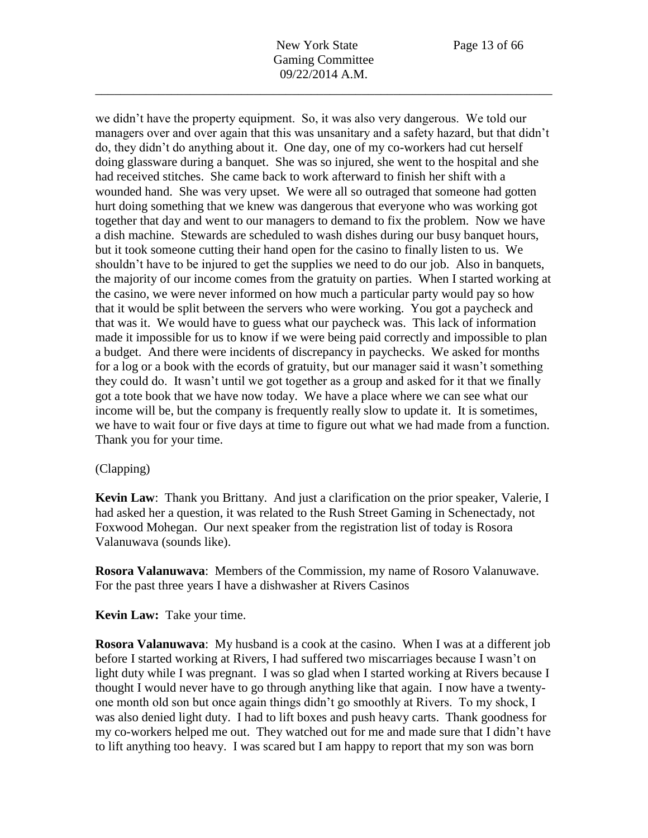we didn't have the property equipment. So, it was also very dangerous. We told our managers over and over again that this was unsanitary and a safety hazard, but that didn't do, they didn't do anything about it. One day, one of my co-workers had cut herself doing glassware during a banquet. She was so injured, she went to the hospital and she had received stitches. She came back to work afterward to finish her shift with a wounded hand. She was very upset. We were all so outraged that someone had gotten hurt doing something that we knew was dangerous that everyone who was working got together that day and went to our managers to demand to fix the problem. Now we have a dish machine. Stewards are scheduled to wash dishes during our busy banquet hours, but it took someone cutting their hand open for the casino to finally listen to us. We shouldn't have to be injured to get the supplies we need to do our job. Also in banquets, the majority of our income comes from the gratuity on parties. When I started working at the casino, we were never informed on how much a particular party would pay so how that it would be split between the servers who were working. You got a paycheck and that was it. We would have to guess what our paycheck was. This lack of information made it impossible for us to know if we were being paid correctly and impossible to plan a budget. And there were incidents of discrepancy in paychecks. We asked for months for a log or a book with the ecords of gratuity, but our manager said it wasn't something they could do. It wasn't until we got together as a group and asked for it that we finally got a tote book that we have now today. We have a place where we can see what our income will be, but the company is frequently really slow to update it. It is sometimes, we have to wait four or five days at time to figure out what we had made from a function. Thank you for your time.

# (Clapping)

**Kevin Law**: Thank you Brittany. And just a clarification on the prior speaker, Valerie, I had asked her a question, it was related to the Rush Street Gaming in Schenectady, not Foxwood Mohegan. Our next speaker from the registration list of today is Rosora Valanuwava (sounds like).

**Rosora Valanuwava**: Members of the Commission, my name of Rosoro Valanuwave. For the past three years I have a dishwasher at Rivers Casinos

**Kevin Law:** Take your time.

**Rosora Valanuwava**: My husband is a cook at the casino. When I was at a different job before I started working at Rivers, I had suffered two miscarriages because I wasn't on light duty while I was pregnant. I was so glad when I started working at Rivers because I thought I would never have to go through anything like that again. I now have a twentyone month old son but once again things didn't go smoothly at Rivers. To my shock, I was also denied light duty. I had to lift boxes and push heavy carts. Thank goodness for my co-workers helped me out. They watched out for me and made sure that I didn't have to lift anything too heavy. I was scared but I am happy to report that my son was born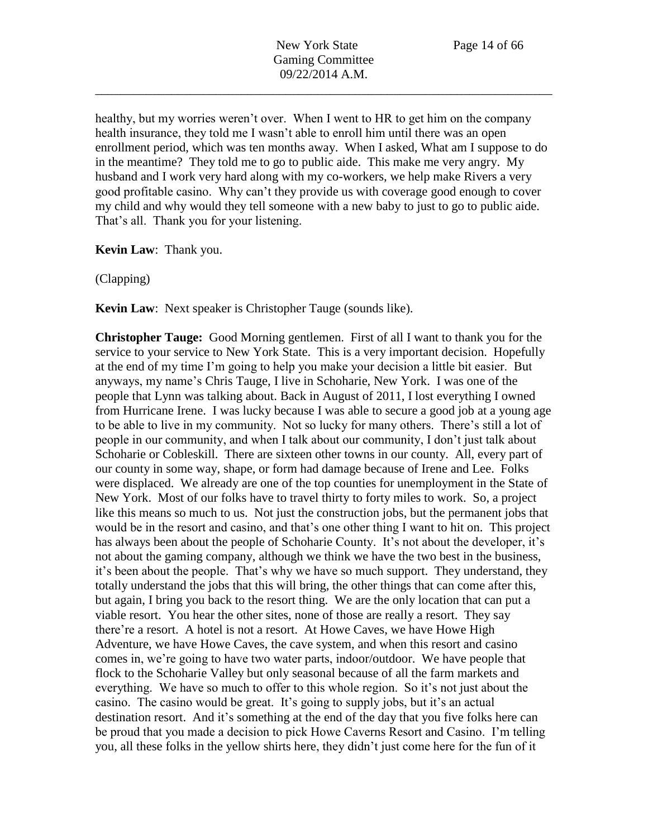healthy, but my worries weren't over. When I went to HR to get him on the company health insurance, they told me I wasn't able to enroll him until there was an open enrollment period, which was ten months away. When I asked, What am I suppose to do in the meantime? They told me to go to public aide. This make me very angry. My husband and I work very hard along with my co-workers, we help make Rivers a very good profitable casino. Why can't they provide us with coverage good enough to cover my child and why would they tell someone with a new baby to just to go to public aide. That's all. Thank you for your listening.

**Kevin Law**: Thank you.

(Clapping)

**Kevin Law**: Next speaker is Christopher Tauge (sounds like).

**Christopher Tauge:** Good Morning gentlemen. First of all I want to thank you for the service to your service to New York State. This is a very important decision. Hopefully at the end of my time I'm going to help you make your decision a little bit easier. But anyways, my name's Chris Tauge, I live in Schoharie, New York. I was one of the people that Lynn was talking about. Back in August of 2011, I lost everything I owned from Hurricane Irene. I was lucky because I was able to secure a good job at a young age to be able to live in my community. Not so lucky for many others. There's still a lot of people in our community, and when I talk about our community, I don't just talk about Schoharie or Cobleskill. There are sixteen other towns in our county. All, every part of our county in some way, shape, or form had damage because of Irene and Lee. Folks were displaced. We already are one of the top counties for unemployment in the State of New York. Most of our folks have to travel thirty to forty miles to work. So, a project like this means so much to us. Not just the construction jobs, but the permanent jobs that would be in the resort and casino, and that's one other thing I want to hit on. This project has always been about the people of Schoharie County. It's not about the developer, it's not about the gaming company, although we think we have the two best in the business, it's been about the people. That's why we have so much support. They understand, they totally understand the jobs that this will bring, the other things that can come after this, but again, I bring you back to the resort thing. We are the only location that can put a viable resort. You hear the other sites, none of those are really a resort. They say there're a resort. A hotel is not a resort. At Howe Caves, we have Howe High Adventure, we have Howe Caves, the cave system, and when this resort and casino comes in, we're going to have two water parts, indoor/outdoor. We have people that flock to the Schoharie Valley but only seasonal because of all the farm markets and everything. We have so much to offer to this whole region. So it's not just about the casino. The casino would be great. It's going to supply jobs, but it's an actual destination resort. And it's something at the end of the day that you five folks here can be proud that you made a decision to pick Howe Caverns Resort and Casino. I'm telling you, all these folks in the yellow shirts here, they didn't just come here for the fun of it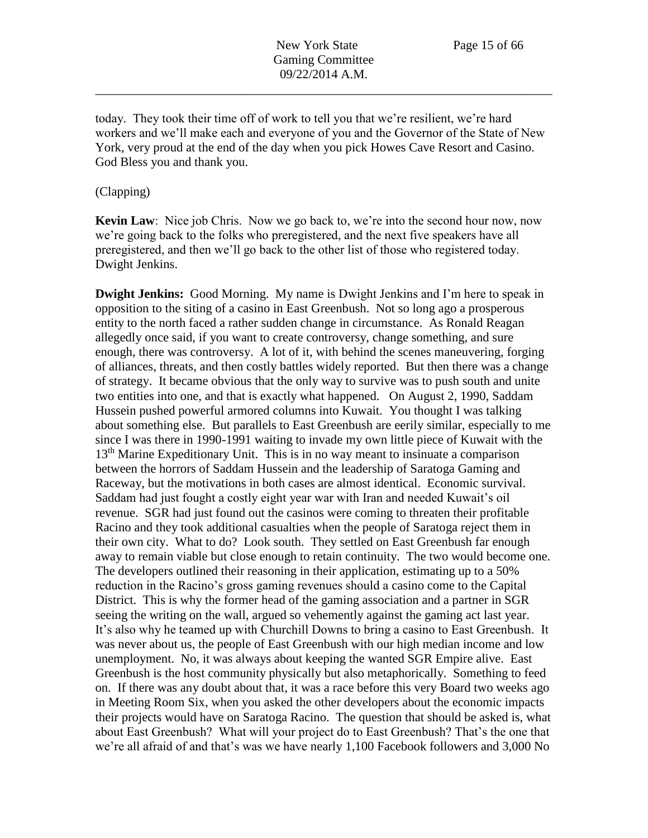today. They took their time off of work to tell you that we're resilient, we're hard workers and we'll make each and everyone of you and the Governor of the State of New York, very proud at the end of the day when you pick Howes Cave Resort and Casino. God Bless you and thank you.

## (Clapping)

**Kevin Law**: Nice job Chris. Now we go back to, we're into the second hour now, now we're going back to the folks who preregistered, and the next five speakers have all preregistered, and then we'll go back to the other list of those who registered today. Dwight Jenkins.

**Dwight Jenkins:** Good Morning. My name is Dwight Jenkins and I'm here to speak in opposition to the siting of a casino in East Greenbush. Not so long ago a prosperous entity to the north faced a rather sudden change in circumstance. As Ronald Reagan allegedly once said, if you want to create controversy, change something, and sure enough, there was controversy. A lot of it, with behind the scenes maneuvering, forging of alliances, threats, and then costly battles widely reported. But then there was a change of strategy. It became obvious that the only way to survive was to push south and unite two entities into one, and that is exactly what happened. On August 2, 1990, Saddam Hussein pushed powerful armored columns into Kuwait. You thought I was talking about something else. But parallels to East Greenbush are eerily similar, especially to me since I was there in 1990-1991 waiting to invade my own little piece of Kuwait with the 13<sup>th</sup> Marine Expeditionary Unit. This is in no way meant to insinuate a comparison between the horrors of Saddam Hussein and the leadership of Saratoga Gaming and Raceway, but the motivations in both cases are almost identical. Economic survival. Saddam had just fought a costly eight year war with Iran and needed Kuwait's oil revenue. SGR had just found out the casinos were coming to threaten their profitable Racino and they took additional casualties when the people of Saratoga reject them in their own city. What to do? Look south. They settled on East Greenbush far enough away to remain viable but close enough to retain continuity. The two would become one. The developers outlined their reasoning in their application, estimating up to a 50% reduction in the Racino's gross gaming revenues should a casino come to the Capital District. This is why the former head of the gaming association and a partner in SGR seeing the writing on the wall, argued so vehemently against the gaming act last year. It's also why he teamed up with Churchill Downs to bring a casino to East Greenbush. It was never about us, the people of East Greenbush with our high median income and low unemployment. No, it was always about keeping the wanted SGR Empire alive. East Greenbush is the host community physically but also metaphorically. Something to feed on. If there was any doubt about that, it was a race before this very Board two weeks ago in Meeting Room Six, when you asked the other developers about the economic impacts their projects would have on Saratoga Racino. The question that should be asked is, what about East Greenbush? What will your project do to East Greenbush? That's the one that we're all afraid of and that's was we have nearly 1,100 Facebook followers and 3,000 No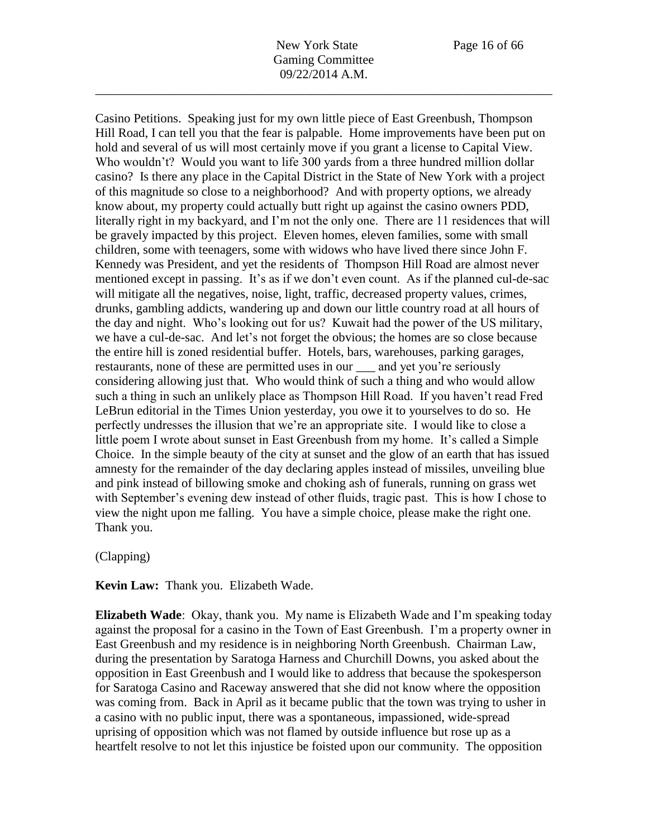New York State Page 16 of 66 Gaming Committee 09/22/2014 A.M.

\_\_\_\_\_\_\_\_\_\_\_\_\_\_\_\_\_\_\_\_\_\_\_\_\_\_\_\_\_\_\_\_\_\_\_\_\_\_\_\_\_\_\_\_\_\_\_\_\_\_\_\_\_\_\_\_\_\_\_\_\_\_\_\_\_\_\_\_\_\_\_\_

Casino Petitions. Speaking just for my own little piece of East Greenbush, Thompson Hill Road, I can tell you that the fear is palpable. Home improvements have been put on hold and several of us will most certainly move if you grant a license to Capital View. Who wouldn't? Would you want to life 300 yards from a three hundred million dollar casino? Is there any place in the Capital District in the State of New York with a project of this magnitude so close to a neighborhood? And with property options, we already know about, my property could actually butt right up against the casino owners PDD, literally right in my backyard, and I'm not the only one. There are 11 residences that will be gravely impacted by this project. Eleven homes, eleven families, some with small children, some with teenagers, some with widows who have lived there since John F. Kennedy was President, and yet the residents of Thompson Hill Road are almost never mentioned except in passing. It's as if we don't even count. As if the planned cul-de-sac will mitigate all the negatives, noise, light, traffic, decreased property values, crimes, drunks, gambling addicts, wandering up and down our little country road at all hours of the day and night. Who's looking out for us? Kuwait had the power of the US military, we have a cul-de-sac. And let's not forget the obvious; the homes are so close because the entire hill is zoned residential buffer. Hotels, bars, warehouses, parking garages, restaurants, none of these are permitted uses in our \_\_\_ and yet you're seriously considering allowing just that. Who would think of such a thing and who would allow such a thing in such an unlikely place as Thompson Hill Road. If you haven't read Fred LeBrun editorial in the Times Union yesterday, you owe it to yourselves to do so. He perfectly undresses the illusion that we're an appropriate site. I would like to close a little poem I wrote about sunset in East Greenbush from my home. It's called a Simple Choice. In the simple beauty of the city at sunset and the glow of an earth that has issued amnesty for the remainder of the day declaring apples instead of missiles, unveiling blue and pink instead of billowing smoke and choking ash of funerals, running on grass wet with September's evening dew instead of other fluids, tragic past. This is how I chose to view the night upon me falling. You have a simple choice, please make the right one. Thank you.

### (Clapping)

**Kevin Law:** Thank you. Elizabeth Wade.

**Elizabeth Wade**: Okay, thank you. My name is Elizabeth Wade and I'm speaking today against the proposal for a casino in the Town of East Greenbush. I'm a property owner in East Greenbush and my residence is in neighboring North Greenbush. Chairman Law, during the presentation by Saratoga Harness and Churchill Downs, you asked about the opposition in East Greenbush and I would like to address that because the spokesperson for Saratoga Casino and Raceway answered that she did not know where the opposition was coming from. Back in April as it became public that the town was trying to usher in a casino with no public input, there was a spontaneous, impassioned, wide-spread uprising of opposition which was not flamed by outside influence but rose up as a heartfelt resolve to not let this injustice be foisted upon our community. The opposition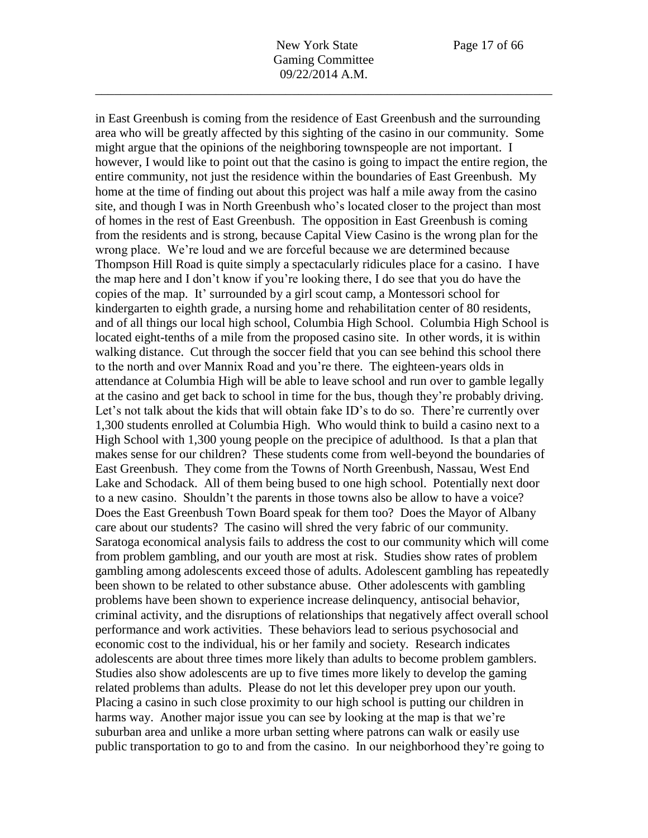in East Greenbush is coming from the residence of East Greenbush and the surrounding area who will be greatly affected by this sighting of the casino in our community. Some might argue that the opinions of the neighboring townspeople are not important. I however, I would like to point out that the casino is going to impact the entire region, the entire community, not just the residence within the boundaries of East Greenbush. My home at the time of finding out about this project was half a mile away from the casino site, and though I was in North Greenbush who's located closer to the project than most of homes in the rest of East Greenbush. The opposition in East Greenbush is coming from the residents and is strong, because Capital View Casino is the wrong plan for the wrong place. We're loud and we are forceful because we are determined because Thompson Hill Road is quite simply a spectacularly ridicules place for a casino. I have the map here and I don't know if you're looking there, I do see that you do have the copies of the map. It' surrounded by a girl scout camp, a Montessori school for kindergarten to eighth grade, a nursing home and rehabilitation center of 80 residents, and of all things our local high school, Columbia High School. Columbia High School is located eight-tenths of a mile from the proposed casino site. In other words, it is within walking distance. Cut through the soccer field that you can see behind this school there to the north and over Mannix Road and you're there. The eighteen-years olds in attendance at Columbia High will be able to leave school and run over to gamble legally at the casino and get back to school in time for the bus, though they're probably driving. Let's not talk about the kids that will obtain fake ID's to do so. There're currently over 1,300 students enrolled at Columbia High. Who would think to build a casino next to a High School with 1,300 young people on the precipice of adulthood. Is that a plan that makes sense for our children? These students come from well-beyond the boundaries of East Greenbush. They come from the Towns of North Greenbush, Nassau, West End Lake and Schodack. All of them being bused to one high school. Potentially next door to a new casino. Shouldn't the parents in those towns also be allow to have a voice? Does the East Greenbush Town Board speak for them too? Does the Mayor of Albany care about our students? The casino will shred the very fabric of our community. Saratoga economical analysis fails to address the cost to our community which will come from problem gambling, and our youth are most at risk. Studies show rates of problem gambling among adolescents exceed those of adults. Adolescent gambling has repeatedly been shown to be related to other substance abuse. Other adolescents with gambling problems have been shown to experience increase delinquency, antisocial behavior, criminal activity, and the disruptions of relationships that negatively affect overall school performance and work activities. These behaviors lead to serious psychosocial and economic cost to the individual, his or her family and society. Research indicates adolescents are about three times more likely than adults to become problem gamblers. Studies also show adolescents are up to five times more likely to develop the gaming related problems than adults. Please do not let this developer prey upon our youth. Placing a casino in such close proximity to our high school is putting our children in harms way. Another major issue you can see by looking at the map is that we're suburban area and unlike a more urban setting where patrons can walk or easily use public transportation to go to and from the casino. In our neighborhood they're going to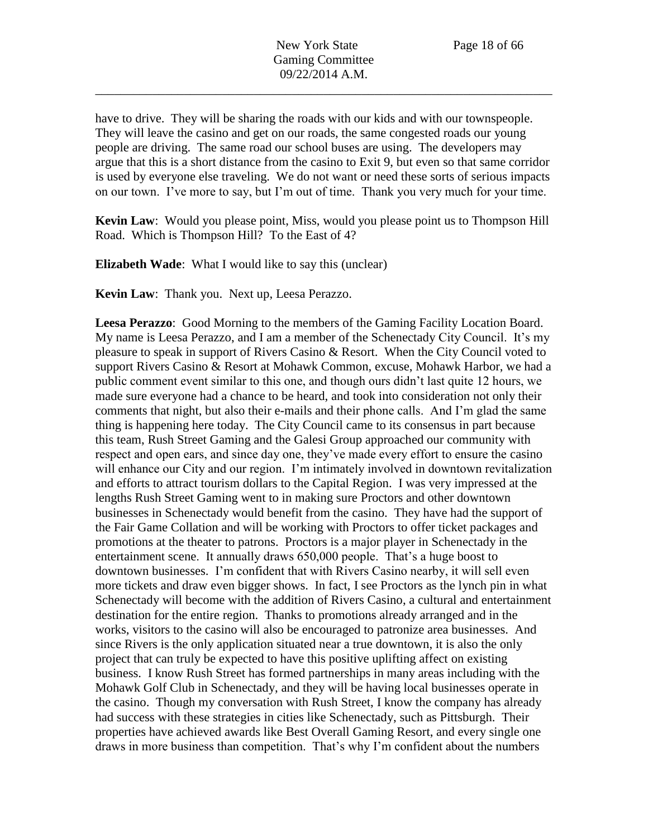have to drive. They will be sharing the roads with our kids and with our townspeople. They will leave the casino and get on our roads, the same congested roads our young people are driving. The same road our school buses are using. The developers may argue that this is a short distance from the casino to Exit 9, but even so that same corridor is used by everyone else traveling. We do not want or need these sorts of serious impacts on our town. I've more to say, but I'm out of time. Thank you very much for your time.

**Kevin Law**: Would you please point, Miss, would you please point us to Thompson Hill Road. Which is Thompson Hill? To the East of 4?

**Elizabeth Wade**: What I would like to say this (unclear)

**Kevin Law**: Thank you. Next up, Leesa Perazzo.

**Leesa Perazzo**: Good Morning to the members of the Gaming Facility Location Board. My name is Leesa Perazzo, and I am a member of the Schenectady City Council. It's my pleasure to speak in support of Rivers Casino & Resort. When the City Council voted to support Rivers Casino & Resort at Mohawk Common, excuse, Mohawk Harbor, we had a public comment event similar to this one, and though ours didn't last quite 12 hours, we made sure everyone had a chance to be heard, and took into consideration not only their comments that night, but also their e-mails and their phone calls. And I'm glad the same thing is happening here today. The City Council came to its consensus in part because this team, Rush Street Gaming and the Galesi Group approached our community with respect and open ears, and since day one, they've made every effort to ensure the casino will enhance our City and our region. I'm intimately involved in downtown revitalization and efforts to attract tourism dollars to the Capital Region. I was very impressed at the lengths Rush Street Gaming went to in making sure Proctors and other downtown businesses in Schenectady would benefit from the casino. They have had the support of the Fair Game Collation and will be working with Proctors to offer ticket packages and promotions at the theater to patrons. Proctors is a major player in Schenectady in the entertainment scene. It annually draws 650,000 people. That's a huge boost to downtown businesses. I'm confident that with Rivers Casino nearby, it will sell even more tickets and draw even bigger shows. In fact, I see Proctors as the lynch pin in what Schenectady will become with the addition of Rivers Casino, a cultural and entertainment destination for the entire region. Thanks to promotions already arranged and in the works, visitors to the casino will also be encouraged to patronize area businesses. And since Rivers is the only application situated near a true downtown, it is also the only project that can truly be expected to have this positive uplifting affect on existing business. I know Rush Street has formed partnerships in many areas including with the Mohawk Golf Club in Schenectady, and they will be having local businesses operate in the casino. Though my conversation with Rush Street, I know the company has already had success with these strategies in cities like Schenectady, such as Pittsburgh. Their properties have achieved awards like Best Overall Gaming Resort, and every single one draws in more business than competition. That's why I'm confident about the numbers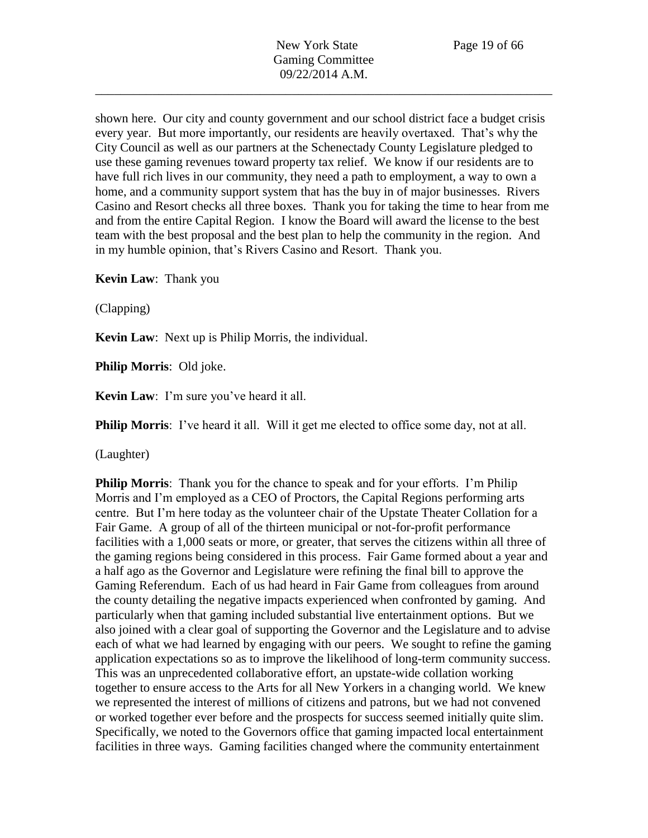shown here. Our city and county government and our school district face a budget crisis every year. But more importantly, our residents are heavily overtaxed. That's why the City Council as well as our partners at the Schenectady County Legislature pledged to use these gaming revenues toward property tax relief. We know if our residents are to have full rich lives in our community, they need a path to employment, a way to own a home, and a community support system that has the buy in of major businesses. Rivers Casino and Resort checks all three boxes. Thank you for taking the time to hear from me and from the entire Capital Region. I know the Board will award the license to the best team with the best proposal and the best plan to help the community in the region. And in my humble opinion, that's Rivers Casino and Resort. Thank you.

**Kevin Law**: Thank you

(Clapping)

**Kevin Law**: Next up is Philip Morris, the individual.

**Philip Morris**: Old joke.

**Kevin Law**: I'm sure you've heard it all.

**Philip Morris**: I've heard it all. Will it get me elected to office some day, not at all.

(Laughter)

**Philip Morris**: Thank you for the chance to speak and for your efforts. I'm Philip Morris and I'm employed as a CEO of Proctors, the Capital Regions performing arts centre. But I'm here today as the volunteer chair of the Upstate Theater Collation for a Fair Game. A group of all of the thirteen municipal or not-for-profit performance facilities with a 1,000 seats or more, or greater, that serves the citizens within all three of the gaming regions being considered in this process. Fair Game formed about a year and a half ago as the Governor and Legislature were refining the final bill to approve the Gaming Referendum. Each of us had heard in Fair Game from colleagues from around the county detailing the negative impacts experienced when confronted by gaming. And particularly when that gaming included substantial live entertainment options. But we also joined with a clear goal of supporting the Governor and the Legislature and to advise each of what we had learned by engaging with our peers. We sought to refine the gaming application expectations so as to improve the likelihood of long-term community success. This was an unprecedented collaborative effort, an upstate-wide collation working together to ensure access to the Arts for all New Yorkers in a changing world. We knew we represented the interest of millions of citizens and patrons, but we had not convened or worked together ever before and the prospects for success seemed initially quite slim. Specifically, we noted to the Governors office that gaming impacted local entertainment facilities in three ways. Gaming facilities changed where the community entertainment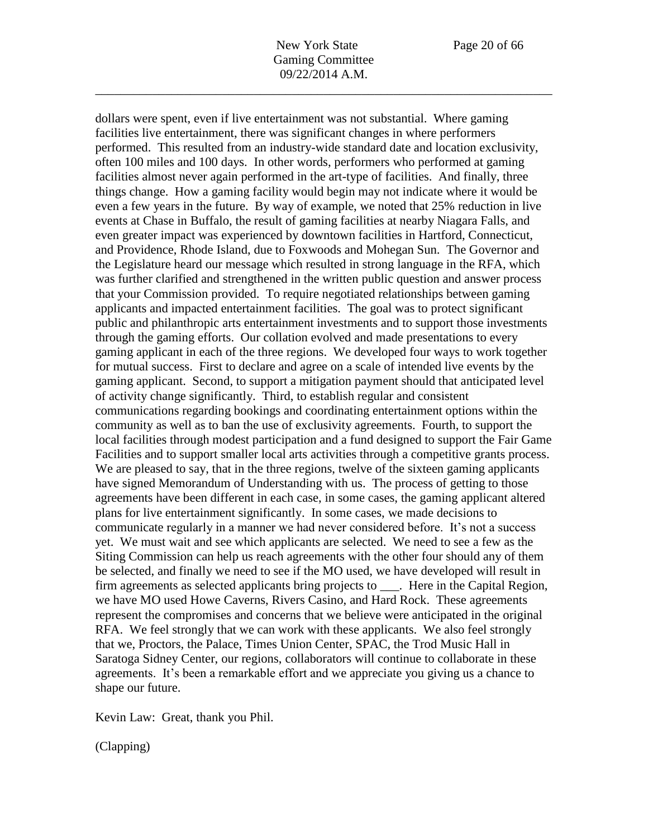New York State Page 20 of 66 Gaming Committee 09/22/2014 A.M.

\_\_\_\_\_\_\_\_\_\_\_\_\_\_\_\_\_\_\_\_\_\_\_\_\_\_\_\_\_\_\_\_\_\_\_\_\_\_\_\_\_\_\_\_\_\_\_\_\_\_\_\_\_\_\_\_\_\_\_\_\_\_\_\_\_\_\_\_\_\_\_\_

dollars were spent, even if live entertainment was not substantial. Where gaming facilities live entertainment, there was significant changes in where performers performed. This resulted from an industry-wide standard date and location exclusivity, often 100 miles and 100 days. In other words, performers who performed at gaming facilities almost never again performed in the art-type of facilities. And finally, three things change. How a gaming facility would begin may not indicate where it would be even a few years in the future. By way of example, we noted that 25% reduction in live events at Chase in Buffalo, the result of gaming facilities at nearby Niagara Falls, and even greater impact was experienced by downtown facilities in Hartford, Connecticut, and Providence, Rhode Island, due to Foxwoods and Mohegan Sun. The Governor and the Legislature heard our message which resulted in strong language in the RFA, which was further clarified and strengthened in the written public question and answer process that your Commission provided. To require negotiated relationships between gaming applicants and impacted entertainment facilities. The goal was to protect significant public and philanthropic arts entertainment investments and to support those investments through the gaming efforts. Our collation evolved and made presentations to every gaming applicant in each of the three regions. We developed four ways to work together for mutual success. First to declare and agree on a scale of intended live events by the gaming applicant. Second, to support a mitigation payment should that anticipated level of activity change significantly. Third, to establish regular and consistent communications regarding bookings and coordinating entertainment options within the community as well as to ban the use of exclusivity agreements. Fourth, to support the local facilities through modest participation and a fund designed to support the Fair Game Facilities and to support smaller local arts activities through a competitive grants process. We are pleased to say, that in the three regions, twelve of the sixteen gaming applicants have signed Memorandum of Understanding with us. The process of getting to those agreements have been different in each case, in some cases, the gaming applicant altered plans for live entertainment significantly. In some cases, we made decisions to communicate regularly in a manner we had never considered before. It's not a success yet. We must wait and see which applicants are selected. We need to see a few as the Siting Commission can help us reach agreements with the other four should any of them be selected, and finally we need to see if the MO used, we have developed will result in firm agreements as selected applicants bring projects to \_\_\_. Here in the Capital Region, we have MO used Howe Caverns, Rivers Casino, and Hard Rock. These agreements represent the compromises and concerns that we believe were anticipated in the original RFA. We feel strongly that we can work with these applicants. We also feel strongly that we, Proctors, the Palace, Times Union Center, SPAC, the Trod Music Hall in Saratoga Sidney Center, our regions, collaborators will continue to collaborate in these agreements. It's been a remarkable effort and we appreciate you giving us a chance to shape our future.

Kevin Law: Great, thank you Phil.

(Clapping)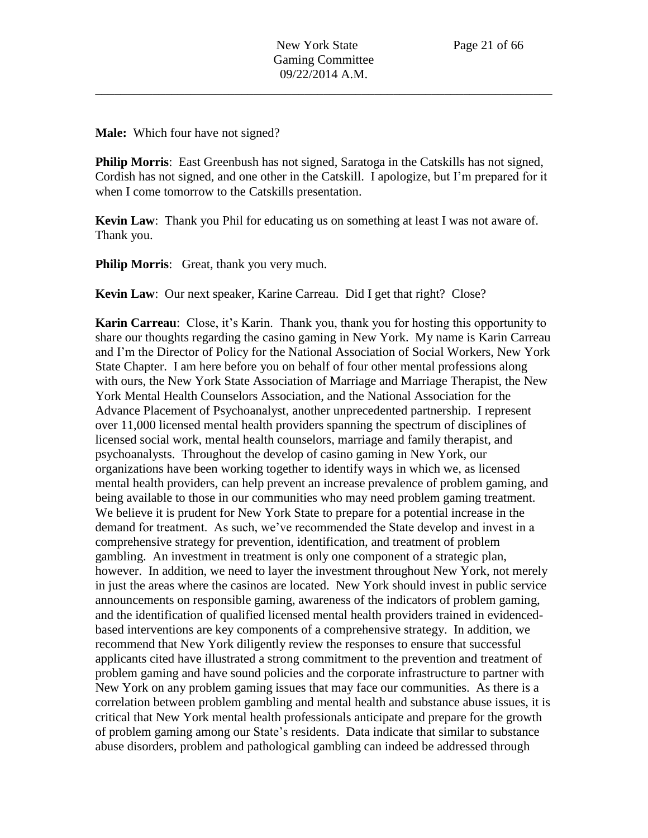**Male:** Which four have not signed?

**Philip Morris**: East Greenbush has not signed, Saratoga in the Catskills has not signed, Cordish has not signed, and one other in the Catskill. I apologize, but I'm prepared for it when I come tomorrow to the Catskills presentation.

**Kevin Law**: Thank you Phil for educating us on something at least I was not aware of. Thank you.

**Philip Morris:** Great, thank you very much.

**Kevin Law**: Our next speaker, Karine Carreau. Did I get that right? Close?

**Karin Carreau**: Close, it's Karin. Thank you, thank you for hosting this opportunity to share our thoughts regarding the casino gaming in New York. My name is Karin Carreau and I'm the Director of Policy for the National Association of Social Workers, New York State Chapter. I am here before you on behalf of four other mental professions along with ours, the New York State Association of Marriage and Marriage Therapist, the New York Mental Health Counselors Association, and the National Association for the Advance Placement of Psychoanalyst, another unprecedented partnership. I represent over 11,000 licensed mental health providers spanning the spectrum of disciplines of licensed social work, mental health counselors, marriage and family therapist, and psychoanalysts. Throughout the develop of casino gaming in New York, our organizations have been working together to identify ways in which we, as licensed mental health providers, can help prevent an increase prevalence of problem gaming, and being available to those in our communities who may need problem gaming treatment. We believe it is prudent for New York State to prepare for a potential increase in the demand for treatment. As such, we've recommended the State develop and invest in a comprehensive strategy for prevention, identification, and treatment of problem gambling. An investment in treatment is only one component of a strategic plan, however. In addition, we need to layer the investment throughout New York, not merely in just the areas where the casinos are located. New York should invest in public service announcements on responsible gaming, awareness of the indicators of problem gaming, and the identification of qualified licensed mental health providers trained in evidencedbased interventions are key components of a comprehensive strategy. In addition, we recommend that New York diligently review the responses to ensure that successful applicants cited have illustrated a strong commitment to the prevention and treatment of problem gaming and have sound policies and the corporate infrastructure to partner with New York on any problem gaming issues that may face our communities. As there is a correlation between problem gambling and mental health and substance abuse issues, it is critical that New York mental health professionals anticipate and prepare for the growth of problem gaming among our State's residents. Data indicate that similar to substance abuse disorders, problem and pathological gambling can indeed be addressed through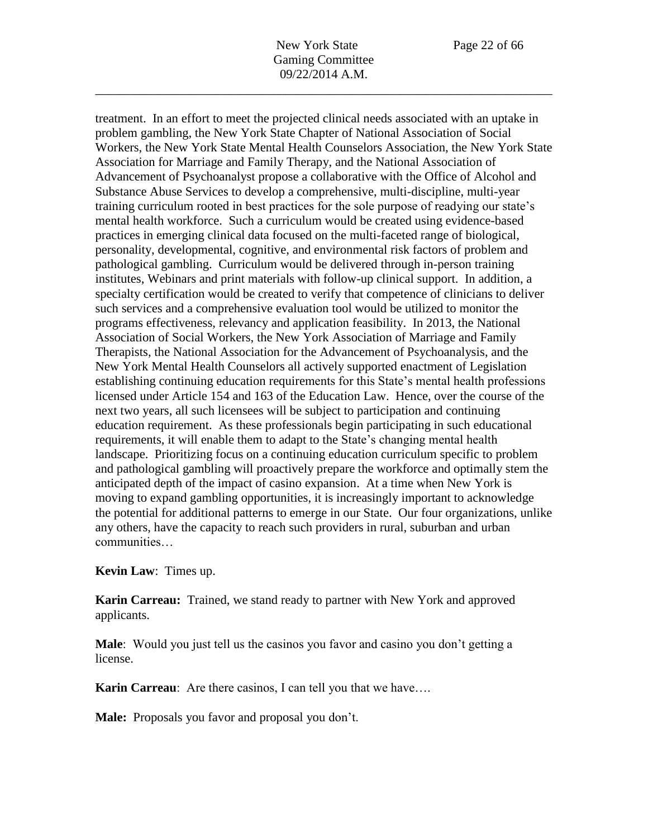treatment. In an effort to meet the projected clinical needs associated with an uptake in problem gambling, the New York State Chapter of National Association of Social Workers, the New York State Mental Health Counselors Association, the New York State Association for Marriage and Family Therapy, and the National Association of Advancement of Psychoanalyst propose a collaborative with the Office of Alcohol and Substance Abuse Services to develop a comprehensive, multi-discipline, multi-year training curriculum rooted in best practices for the sole purpose of readying our state's mental health workforce. Such a curriculum would be created using evidence-based practices in emerging clinical data focused on the multi-faceted range of biological, personality, developmental, cognitive, and environmental risk factors of problem and pathological gambling. Curriculum would be delivered through in-person training institutes, Webinars and print materials with follow-up clinical support. In addition, a specialty certification would be created to verify that competence of clinicians to deliver such services and a comprehensive evaluation tool would be utilized to monitor the programs effectiveness, relevancy and application feasibility. In 2013, the National Association of Social Workers, the New York Association of Marriage and Family Therapists, the National Association for the Advancement of Psychoanalysis, and the New York Mental Health Counselors all actively supported enactment of Legislation establishing continuing education requirements for this State's mental health professions licensed under Article 154 and 163 of the Education Law. Hence, over the course of the next two years, all such licensees will be subject to participation and continuing education requirement. As these professionals begin participating in such educational requirements, it will enable them to adapt to the State's changing mental health landscape. Prioritizing focus on a continuing education curriculum specific to problem and pathological gambling will proactively prepare the workforce and optimally stem the anticipated depth of the impact of casino expansion. At a time when New York is moving to expand gambling opportunities, it is increasingly important to acknowledge the potential for additional patterns to emerge in our State. Our four organizations, unlike any others, have the capacity to reach such providers in rural, suburban and urban communities…

**Kevin Law**: Times up.

**Karin Carreau:** Trained, we stand ready to partner with New York and approved applicants.

**Male**: Would you just tell us the casinos you favor and casino you don't getting a license.

**Karin Carreau**: Are there casinos, I can tell you that we have....

**Male:** Proposals you favor and proposal you don't.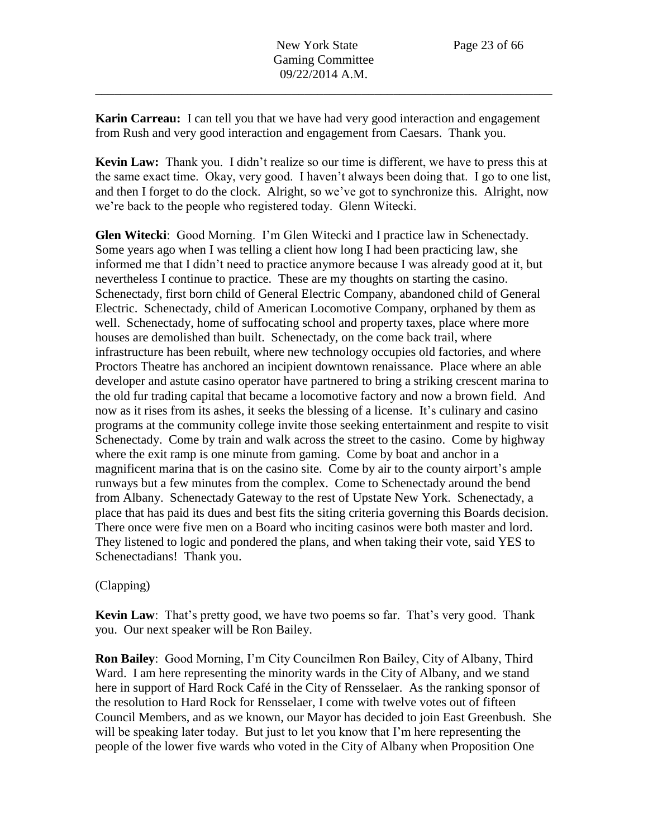**Karin Carreau:** I can tell you that we have had very good interaction and engagement from Rush and very good interaction and engagement from Caesars. Thank you.

**Kevin Law:** Thank you. I didn't realize so our time is different, we have to press this at the same exact time. Okay, very good. I haven't always been doing that. I go to one list, and then I forget to do the clock. Alright, so we've got to synchronize this. Alright, now we're back to the people who registered today. Glenn Witecki.

**Glen Witecki**: Good Morning. I'm Glen Witecki and I practice law in Schenectady. Some years ago when I was telling a client how long I had been practicing law, she informed me that I didn't need to practice anymore because I was already good at it, but nevertheless I continue to practice. These are my thoughts on starting the casino. Schenectady, first born child of General Electric Company, abandoned child of General Electric. Schenectady, child of American Locomotive Company, orphaned by them as well. Schenectady, home of suffocating school and property taxes, place where more houses are demolished than built. Schenectady, on the come back trail, where infrastructure has been rebuilt, where new technology occupies old factories, and where Proctors Theatre has anchored an incipient downtown renaissance. Place where an able developer and astute casino operator have partnered to bring a striking crescent marina to the old fur trading capital that became a locomotive factory and now a brown field. And now as it rises from its ashes, it seeks the blessing of a license. It's culinary and casino programs at the community college invite those seeking entertainment and respite to visit Schenectady. Come by train and walk across the street to the casino. Come by highway where the exit ramp is one minute from gaming. Come by boat and anchor in a magnificent marina that is on the casino site. Come by air to the county airport's ample runways but a few minutes from the complex. Come to Schenectady around the bend from Albany. Schenectady Gateway to the rest of Upstate New York. Schenectady, a place that has paid its dues and best fits the siting criteria governing this Boards decision. There once were five men on a Board who inciting casinos were both master and lord. They listened to logic and pondered the plans, and when taking their vote, said YES to Schenectadians! Thank you.

# (Clapping)

**Kevin Law**: That's pretty good, we have two poems so far. That's very good. Thank you. Our next speaker will be Ron Bailey.

**Ron Bailey**: Good Morning, I'm City Councilmen Ron Bailey, City of Albany, Third Ward. I am here representing the minority wards in the City of Albany, and we stand here in support of Hard Rock Café in the City of Rensselaer. As the ranking sponsor of the resolution to Hard Rock for Rensselaer, I come with twelve votes out of fifteen Council Members, and as we known, our Mayor has decided to join East Greenbush. She will be speaking later today. But just to let you know that I'm here representing the people of the lower five wards who voted in the City of Albany when Proposition One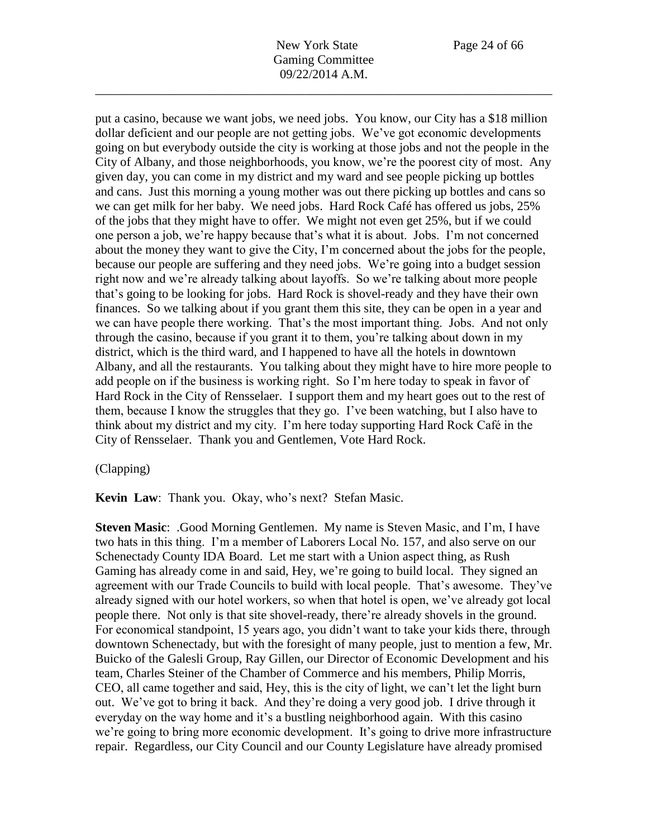New York State Page 24 of 66 Gaming Committee 09/22/2014 A.M.

\_\_\_\_\_\_\_\_\_\_\_\_\_\_\_\_\_\_\_\_\_\_\_\_\_\_\_\_\_\_\_\_\_\_\_\_\_\_\_\_\_\_\_\_\_\_\_\_\_\_\_\_\_\_\_\_\_\_\_\_\_\_\_\_\_\_\_\_\_\_\_\_

put a casino, because we want jobs, we need jobs. You know, our City has a \$18 million dollar deficient and our people are not getting jobs. We've got economic developments going on but everybody outside the city is working at those jobs and not the people in the City of Albany, and those neighborhoods, you know, we're the poorest city of most. Any given day, you can come in my district and my ward and see people picking up bottles and cans. Just this morning a young mother was out there picking up bottles and cans so we can get milk for her baby. We need jobs. Hard Rock Café has offered us jobs, 25% of the jobs that they might have to offer. We might not even get 25%, but if we could one person a job, we're happy because that's what it is about. Jobs. I'm not concerned about the money they want to give the City, I'm concerned about the jobs for the people, because our people are suffering and they need jobs. We're going into a budget session right now and we're already talking about layoffs. So we're talking about more people that's going to be looking for jobs. Hard Rock is shovel-ready and they have their own finances. So we talking about if you grant them this site, they can be open in a year and we can have people there working. That's the most important thing. Jobs. And not only through the casino, because if you grant it to them, you're talking about down in my district, which is the third ward, and I happened to have all the hotels in downtown Albany, and all the restaurants. You talking about they might have to hire more people to add people on if the business is working right. So I'm here today to speak in favor of Hard Rock in the City of Rensselaer. I support them and my heart goes out to the rest of them, because I know the struggles that they go. I've been watching, but I also have to think about my district and my city. I'm here today supporting Hard Rock Café in the City of Rensselaer. Thank you and Gentlemen, Vote Hard Rock.

### (Clapping)

**Kevin Law**: Thank you. Okay, who's next? Stefan Masic.

**Steven Masic**: .Good Morning Gentlemen. My name is Steven Masic, and I'm, I have two hats in this thing. I'm a member of Laborers Local No. 157, and also serve on our Schenectady County IDA Board. Let me start with a Union aspect thing, as Rush Gaming has already come in and said, Hey, we're going to build local. They signed an agreement with our Trade Councils to build with local people. That's awesome. They've already signed with our hotel workers, so when that hotel is open, we've already got local people there. Not only is that site shovel-ready, there're already shovels in the ground. For economical standpoint, 15 years ago, you didn't want to take your kids there, through downtown Schenectady, but with the foresight of many people, just to mention a few, Mr. Buicko of the Galesli Group, Ray Gillen, our Director of Economic Development and his team, Charles Steiner of the Chamber of Commerce and his members, Philip Morris, CEO, all came together and said, Hey, this is the city of light, we can't let the light burn out. We've got to bring it back. And they're doing a very good job. I drive through it everyday on the way home and it's a bustling neighborhood again. With this casino we're going to bring more economic development. It's going to drive more infrastructure repair. Regardless, our City Council and our County Legislature have already promised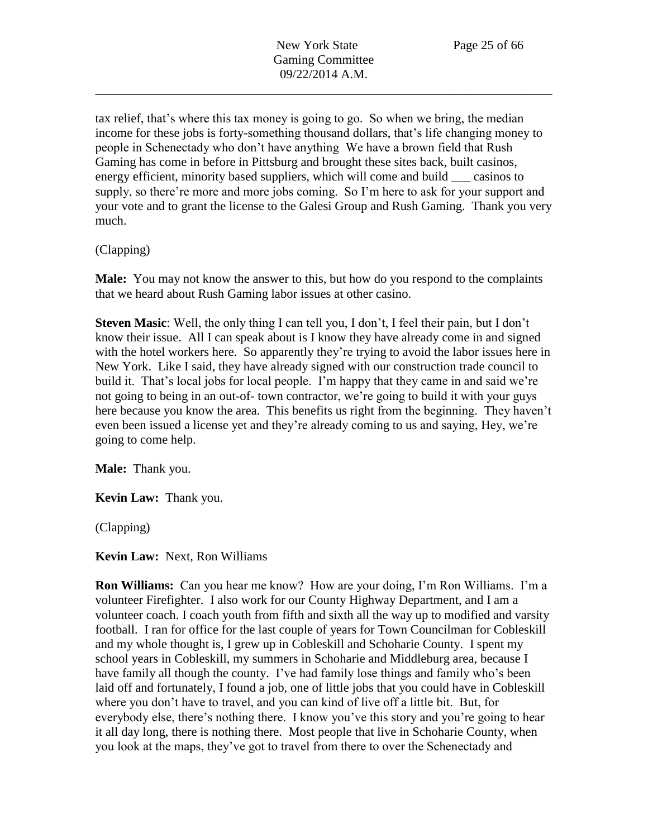tax relief, that's where this tax money is going to go. So when we bring, the median income for these jobs is forty-something thousand dollars, that's life changing money to people in Schenectady who don't have anything We have a brown field that Rush Gaming has come in before in Pittsburg and brought these sites back, built casinos, energy efficient, minority based suppliers, which will come and build casinos to supply, so there're more and more jobs coming. So I'm here to ask for your support and your vote and to grant the license to the Galesi Group and Rush Gaming. Thank you very much.

(Clapping)

**Male:** You may not know the answer to this, but how do you respond to the complaints that we heard about Rush Gaming labor issues at other casino.

**Steven Masic**: Well, the only thing I can tell you, I don't, I feel their pain, but I don't know their issue. All I can speak about is I know they have already come in and signed with the hotel workers here. So apparently they're trying to avoid the labor issues here in New York. Like I said, they have already signed with our construction trade council to build it. That's local jobs for local people. I'm happy that they came in and said we're not going to being in an out-of- town contractor, we're going to build it with your guys here because you know the area. This benefits us right from the beginning. They haven't even been issued a license yet and they're already coming to us and saying, Hey, we're going to come help.

**Male:** Thank you.

**Kevin Law:** Thank you.

(Clapping)

**Kevin Law:** Next, Ron Williams

**Ron Williams:** Can you hear me know? How are your doing, I'm Ron Williams. I'm a volunteer Firefighter. I also work for our County Highway Department, and I am a volunteer coach. I coach youth from fifth and sixth all the way up to modified and varsity football. I ran for office for the last couple of years for Town Councilman for Cobleskill and my whole thought is, I grew up in Cobleskill and Schoharie County. I spent my school years in Cobleskill, my summers in Schoharie and Middleburg area, because I have family all though the county. I've had family lose things and family who's been laid off and fortunately, I found a job, one of little jobs that you could have in Cobleskill where you don't have to travel, and you can kind of live off a little bit. But, for everybody else, there's nothing there. I know you've this story and you're going to hear it all day long, there is nothing there. Most people that live in Schoharie County, when you look at the maps, they've got to travel from there to over the Schenectady and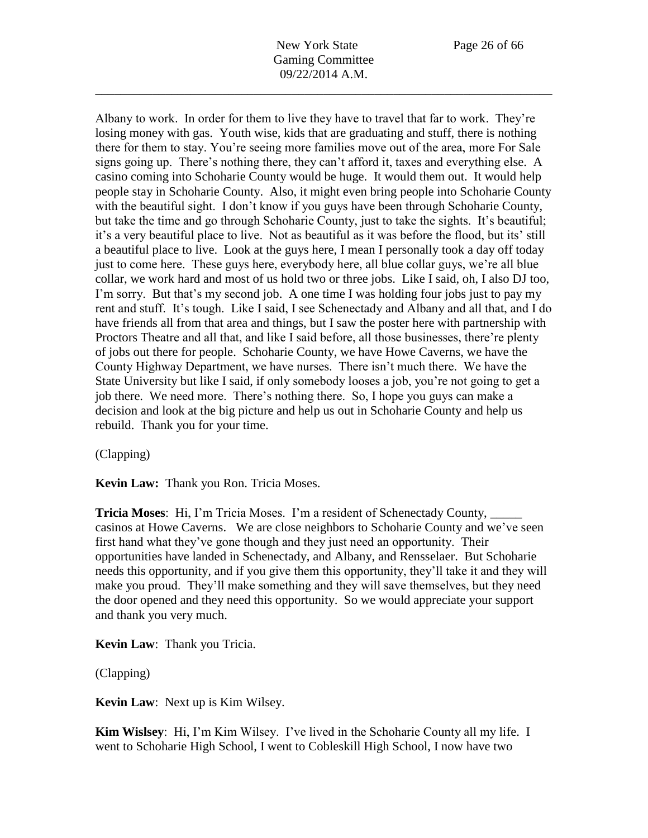New York State Page 26 of 66 Gaming Committee 09/22/2014 A.M.

\_\_\_\_\_\_\_\_\_\_\_\_\_\_\_\_\_\_\_\_\_\_\_\_\_\_\_\_\_\_\_\_\_\_\_\_\_\_\_\_\_\_\_\_\_\_\_\_\_\_\_\_\_\_\_\_\_\_\_\_\_\_\_\_\_\_\_\_\_\_\_\_

Albany to work. In order for them to live they have to travel that far to work. They're losing money with gas. Youth wise, kids that are graduating and stuff, there is nothing there for them to stay. You're seeing more families move out of the area, more For Sale signs going up. There's nothing there, they can't afford it, taxes and everything else. A casino coming into Schoharie County would be huge. It would them out. It would help people stay in Schoharie County. Also, it might even bring people into Schoharie County with the beautiful sight. I don't know if you guys have been through Schoharie County, but take the time and go through Schoharie County, just to take the sights. It's beautiful; it's a very beautiful place to live. Not as beautiful as it was before the flood, but its' still a beautiful place to live. Look at the guys here, I mean I personally took a day off today just to come here. These guys here, everybody here, all blue collar guys, we're all blue collar, we work hard and most of us hold two or three jobs. Like I said, oh, I also DJ too, I'm sorry. But that's my second job. A one time I was holding four jobs just to pay my rent and stuff. It's tough. Like I said, I see Schenectady and Albany and all that, and I do have friends all from that area and things, but I saw the poster here with partnership with Proctors Theatre and all that, and like I said before, all those businesses, there're plenty of jobs out there for people. Schoharie County, we have Howe Caverns, we have the County Highway Department, we have nurses. There isn't much there. We have the State University but like I said, if only somebody looses a job, you're not going to get a job there. We need more. There's nothing there. So, I hope you guys can make a decision and look at the big picture and help us out in Schoharie County and help us rebuild. Thank you for your time.

(Clapping)

**Kevin Law:** Thank you Ron. Tricia Moses.

**Tricia Moses**: Hi, I'm Tricia Moses. I'm a resident of Schenectady County, \_\_\_\_\_ casinos at Howe Caverns. We are close neighbors to Schoharie County and we've seen first hand what they've gone though and they just need an opportunity. Their opportunities have landed in Schenectady, and Albany, and Rensselaer. But Schoharie needs this opportunity, and if you give them this opportunity, they'll take it and they will make you proud. They'll make something and they will save themselves, but they need the door opened and they need this opportunity. So we would appreciate your support and thank you very much.

**Kevin Law**: Thank you Tricia.

(Clapping)

**Kevin Law**: Next up is Kim Wilsey.

**Kim Wislsey**: Hi, I'm Kim Wilsey. I've lived in the Schoharie County all my life. I went to Schoharie High School, I went to Cobleskill High School, I now have two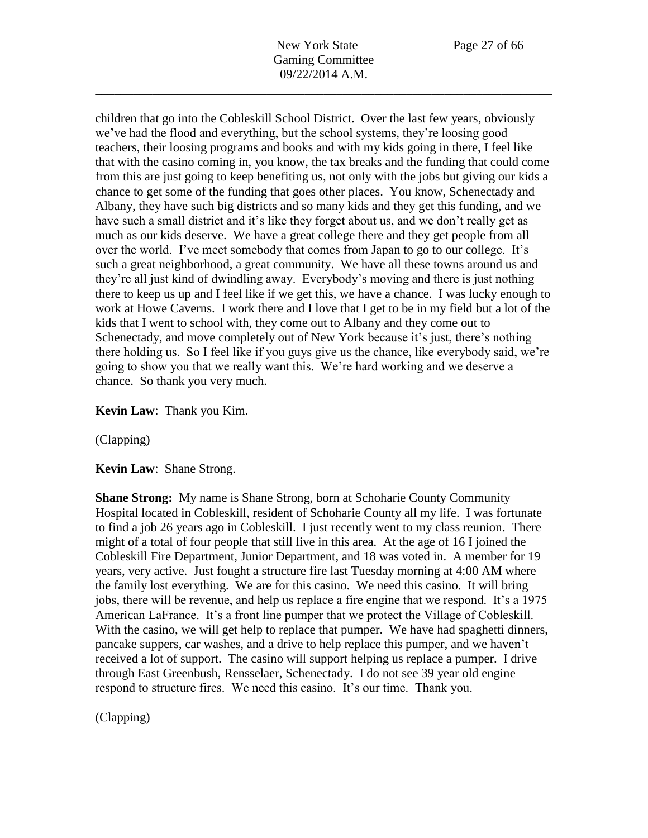children that go into the Cobleskill School District. Over the last few years, obviously we've had the flood and everything, but the school systems, they're loosing good teachers, their loosing programs and books and with my kids going in there, I feel like that with the casino coming in, you know, the tax breaks and the funding that could come from this are just going to keep benefiting us, not only with the jobs but giving our kids a chance to get some of the funding that goes other places. You know, Schenectady and Albany, they have such big districts and so many kids and they get this funding, and we have such a small district and it's like they forget about us, and we don't really get as much as our kids deserve. We have a great college there and they get people from all over the world. I've meet somebody that comes from Japan to go to our college. It's such a great neighborhood, a great community. We have all these towns around us and they're all just kind of dwindling away. Everybody's moving and there is just nothing there to keep us up and I feel like if we get this, we have a chance. I was lucky enough to work at Howe Caverns. I work there and I love that I get to be in my field but a lot of the kids that I went to school with, they come out to Albany and they come out to Schenectady, and move completely out of New York because it's just, there's nothing there holding us. So I feel like if you guys give us the chance, like everybody said, we're going to show you that we really want this. We're hard working and we deserve a chance. So thank you very much.

### **Kevin Law**: Thank you Kim.

(Clapping)

**Kevin Law**: Shane Strong.

**Shane Strong:** My name is Shane Strong, born at Schoharie County Community Hospital located in Cobleskill, resident of Schoharie County all my life. I was fortunate to find a job 26 years ago in Cobleskill. I just recently went to my class reunion. There might of a total of four people that still live in this area. At the age of 16 I joined the Cobleskill Fire Department, Junior Department, and 18 was voted in. A member for 19 years, very active. Just fought a structure fire last Tuesday morning at 4:00 AM where the family lost everything. We are for this casino. We need this casino. It will bring jobs, there will be revenue, and help us replace a fire engine that we respond. It's a 1975 American LaFrance. It's a front line pumper that we protect the Village of Cobleskill. With the casino, we will get help to replace that pumper. We have had spaghetti dinners, pancake suppers, car washes, and a drive to help replace this pumper, and we haven't received a lot of support. The casino will support helping us replace a pumper. I drive through East Greenbush, Rensselaer, Schenectady. I do not see 39 year old engine respond to structure fires. We need this casino. It's our time. Thank you.

(Clapping)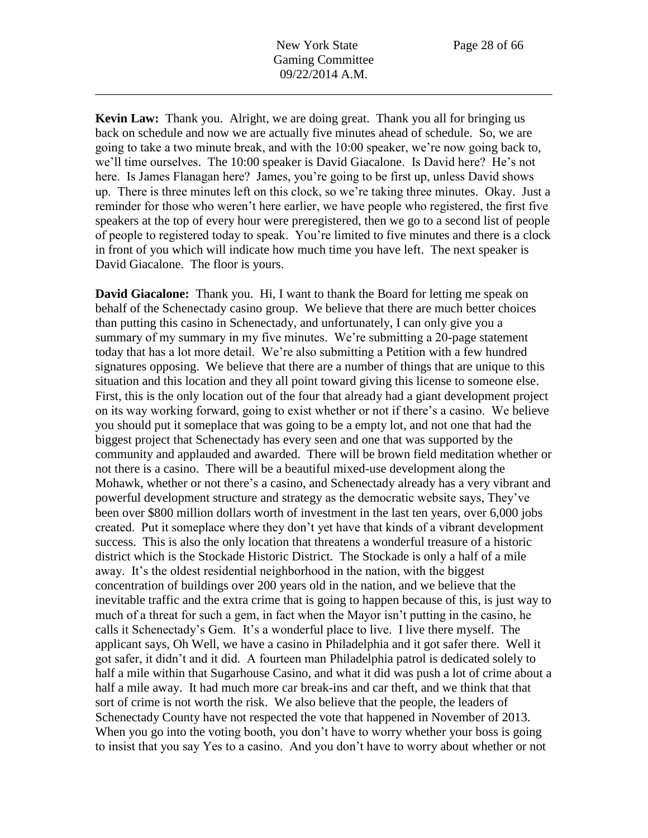New York State Page 28 of 66 Gaming Committee 09/22/2014 A.M.

\_\_\_\_\_\_\_\_\_\_\_\_\_\_\_\_\_\_\_\_\_\_\_\_\_\_\_\_\_\_\_\_\_\_\_\_\_\_\_\_\_\_\_\_\_\_\_\_\_\_\_\_\_\_\_\_\_\_\_\_\_\_\_\_\_\_\_\_\_\_\_\_

**Kevin Law:** Thank you. Alright, we are doing great. Thank you all for bringing us back on schedule and now we are actually five minutes ahead of schedule. So, we are going to take a two minute break, and with the 10:00 speaker, we're now going back to, we'll time ourselves. The 10:00 speaker is David Giacalone. Is David here? He's not here. Is James Flanagan here? James, you're going to be first up, unless David shows up. There is three minutes left on this clock, so we're taking three minutes. Okay. Just a reminder for those who weren't here earlier, we have people who registered, the first five speakers at the top of every hour were preregistered, then we go to a second list of people of people to registered today to speak. You're limited to five minutes and there is a clock in front of you which will indicate how much time you have left. The next speaker is David Giacalone. The floor is yours.

**David Giacalone:** Thank you. Hi, I want to thank the Board for letting me speak on behalf of the Schenectady casino group. We believe that there are much better choices than putting this casino in Schenectady, and unfortunately, I can only give you a summary of my summary in my five minutes. We're submitting a 20-page statement today that has a lot more detail. We're also submitting a Petition with a few hundred signatures opposing. We believe that there are a number of things that are unique to this situation and this location and they all point toward giving this license to someone else. First, this is the only location out of the four that already had a giant development project on its way working forward, going to exist whether or not if there's a casino. We believe you should put it someplace that was going to be a empty lot, and not one that had the biggest project that Schenectady has every seen and one that was supported by the community and applauded and awarded. There will be brown field meditation whether or not there is a casino. There will be a beautiful mixed-use development along the Mohawk, whether or not there's a casino, and Schenectady already has a very vibrant and powerful development structure and strategy as the democratic website says, They've been over \$800 million dollars worth of investment in the last ten years, over 6,000 jobs created. Put it someplace where they don't yet have that kinds of a vibrant development success. This is also the only location that threatens a wonderful treasure of a historic district which is the Stockade Historic District. The Stockade is only a half of a mile away. It's the oldest residential neighborhood in the nation, with the biggest concentration of buildings over 200 years old in the nation, and we believe that the inevitable traffic and the extra crime that is going to happen because of this, is just way to much of a threat for such a gem, in fact when the Mayor isn't putting in the casino, he calls it Schenectady's Gem. It's a wonderful place to live. I live there myself. The applicant says, Oh Well, we have a casino in Philadelphia and it got safer there. Well it got safer, it didn't and it did. A fourteen man Philadelphia patrol is dedicated solely to half a mile within that Sugarhouse Casino, and what it did was push a lot of crime about a half a mile away. It had much more car break-ins and car theft, and we think that that sort of crime is not worth the risk. We also believe that the people, the leaders of Schenectady County have not respected the vote that happened in November of 2013. When you go into the voting booth, you don't have to worry whether your boss is going to insist that you say Yes to a casino. And you don't have to worry about whether or not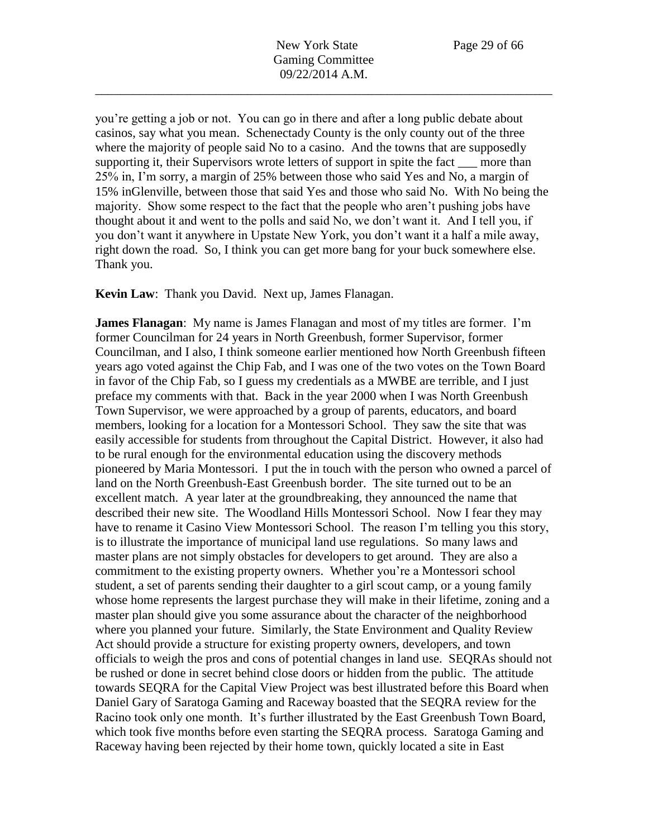New York State Page 29 of 66 Gaming Committee 09/22/2014 A.M.

\_\_\_\_\_\_\_\_\_\_\_\_\_\_\_\_\_\_\_\_\_\_\_\_\_\_\_\_\_\_\_\_\_\_\_\_\_\_\_\_\_\_\_\_\_\_\_\_\_\_\_\_\_\_\_\_\_\_\_\_\_\_\_\_\_\_\_\_\_\_\_\_

you're getting a job or not. You can go in there and after a long public debate about casinos, say what you mean. Schenectady County is the only county out of the three where the majority of people said No to a casino. And the towns that are supposedly supporting it, their Supervisors wrote letters of support in spite the fact <u>equal</u> more than 25% in, I'm sorry, a margin of 25% between those who said Yes and No, a margin of 15% inGlenville, between those that said Yes and those who said No. With No being the majority. Show some respect to the fact that the people who aren't pushing jobs have thought about it and went to the polls and said No, we don't want it. And I tell you, if you don't want it anywhere in Upstate New York, you don't want it a half a mile away, right down the road. So, I think you can get more bang for your buck somewhere else. Thank you.

**Kevin Law**: Thank you David. Next up, James Flanagan.

**James Flanagan**: My name is James Flanagan and most of my titles are former. I'm former Councilman for 24 years in North Greenbush, former Supervisor, former Councilman, and I also, I think someone earlier mentioned how North Greenbush fifteen years ago voted against the Chip Fab, and I was one of the two votes on the Town Board in favor of the Chip Fab, so I guess my credentials as a MWBE are terrible, and I just preface my comments with that. Back in the year 2000 when I was North Greenbush Town Supervisor, we were approached by a group of parents, educators, and board members, looking for a location for a Montessori School. They saw the site that was easily accessible for students from throughout the Capital District. However, it also had to be rural enough for the environmental education using the discovery methods pioneered by Maria Montessori. I put the in touch with the person who owned a parcel of land on the North Greenbush-East Greenbush border. The site turned out to be an excellent match. A year later at the groundbreaking, they announced the name that described their new site. The Woodland Hills Montessori School. Now I fear they may have to rename it Casino View Montessori School. The reason I'm telling you this story, is to illustrate the importance of municipal land use regulations. So many laws and master plans are not simply obstacles for developers to get around. They are also a commitment to the existing property owners. Whether you're a Montessori school student, a set of parents sending their daughter to a girl scout camp, or a young family whose home represents the largest purchase they will make in their lifetime, zoning and a master plan should give you some assurance about the character of the neighborhood where you planned your future. Similarly, the State Environment and Quality Review Act should provide a structure for existing property owners, developers, and town officials to weigh the pros and cons of potential changes in land use. SEQRAs should not be rushed or done in secret behind close doors or hidden from the public. The attitude towards SEQRA for the Capital View Project was best illustrated before this Board when Daniel Gary of Saratoga Gaming and Raceway boasted that the SEQRA review for the Racino took only one month. It's further illustrated by the East Greenbush Town Board, which took five months before even starting the SEQRA process. Saratoga Gaming and Raceway having been rejected by their home town, quickly located a site in East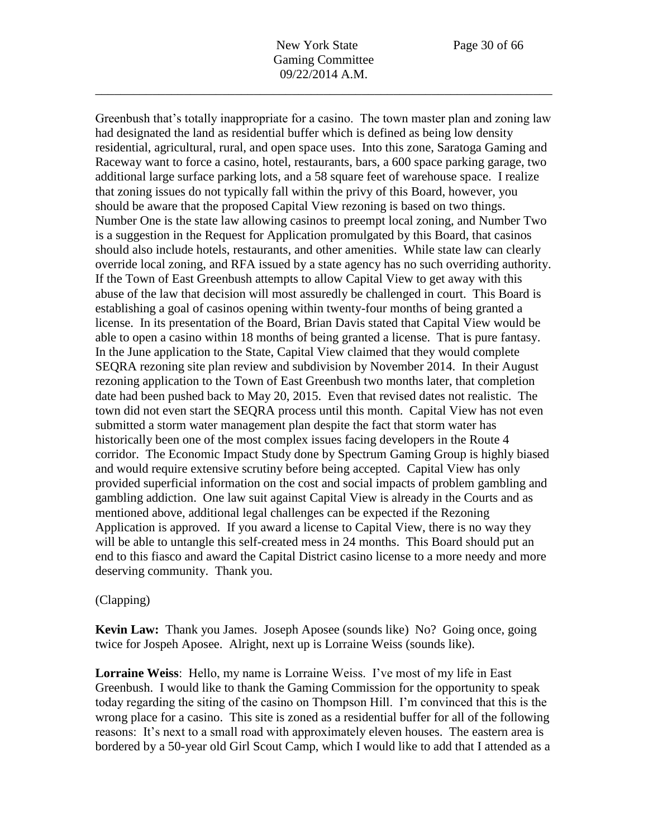Greenbush that's totally inappropriate for a casino. The town master plan and zoning law had designated the land as residential buffer which is defined as being low density residential, agricultural, rural, and open space uses. Into this zone, Saratoga Gaming and Raceway want to force a casino, hotel, restaurants, bars, a 600 space parking garage, two additional large surface parking lots, and a 58 square feet of warehouse space. I realize that zoning issues do not typically fall within the privy of this Board, however, you should be aware that the proposed Capital View rezoning is based on two things. Number One is the state law allowing casinos to preempt local zoning, and Number Two is a suggestion in the Request for Application promulgated by this Board, that casinos should also include hotels, restaurants, and other amenities. While state law can clearly override local zoning, and RFA issued by a state agency has no such overriding authority. If the Town of East Greenbush attempts to allow Capital View to get away with this abuse of the law that decision will most assuredly be challenged in court. This Board is establishing a goal of casinos opening within twenty-four months of being granted a license. In its presentation of the Board, Brian Davis stated that Capital View would be able to open a casino within 18 months of being granted a license. That is pure fantasy. In the June application to the State, Capital View claimed that they would complete SEQRA rezoning site plan review and subdivision by November 2014. In their August rezoning application to the Town of East Greenbush two months later, that completion date had been pushed back to May 20, 2015. Even that revised dates not realistic. The town did not even start the SEQRA process until this month. Capital View has not even submitted a storm water management plan despite the fact that storm water has historically been one of the most complex issues facing developers in the Route 4 corridor. The Economic Impact Study done by Spectrum Gaming Group is highly biased and would require extensive scrutiny before being accepted. Capital View has only provided superficial information on the cost and social impacts of problem gambling and gambling addiction. One law suit against Capital View is already in the Courts and as mentioned above, additional legal challenges can be expected if the Rezoning Application is approved. If you award a license to Capital View, there is no way they will be able to untangle this self-created mess in 24 months. This Board should put an end to this fiasco and award the Capital District casino license to a more needy and more deserving community. Thank you.

### (Clapping)

**Kevin Law:** Thank you James. Joseph Aposee (sounds like) No? Going once, going twice for Jospeh Aposee. Alright, next up is Lorraine Weiss (sounds like).

**Lorraine Weiss**: Hello, my name is Lorraine Weiss. I've most of my life in East Greenbush. I would like to thank the Gaming Commission for the opportunity to speak today regarding the siting of the casino on Thompson Hill. I'm convinced that this is the wrong place for a casino. This site is zoned as a residential buffer for all of the following reasons: It's next to a small road with approximately eleven houses. The eastern area is bordered by a 50-year old Girl Scout Camp, which I would like to add that I attended as a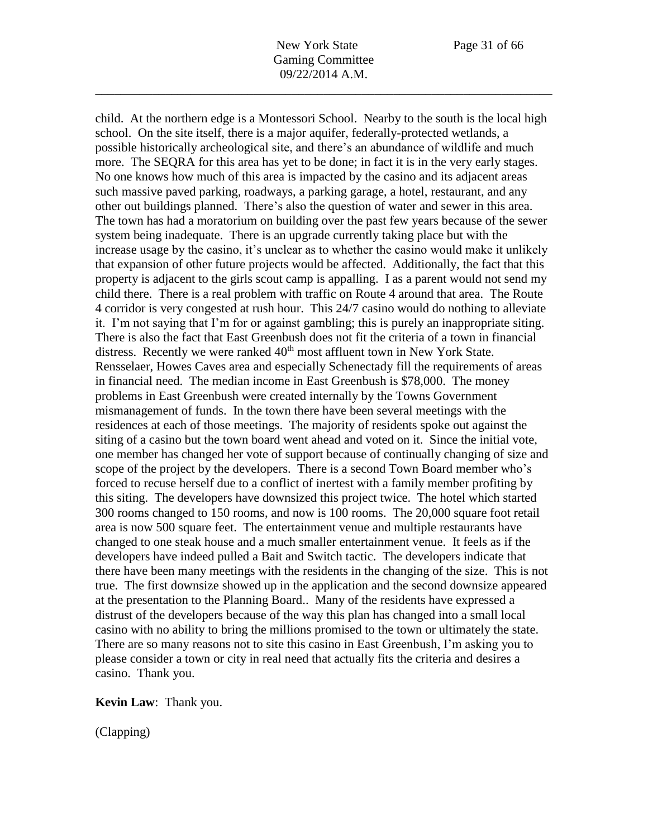child. At the northern edge is a Montessori School. Nearby to the south is the local high school. On the site itself, there is a major aquifer, federally-protected wetlands, a possible historically archeological site, and there's an abundance of wildlife and much more. The SEQRA for this area has yet to be done; in fact it is in the very early stages. No one knows how much of this area is impacted by the casino and its adjacent areas such massive paved parking, roadways, a parking garage, a hotel, restaurant, and any other out buildings planned. There's also the question of water and sewer in this area. The town has had a moratorium on building over the past few years because of the sewer system being inadequate. There is an upgrade currently taking place but with the increase usage by the casino, it's unclear as to whether the casino would make it unlikely that expansion of other future projects would be affected. Additionally, the fact that this property is adjacent to the girls scout camp is appalling. I as a parent would not send my child there. There is a real problem with traffic on Route 4 around that area. The Route 4 corridor is very congested at rush hour. This 24/7 casino would do nothing to alleviate it. I'm not saying that I'm for or against gambling; this is purely an inappropriate siting. There is also the fact that East Greenbush does not fit the criteria of a town in financial distress. Recently we were ranked  $40<sup>th</sup>$  most affluent town in New York State. Rensselaer, Howes Caves area and especially Schenectady fill the requirements of areas in financial need. The median income in East Greenbush is \$78,000. The money problems in East Greenbush were created internally by the Towns Government mismanagement of funds. In the town there have been several meetings with the residences at each of those meetings. The majority of residents spoke out against the siting of a casino but the town board went ahead and voted on it. Since the initial vote, one member has changed her vote of support because of continually changing of size and scope of the project by the developers. There is a second Town Board member who's forced to recuse herself due to a conflict of inertest with a family member profiting by this siting. The developers have downsized this project twice. The hotel which started 300 rooms changed to 150 rooms, and now is 100 rooms. The 20,000 square foot retail area is now 500 square feet. The entertainment venue and multiple restaurants have changed to one steak house and a much smaller entertainment venue. It feels as if the developers have indeed pulled a Bait and Switch tactic. The developers indicate that there have been many meetings with the residents in the changing of the size. This is not true. The first downsize showed up in the application and the second downsize appeared at the presentation to the Planning Board.. Many of the residents have expressed a distrust of the developers because of the way this plan has changed into a small local casino with no ability to bring the millions promised to the town or ultimately the state. There are so many reasons not to site this casino in East Greenbush, I'm asking you to please consider a town or city in real need that actually fits the criteria and desires a casino. Thank you.

**Kevin Law**: Thank you.

(Clapping)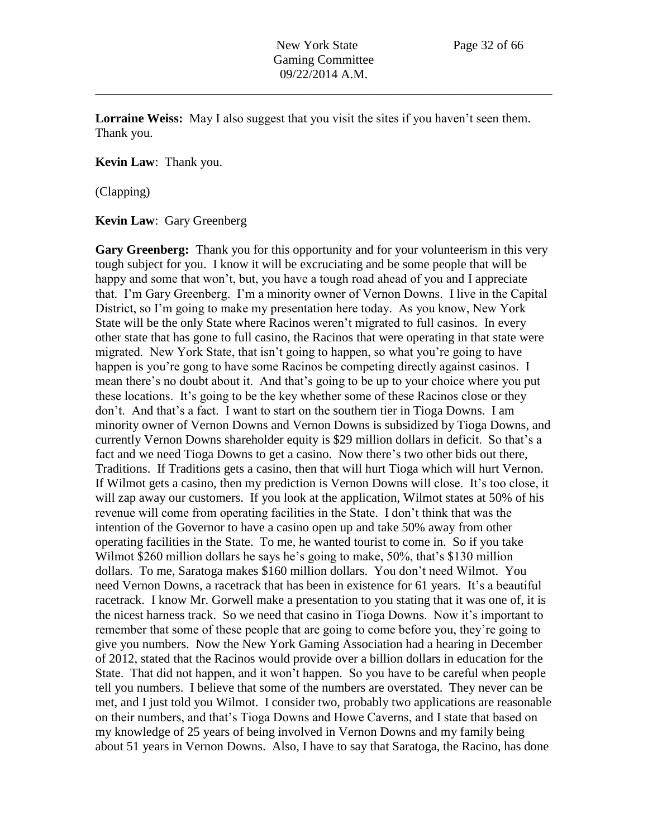**Lorraine Weiss:** May I also suggest that you visit the sites if you haven't seen them. Thank you.

**Kevin Law**: Thank you.

(Clapping)

**Kevin Law**: Gary Greenberg

Gary Greenberg: Thank you for this opportunity and for your volunteerism in this very tough subject for you. I know it will be excruciating and be some people that will be happy and some that won't, but, you have a tough road ahead of you and I appreciate that. I'm Gary Greenberg. I'm a minority owner of Vernon Downs. I live in the Capital District, so I'm going to make my presentation here today. As you know, New York State will be the only State where Racinos weren't migrated to full casinos. In every other state that has gone to full casino, the Racinos that were operating in that state were migrated. New York State, that isn't going to happen, so what you're going to have happen is you're gong to have some Racinos be competing directly against casinos. I mean there's no doubt about it. And that's going to be up to your choice where you put these locations. It's going to be the key whether some of these Racinos close or they don't. And that's a fact. I want to start on the southern tier in Tioga Downs. I am minority owner of Vernon Downs and Vernon Downs is subsidized by Tioga Downs, and currently Vernon Downs shareholder equity is \$29 million dollars in deficit. So that's a fact and we need Tioga Downs to get a casino. Now there's two other bids out there, Traditions. If Traditions gets a casino, then that will hurt Tioga which will hurt Vernon. If Wilmot gets a casino, then my prediction is Vernon Downs will close. It's too close, it will zap away our customers. If you look at the application, Wilmot states at 50% of his revenue will come from operating facilities in the State. I don't think that was the intention of the Governor to have a casino open up and take 50% away from other operating facilities in the State. To me, he wanted tourist to come in. So if you take Wilmot \$260 million dollars he says he's going to make, 50%, that's \$130 million dollars. To me, Saratoga makes \$160 million dollars. You don't need Wilmot. You need Vernon Downs, a racetrack that has been in existence for 61 years. It's a beautiful racetrack. I know Mr. Gorwell make a presentation to you stating that it was one of, it is the nicest harness track. So we need that casino in Tioga Downs. Now it's important to remember that some of these people that are going to come before you, they're going to give you numbers. Now the New York Gaming Association had a hearing in December of 2012, stated that the Racinos would provide over a billion dollars in education for the State. That did not happen, and it won't happen. So you have to be careful when people tell you numbers. I believe that some of the numbers are overstated. They never can be met, and I just told you Wilmot. I consider two, probably two applications are reasonable on their numbers, and that's Tioga Downs and Howe Caverns, and I state that based on my knowledge of 25 years of being involved in Vernon Downs and my family being about 51 years in Vernon Downs. Also, I have to say that Saratoga, the Racino, has done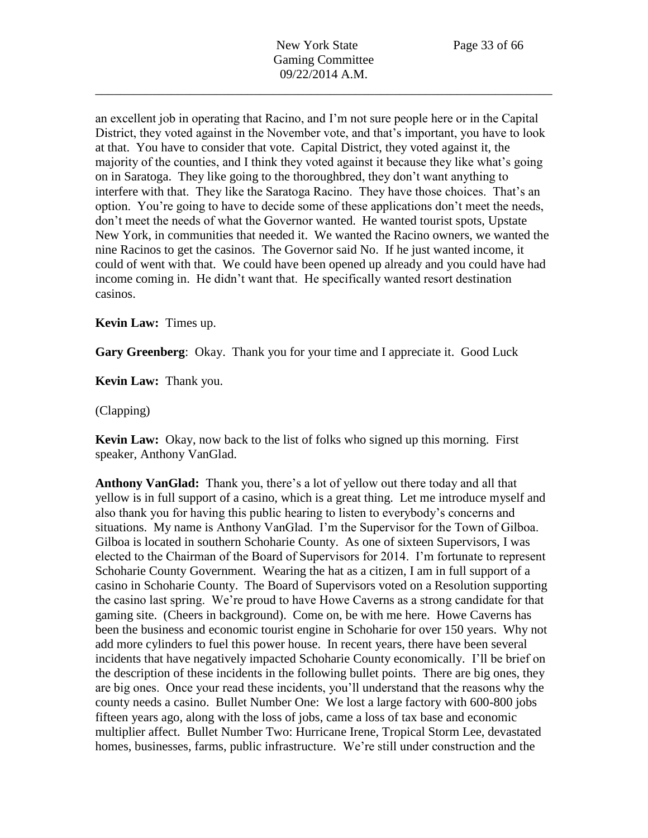an excellent job in operating that Racino, and I'm not sure people here or in the Capital District, they voted against in the November vote, and that's important, you have to look at that. You have to consider that vote. Capital District, they voted against it, the majority of the counties, and I think they voted against it because they like what's going on in Saratoga. They like going to the thoroughbred, they don't want anything to interfere with that. They like the Saratoga Racino. They have those choices. That's an option. You're going to have to decide some of these applications don't meet the needs, don't meet the needs of what the Governor wanted. He wanted tourist spots, Upstate New York, in communities that needed it. We wanted the Racino owners, we wanted the nine Racinos to get the casinos. The Governor said No. If he just wanted income, it could of went with that. We could have been opened up already and you could have had income coming in. He didn't want that. He specifically wanted resort destination casinos.

## **Kevin Law:** Times up.

**Gary Greenberg**: Okay. Thank you for your time and I appreciate it. Good Luck

**Kevin Law:** Thank you.

(Clapping)

**Kevin Law:** Okay, now back to the list of folks who signed up this morning. First speaker, Anthony VanGlad.

**Anthony VanGlad:** Thank you, there's a lot of yellow out there today and all that yellow is in full support of a casino, which is a great thing. Let me introduce myself and also thank you for having this public hearing to listen to everybody's concerns and situations. My name is Anthony VanGlad. I'm the Supervisor for the Town of Gilboa. Gilboa is located in southern Schoharie County. As one of sixteen Supervisors, I was elected to the Chairman of the Board of Supervisors for 2014. I'm fortunate to represent Schoharie County Government. Wearing the hat as a citizen, I am in full support of a casino in Schoharie County. The Board of Supervisors voted on a Resolution supporting the casino last spring. We're proud to have Howe Caverns as a strong candidate for that gaming site. (Cheers in background). Come on, be with me here. Howe Caverns has been the business and economic tourist engine in Schoharie for over 150 years. Why not add more cylinders to fuel this power house. In recent years, there have been several incidents that have negatively impacted Schoharie County economically. I'll be brief on the description of these incidents in the following bullet points. There are big ones, they are big ones. Once your read these incidents, you'll understand that the reasons why the county needs a casino. Bullet Number One: We lost a large factory with 600-800 jobs fifteen years ago, along with the loss of jobs, came a loss of tax base and economic multiplier affect. Bullet Number Two: Hurricane Irene, Tropical Storm Lee, devastated homes, businesses, farms, public infrastructure. We're still under construction and the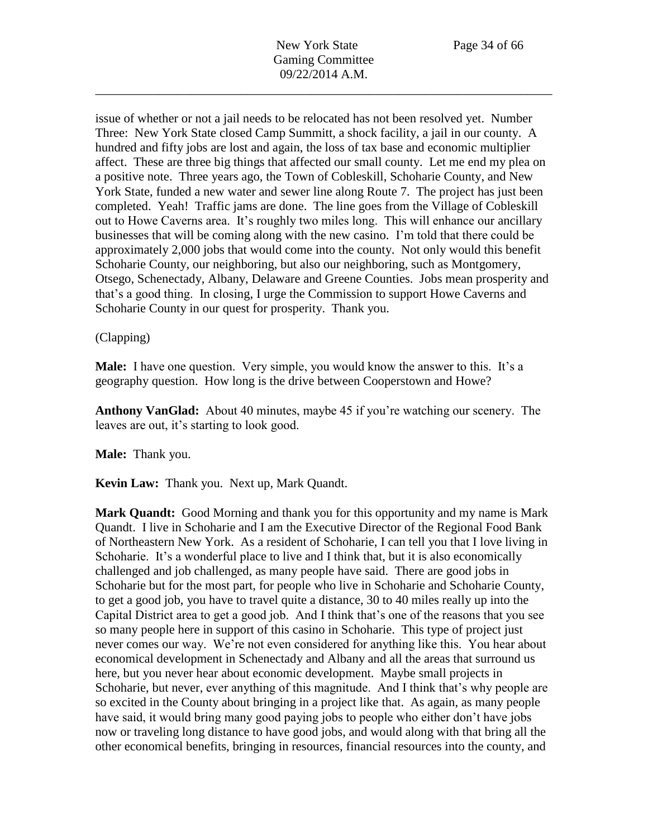issue of whether or not a jail needs to be relocated has not been resolved yet. Number Three: New York State closed Camp Summitt, a shock facility, a jail in our county. A hundred and fifty jobs are lost and again, the loss of tax base and economic multiplier affect. These are three big things that affected our small county. Let me end my plea on a positive note. Three years ago, the Town of Cobleskill, Schoharie County, and New York State, funded a new water and sewer line along Route 7. The project has just been completed. Yeah! Traffic jams are done. The line goes from the Village of Cobleskill out to Howe Caverns area. It's roughly two miles long. This will enhance our ancillary businesses that will be coming along with the new casino. I'm told that there could be approximately 2,000 jobs that would come into the county. Not only would this benefit Schoharie County, our neighboring, but also our neighboring, such as Montgomery, Otsego, Schenectady, Albany, Delaware and Greene Counties. Jobs mean prosperity and that's a good thing. In closing, I urge the Commission to support Howe Caverns and Schoharie County in our quest for prosperity. Thank you.

## (Clapping)

**Male:** I have one question. Very simple, you would know the answer to this. It's a geography question. How long is the drive between Cooperstown and Howe?

**Anthony VanGlad:** About 40 minutes, maybe 45 if you're watching our scenery. The leaves are out, it's starting to look good.

**Male:** Thank you.

**Kevin Law:** Thank you. Next up, Mark Quandt.

**Mark Quandt:** Good Morning and thank you for this opportunity and my name is Mark Quandt. I live in Schoharie and I am the Executive Director of the Regional Food Bank of Northeastern New York. As a resident of Schoharie, I can tell you that I love living in Schoharie. It's a wonderful place to live and I think that, but it is also economically challenged and job challenged, as many people have said. There are good jobs in Schoharie but for the most part, for people who live in Schoharie and Schoharie County, to get a good job, you have to travel quite a distance, 30 to 40 miles really up into the Capital District area to get a good job. And I think that's one of the reasons that you see so many people here in support of this casino in Schoharie. This type of project just never comes our way. We're not even considered for anything like this. You hear about economical development in Schenectady and Albany and all the areas that surround us here, but you never hear about economic development. Maybe small projects in Schoharie, but never, ever anything of this magnitude. And I think that's why people are so excited in the County about bringing in a project like that. As again, as many people have said, it would bring many good paying jobs to people who either don't have jobs now or traveling long distance to have good jobs, and would along with that bring all the other economical benefits, bringing in resources, financial resources into the county, and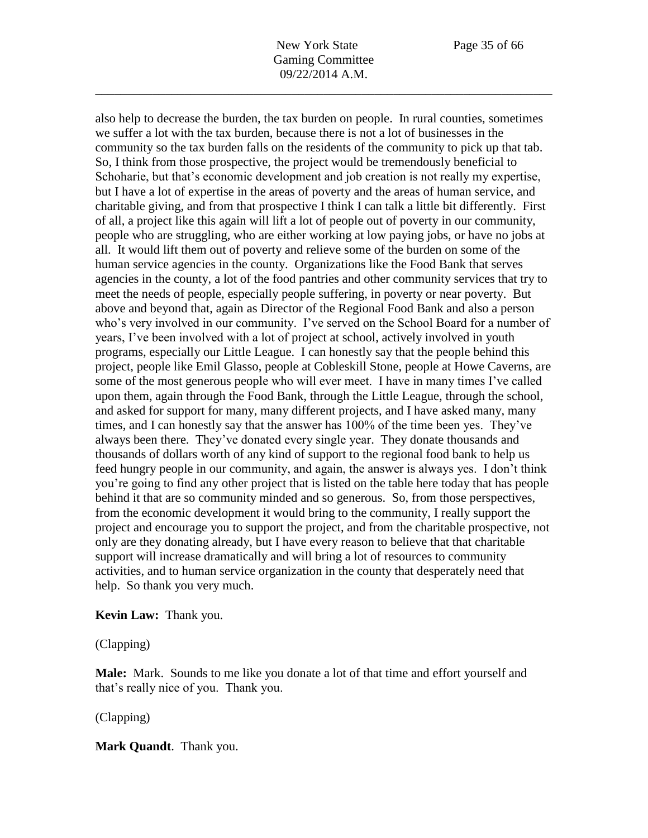also help to decrease the burden, the tax burden on people. In rural counties, sometimes we suffer a lot with the tax burden, because there is not a lot of businesses in the community so the tax burden falls on the residents of the community to pick up that tab. So, I think from those prospective, the project would be tremendously beneficial to Schoharie, but that's economic development and job creation is not really my expertise, but I have a lot of expertise in the areas of poverty and the areas of human service, and charitable giving, and from that prospective I think I can talk a little bit differently. First of all, a project like this again will lift a lot of people out of poverty in our community, people who are struggling, who are either working at low paying jobs, or have no jobs at all. It would lift them out of poverty and relieve some of the burden on some of the human service agencies in the county. Organizations like the Food Bank that serves agencies in the county, a lot of the food pantries and other community services that try to meet the needs of people, especially people suffering, in poverty or near poverty. But above and beyond that, again as Director of the Regional Food Bank and also a person who's very involved in our community. I've served on the School Board for a number of years, I've been involved with a lot of project at school, actively involved in youth programs, especially our Little League. I can honestly say that the people behind this project, people like Emil Glasso, people at Cobleskill Stone, people at Howe Caverns, are some of the most generous people who will ever meet. I have in many times I've called upon them, again through the Food Bank, through the Little League, through the school, and asked for support for many, many different projects, and I have asked many, many times, and I can honestly say that the answer has 100% of the time been yes. They've always been there. They've donated every single year. They donate thousands and thousands of dollars worth of any kind of support to the regional food bank to help us feed hungry people in our community, and again, the answer is always yes. I don't think you're going to find any other project that is listed on the table here today that has people behind it that are so community minded and so generous. So, from those perspectives, from the economic development it would bring to the community, I really support the project and encourage you to support the project, and from the charitable prospective, not only are they donating already, but I have every reason to believe that that charitable support will increase dramatically and will bring a lot of resources to community activities, and to human service organization in the county that desperately need that help. So thank you very much.

### **Kevin Law:** Thank you.

(Clapping)

**Male:** Mark. Sounds to me like you donate a lot of that time and effort yourself and that's really nice of you. Thank you.

(Clapping)

**Mark Quandt**. Thank you.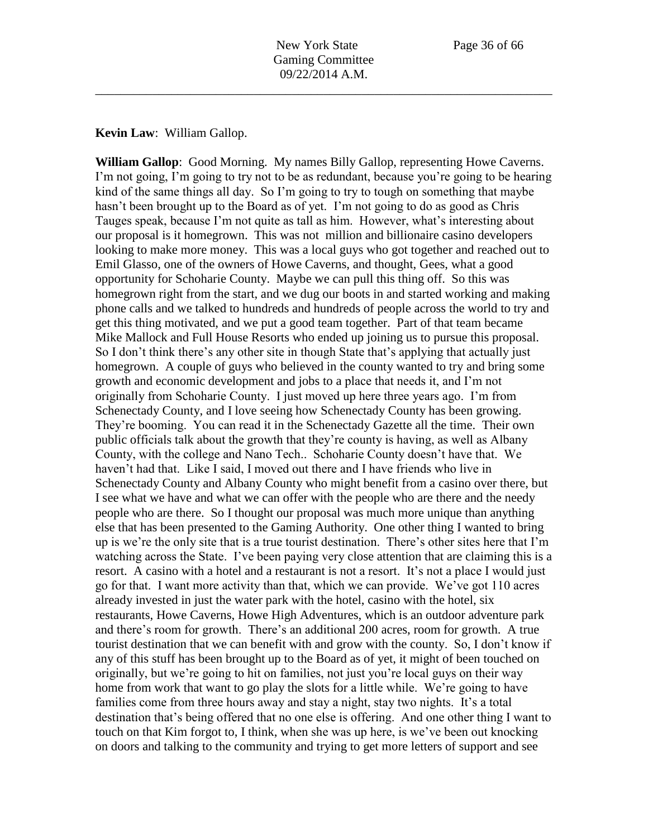**Kevin Law**: William Gallop.

**William Gallop**: Good Morning. My names Billy Gallop, representing Howe Caverns. I'm not going, I'm going to try not to be as redundant, because you're going to be hearing kind of the same things all day. So I'm going to try to tough on something that maybe hasn't been brought up to the Board as of yet. I'm not going to do as good as Chris Tauges speak, because I'm not quite as tall as him. However, what's interesting about our proposal is it homegrown. This was not million and billionaire casino developers looking to make more money. This was a local guys who got together and reached out to Emil Glasso, one of the owners of Howe Caverns, and thought, Gees, what a good opportunity for Schoharie County. Maybe we can pull this thing off. So this was homegrown right from the start, and we dug our boots in and started working and making phone calls and we talked to hundreds and hundreds of people across the world to try and get this thing motivated, and we put a good team together. Part of that team became Mike Mallock and Full House Resorts who ended up joining us to pursue this proposal. So I don't think there's any other site in though State that's applying that actually just homegrown. A couple of guys who believed in the county wanted to try and bring some growth and economic development and jobs to a place that needs it, and I'm not originally from Schoharie County. I just moved up here three years ago. I'm from Schenectady County, and I love seeing how Schenectady County has been growing. They're booming. You can read it in the Schenectady Gazette all the time. Their own public officials talk about the growth that they're county is having, as well as Albany County, with the college and Nano Tech.. Schoharie County doesn't have that. We haven't had that. Like I said, I moved out there and I have friends who live in Schenectady County and Albany County who might benefit from a casino over there, but I see what we have and what we can offer with the people who are there and the needy people who are there. So I thought our proposal was much more unique than anything else that has been presented to the Gaming Authority. One other thing I wanted to bring up is we're the only site that is a true tourist destination. There's other sites here that I'm watching across the State. I've been paying very close attention that are claiming this is a resort. A casino with a hotel and a restaurant is not a resort. It's not a place I would just go for that. I want more activity than that, which we can provide. We've got 110 acres already invested in just the water park with the hotel, casino with the hotel, six restaurants, Howe Caverns, Howe High Adventures, which is an outdoor adventure park and there's room for growth. There's an additional 200 acres, room for growth. A true tourist destination that we can benefit with and grow with the county. So, I don't know if any of this stuff has been brought up to the Board as of yet, it might of been touched on originally, but we're going to hit on families, not just you're local guys on their way home from work that want to go play the slots for a little while. We're going to have families come from three hours away and stay a night, stay two nights. It's a total destination that's being offered that no one else is offering. And one other thing I want to touch on that Kim forgot to, I think, when she was up here, is we've been out knocking on doors and talking to the community and trying to get more letters of support and see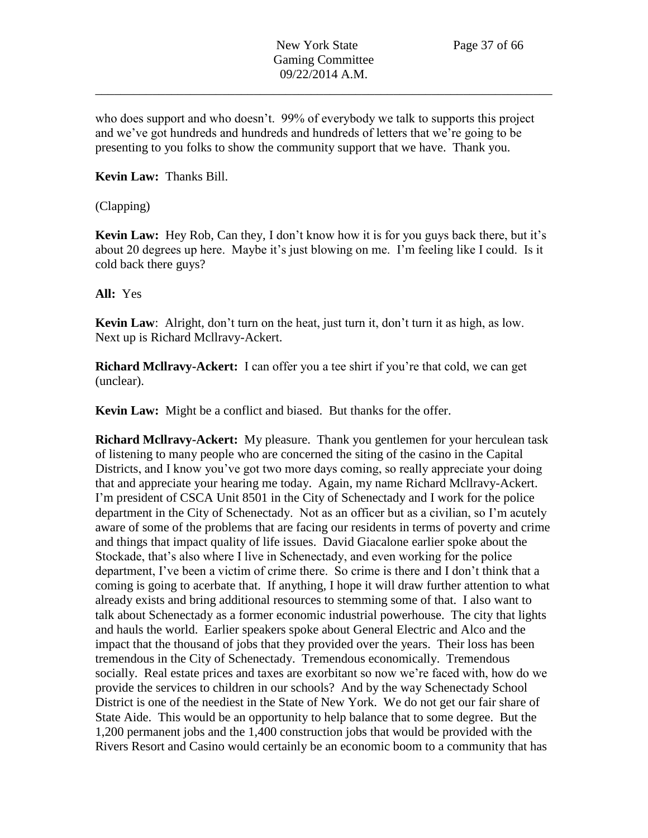who does support and who doesn't. 99% of everybody we talk to supports this project and we've got hundreds and hundreds and hundreds of letters that we're going to be presenting to you folks to show the community support that we have. Thank you.

## **Kevin Law:** Thanks Bill.

## (Clapping)

**Kevin Law:** Hey Rob, Can they, I don't know how it is for you guys back there, but it's about 20 degrees up here. Maybe it's just blowing on me. I'm feeling like I could. Is it cold back there guys?

### **All:** Yes

**Kevin Law**: Alright, don't turn on the heat, just turn it, don't turn it as high, as low. Next up is Richard Mcllravy-Ackert.

**Richard Mcllravy-Ackert:** I can offer you a tee shirt if you're that cold, we can get (unclear).

**Kevin Law:** Might be a conflict and biased. But thanks for the offer.

**Richard Mcllravy-Ackert:** My pleasure. Thank you gentlemen for your herculean task of listening to many people who are concerned the siting of the casino in the Capital Districts, and I know you've got two more days coming, so really appreciate your doing that and appreciate your hearing me today. Again, my name Richard Mcllravy-Ackert. I'm president of CSCA Unit 8501 in the City of Schenectady and I work for the police department in the City of Schenectady. Not as an officer but as a civilian, so I'm acutely aware of some of the problems that are facing our residents in terms of poverty and crime and things that impact quality of life issues. David Giacalone earlier spoke about the Stockade, that's also where I live in Schenectady, and even working for the police department, I've been a victim of crime there. So crime is there and I don't think that a coming is going to acerbate that. If anything, I hope it will draw further attention to what already exists and bring additional resources to stemming some of that. I also want to talk about Schenectady as a former economic industrial powerhouse. The city that lights and hauls the world. Earlier speakers spoke about General Electric and Alco and the impact that the thousand of jobs that they provided over the years. Their loss has been tremendous in the City of Schenectady. Tremendous economically. Tremendous socially. Real estate prices and taxes are exorbitant so now we're faced with, how do we provide the services to children in our schools? And by the way Schenectady School District is one of the neediest in the State of New York. We do not get our fair share of State Aide. This would be an opportunity to help balance that to some degree. But the 1,200 permanent jobs and the 1,400 construction jobs that would be provided with the Rivers Resort and Casino would certainly be an economic boom to a community that has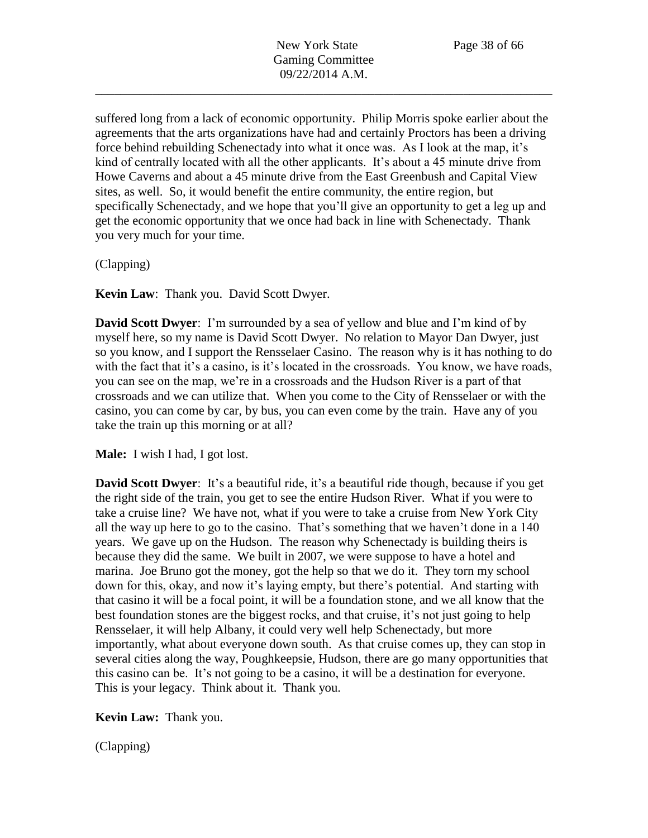suffered long from a lack of economic opportunity. Philip Morris spoke earlier about the agreements that the arts organizations have had and certainly Proctors has been a driving force behind rebuilding Schenectady into what it once was. As I look at the map, it's kind of centrally located with all the other applicants. It's about a 45 minute drive from Howe Caverns and about a 45 minute drive from the East Greenbush and Capital View sites, as well. So, it would benefit the entire community, the entire region, but specifically Schenectady, and we hope that you'll give an opportunity to get a leg up and get the economic opportunity that we once had back in line with Schenectady. Thank you very much for your time.

(Clapping)

**Kevin Law**: Thank you. David Scott Dwyer.

**David Scott Dwyer**: I'm surrounded by a sea of yellow and blue and I'm kind of by myself here, so my name is David Scott Dwyer. No relation to Mayor Dan Dwyer, just so you know, and I support the Rensselaer Casino. The reason why is it has nothing to do with the fact that it's a casino, is it's located in the crossroads. You know, we have roads, you can see on the map, we're in a crossroads and the Hudson River is a part of that crossroads and we can utilize that. When you come to the City of Rensselaer or with the casino, you can come by car, by bus, you can even come by the train. Have any of you take the train up this morning or at all?

**Male:** I wish I had, I got lost.

**David Scott Dwyer**: It's a beautiful ride, it's a beautiful ride though, because if you get the right side of the train, you get to see the entire Hudson River. What if you were to take a cruise line? We have not, what if you were to take a cruise from New York City all the way up here to go to the casino. That's something that we haven't done in a 140 years. We gave up on the Hudson. The reason why Schenectady is building theirs is because they did the same. We built in 2007, we were suppose to have a hotel and marina. Joe Bruno got the money, got the help so that we do it. They torn my school down for this, okay, and now it's laying empty, but there's potential. And starting with that casino it will be a focal point, it will be a foundation stone, and we all know that the best foundation stones are the biggest rocks, and that cruise, it's not just going to help Rensselaer, it will help Albany, it could very well help Schenectady, but more importantly, what about everyone down south. As that cruise comes up, they can stop in several cities along the way, Poughkeepsie, Hudson, there are go many opportunities that this casino can be. It's not going to be a casino, it will be a destination for everyone. This is your legacy. Think about it. Thank you.

**Kevin Law:** Thank you.

(Clapping)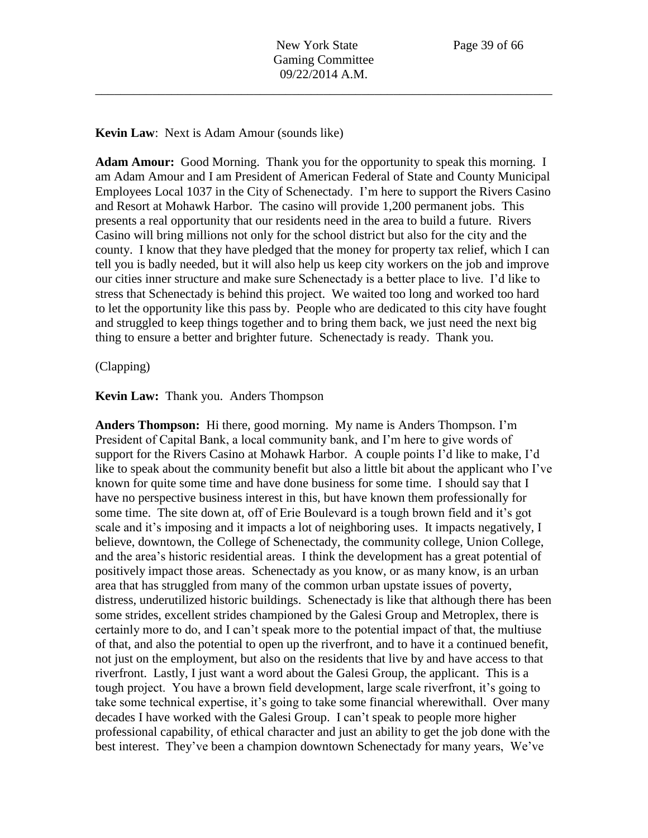#### **Kevin Law**: Next is Adam Amour (sounds like)

**Adam Amour:** Good Morning. Thank you for the opportunity to speak this morning. I am Adam Amour and I am President of American Federal of State and County Municipal Employees Local 1037 in the City of Schenectady. I'm here to support the Rivers Casino and Resort at Mohawk Harbor. The casino will provide 1,200 permanent jobs. This presents a real opportunity that our residents need in the area to build a future. Rivers Casino will bring millions not only for the school district but also for the city and the county. I know that they have pledged that the money for property tax relief, which I can tell you is badly needed, but it will also help us keep city workers on the job and improve our cities inner structure and make sure Schenectady is a better place to live. I'd like to stress that Schenectady is behind this project. We waited too long and worked too hard to let the opportunity like this pass by. People who are dedicated to this city have fought and struggled to keep things together and to bring them back, we just need the next big thing to ensure a better and brighter future. Schenectady is ready. Thank you.

#### (Clapping)

### **Kevin Law:** Thank you. Anders Thompson

**Anders Thompson:** Hi there, good morning. My name is Anders Thompson. I'm President of Capital Bank, a local community bank, and I'm here to give words of support for the Rivers Casino at Mohawk Harbor. A couple points I'd like to make, I'd like to speak about the community benefit but also a little bit about the applicant who I've known for quite some time and have done business for some time. I should say that I have no perspective business interest in this, but have known them professionally for some time. The site down at, off of Erie Boulevard is a tough brown field and it's got scale and it's imposing and it impacts a lot of neighboring uses. It impacts negatively, I believe, downtown, the College of Schenectady, the community college, Union College, and the area's historic residential areas. I think the development has a great potential of positively impact those areas. Schenectady as you know, or as many know, is an urban area that has struggled from many of the common urban upstate issues of poverty, distress, underutilized historic buildings. Schenectady is like that although there has been some strides, excellent strides championed by the Galesi Group and Metroplex, there is certainly more to do, and I can't speak more to the potential impact of that, the multiuse of that, and also the potential to open up the riverfront, and to have it a continued benefit, not just on the employment, but also on the residents that live by and have access to that riverfront. Lastly, I just want a word about the Galesi Group, the applicant. This is a tough project. You have a brown field development, large scale riverfront, it's going to take some technical expertise, it's going to take some financial wherewithall. Over many decades I have worked with the Galesi Group. I can't speak to people more higher professional capability, of ethical character and just an ability to get the job done with the best interest. They've been a champion downtown Schenectady for many years, We've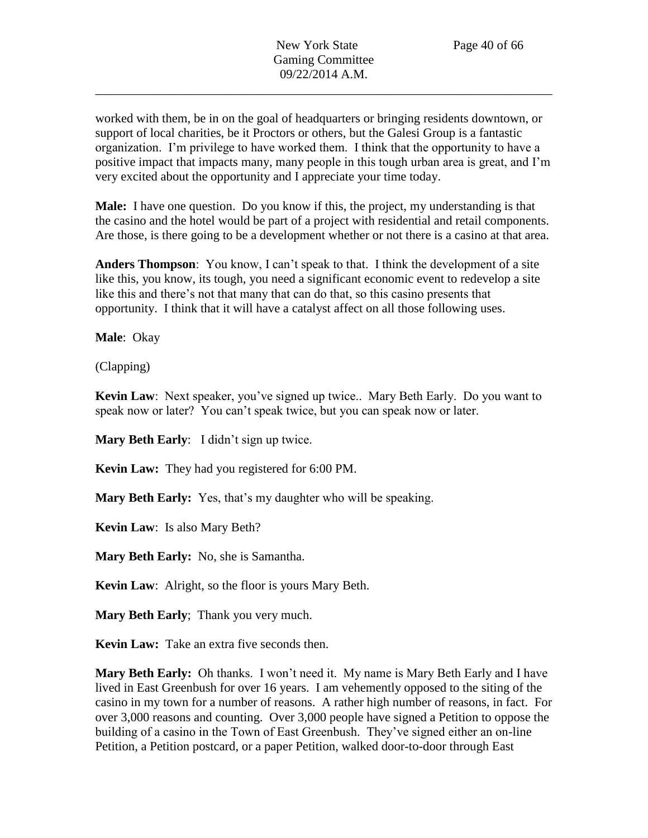worked with them, be in on the goal of headquarters or bringing residents downtown, or support of local charities, be it Proctors or others, but the Galesi Group is a fantastic organization. I'm privilege to have worked them. I think that the opportunity to have a positive impact that impacts many, many people in this tough urban area is great, and I'm very excited about the opportunity and I appreciate your time today.

**Male:** I have one question. Do you know if this, the project, my understanding is that the casino and the hotel would be part of a project with residential and retail components. Are those, is there going to be a development whether or not there is a casino at that area.

**Anders Thompson**: You know, I can't speak to that. I think the development of a site like this, you know, its tough, you need a significant economic event to redevelop a site like this and there's not that many that can do that, so this casino presents that opportunity. I think that it will have a catalyst affect on all those following uses.

**Male**: Okay

(Clapping)

**Kevin Law**: Next speaker, you've signed up twice.. Mary Beth Early. Do you want to speak now or later? You can't speak twice, but you can speak now or later.

**Mary Beth Early**: I didn't sign up twice.

**Kevin Law:** They had you registered for 6:00 PM.

**Mary Beth Early:** Yes, that's my daughter who will be speaking.

**Kevin Law**: Is also Mary Beth?

**Mary Beth Early:** No, she is Samantha.

**Kevin Law**: Alright, so the floor is yours Mary Beth.

**Mary Beth Early**; Thank you very much.

**Kevin Law:** Take an extra five seconds then.

**Mary Beth Early:** Oh thanks. I won't need it. My name is Mary Beth Early and I have lived in East Greenbush for over 16 years. I am vehemently opposed to the siting of the casino in my town for a number of reasons. A rather high number of reasons, in fact. For over 3,000 reasons and counting. Over 3,000 people have signed a Petition to oppose the building of a casino in the Town of East Greenbush. They've signed either an on-line Petition, a Petition postcard, or a paper Petition, walked door-to-door through East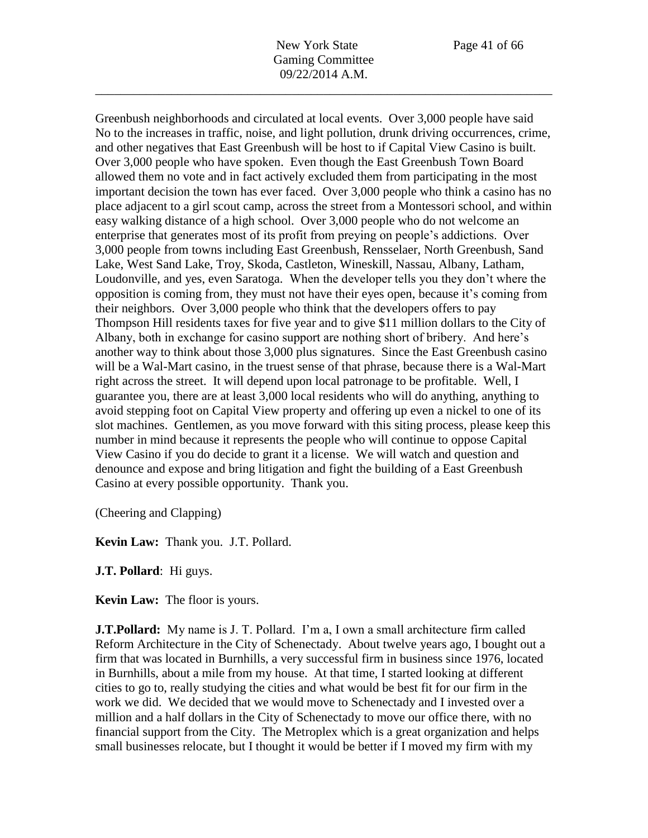Greenbush neighborhoods and circulated at local events. Over 3,000 people have said No to the increases in traffic, noise, and light pollution, drunk driving occurrences, crime, and other negatives that East Greenbush will be host to if Capital View Casino is built. Over 3,000 people who have spoken. Even though the East Greenbush Town Board allowed them no vote and in fact actively excluded them from participating in the most important decision the town has ever faced. Over 3,000 people who think a casino has no place adjacent to a girl scout camp, across the street from a Montessori school, and within easy walking distance of a high school. Over 3,000 people who do not welcome an enterprise that generates most of its profit from preying on people's addictions. Over 3,000 people from towns including East Greenbush, Rensselaer, North Greenbush, Sand Lake, West Sand Lake, Troy, Skoda, Castleton, Wineskill, Nassau, Albany, Latham, Loudonville, and yes, even Saratoga. When the developer tells you they don't where the opposition is coming from, they must not have their eyes open, because it's coming from their neighbors. Over 3,000 people who think that the developers offers to pay Thompson Hill residents taxes for five year and to give \$11 million dollars to the City of Albany, both in exchange for casino support are nothing short of bribery. And here's another way to think about those 3,000 plus signatures. Since the East Greenbush casino will be a Wal-Mart casino, in the truest sense of that phrase, because there is a Wal-Mart right across the street. It will depend upon local patronage to be profitable. Well, I guarantee you, there are at least 3,000 local residents who will do anything, anything to avoid stepping foot on Capital View property and offering up even a nickel to one of its slot machines. Gentlemen, as you move forward with this siting process, please keep this number in mind because it represents the people who will continue to oppose Capital View Casino if you do decide to grant it a license. We will watch and question and denounce and expose and bring litigation and fight the building of a East Greenbush Casino at every possible opportunity. Thank you.

(Cheering and Clapping)

**Kevin Law:** Thank you. J.T. Pollard.

**J.T. Pollard**: Hi guys.

**Kevin Law:** The floor is yours.

**J.T.Pollard:** My name is J. T. Pollard. I'm a, I own a small architecture firm called Reform Architecture in the City of Schenectady. About twelve years ago, I bought out a firm that was located in Burnhills, a very successful firm in business since 1976, located in Burnhills, about a mile from my house. At that time, I started looking at different cities to go to, really studying the cities and what would be best fit for our firm in the work we did. We decided that we would move to Schenectady and I invested over a million and a half dollars in the City of Schenectady to move our office there, with no financial support from the City. The Metroplex which is a great organization and helps small businesses relocate, but I thought it would be better if I moved my firm with my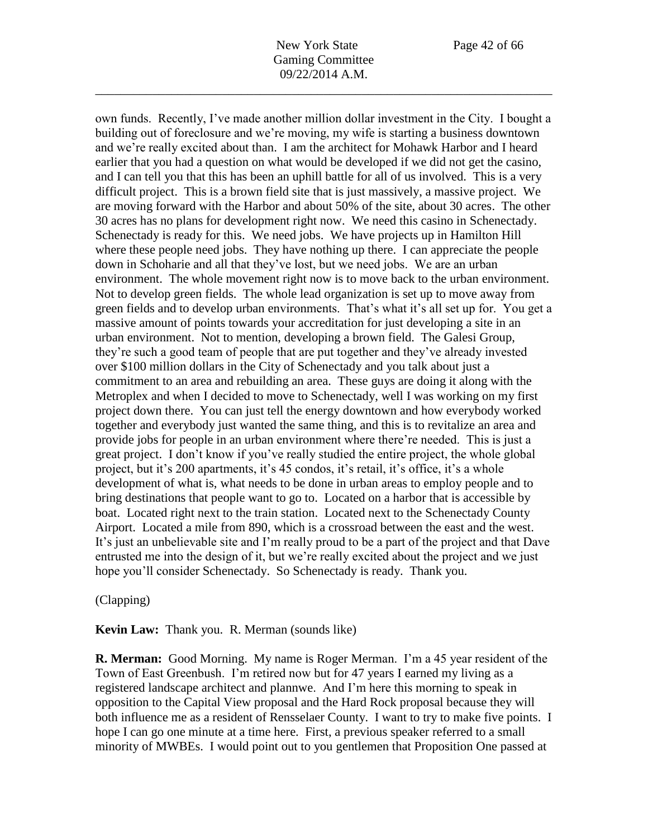New York State Page 42 of 66 Gaming Committee 09/22/2014 A.M.

\_\_\_\_\_\_\_\_\_\_\_\_\_\_\_\_\_\_\_\_\_\_\_\_\_\_\_\_\_\_\_\_\_\_\_\_\_\_\_\_\_\_\_\_\_\_\_\_\_\_\_\_\_\_\_\_\_\_\_\_\_\_\_\_\_\_\_\_\_\_\_\_

own funds. Recently, I've made another million dollar investment in the City. I bought a building out of foreclosure and we're moving, my wife is starting a business downtown and we're really excited about than. I am the architect for Mohawk Harbor and I heard earlier that you had a question on what would be developed if we did not get the casino, and I can tell you that this has been an uphill battle for all of us involved. This is a very difficult project. This is a brown field site that is just massively, a massive project. We are moving forward with the Harbor and about 50% of the site, about 30 acres. The other 30 acres has no plans for development right now. We need this casino in Schenectady. Schenectady is ready for this. We need jobs. We have projects up in Hamilton Hill where these people need jobs. They have nothing up there. I can appreciate the people down in Schoharie and all that they've lost, but we need jobs. We are an urban environment. The whole movement right now is to move back to the urban environment. Not to develop green fields. The whole lead organization is set up to move away from green fields and to develop urban environments. That's what it's all set up for. You get a massive amount of points towards your accreditation for just developing a site in an urban environment. Not to mention, developing a brown field. The Galesi Group, they're such a good team of people that are put together and they've already invested over \$100 million dollars in the City of Schenectady and you talk about just a commitment to an area and rebuilding an area. These guys are doing it along with the Metroplex and when I decided to move to Schenectady, well I was working on my first project down there. You can just tell the energy downtown and how everybody worked together and everybody just wanted the same thing, and this is to revitalize an area and provide jobs for people in an urban environment where there're needed. This is just a great project. I don't know if you've really studied the entire project, the whole global project, but it's 200 apartments, it's 45 condos, it's retail, it's office, it's a whole development of what is, what needs to be done in urban areas to employ people and to bring destinations that people want to go to. Located on a harbor that is accessible by boat. Located right next to the train station. Located next to the Schenectady County Airport. Located a mile from 890, which is a crossroad between the east and the west. It's just an unbelievable site and I'm really proud to be a part of the project and that Dave entrusted me into the design of it, but we're really excited about the project and we just hope you'll consider Schenectady. So Schenectady is ready. Thank you.

### (Clapping)

### **Kevin Law:** Thank you. R. Merman (sounds like)

**R. Merman:** Good Morning. My name is Roger Merman. I'm a 45 year resident of the Town of East Greenbush. I'm retired now but for 47 years I earned my living as a registered landscape architect and plannwe. And I'm here this morning to speak in opposition to the Capital View proposal and the Hard Rock proposal because they will both influence me as a resident of Rensselaer County. I want to try to make five points. I hope I can go one minute at a time here. First, a previous speaker referred to a small minority of MWBEs. I would point out to you gentlemen that Proposition One passed at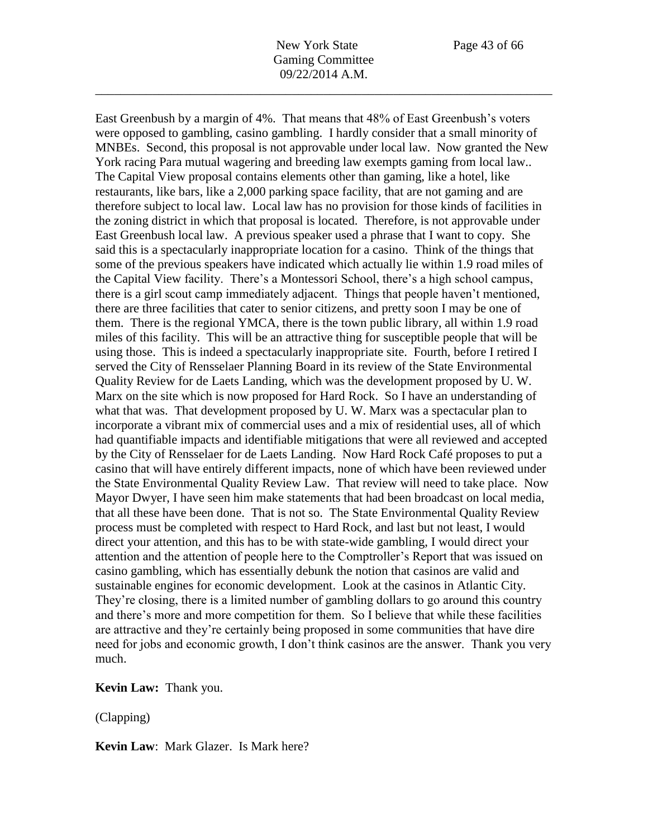East Greenbush by a margin of 4%. That means that 48% of East Greenbush's voters

were opposed to gambling, casino gambling. I hardly consider that a small minority of MNBEs. Second, this proposal is not approvable under local law. Now granted the New York racing Para mutual wagering and breeding law exempts gaming from local law.. The Capital View proposal contains elements other than gaming, like a hotel, like restaurants, like bars, like a 2,000 parking space facility, that are not gaming and are therefore subject to local law. Local law has no provision for those kinds of facilities in the zoning district in which that proposal is located. Therefore, is not approvable under East Greenbush local law. A previous speaker used a phrase that I want to copy. She said this is a spectacularly inappropriate location for a casino. Think of the things that some of the previous speakers have indicated which actually lie within 1.9 road miles of the Capital View facility. There's a Montessori School, there's a high school campus, there is a girl scout camp immediately adjacent. Things that people haven't mentioned, there are three facilities that cater to senior citizens, and pretty soon I may be one of them. There is the regional YMCA, there is the town public library, all within 1.9 road miles of this facility. This will be an attractive thing for susceptible people that will be using those. This is indeed a spectacularly inappropriate site. Fourth, before I retired I served the City of Rensselaer Planning Board in its review of the State Environmental Quality Review for de Laets Landing, which was the development proposed by U. W. Marx on the site which is now proposed for Hard Rock. So I have an understanding of what that was. That development proposed by U. W. Marx was a spectacular plan to incorporate a vibrant mix of commercial uses and a mix of residential uses, all of which had quantifiable impacts and identifiable mitigations that were all reviewed and accepted by the City of Rensselaer for de Laets Landing. Now Hard Rock Café proposes to put a casino that will have entirely different impacts, none of which have been reviewed under the State Environmental Quality Review Law. That review will need to take place. Now Mayor Dwyer, I have seen him make statements that had been broadcast on local media, that all these have been done. That is not so. The State Environmental Quality Review process must be completed with respect to Hard Rock, and last but not least, I would direct your attention, and this has to be with state-wide gambling, I would direct your attention and the attention of people here to the Comptroller's Report that was issued on casino gambling, which has essentially debunk the notion that casinos are valid and sustainable engines for economic development. Look at the casinos in Atlantic City. They're closing, there is a limited number of gambling dollars to go around this country and there's more and more competition for them. So I believe that while these facilities are attractive and they're certainly being proposed in some communities that have dire need for jobs and economic growth, I don't think casinos are the answer. Thank you very much.

**Kevin Law:** Thank you.

(Clapping)

**Kevin Law**: Mark Glazer. Is Mark here?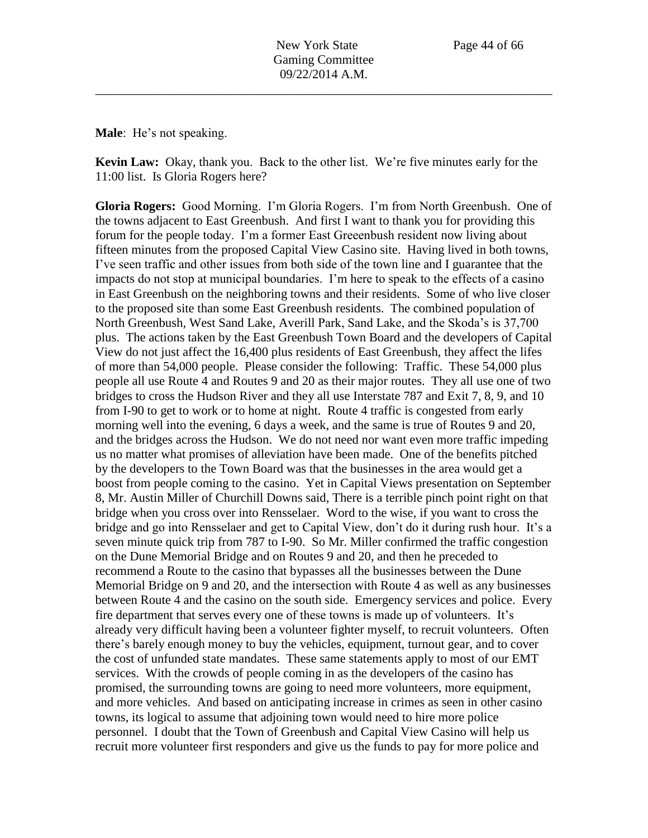**Male**: He's not speaking.

**Kevin Law:** Okay, thank you. Back to the other list. We're five minutes early for the 11:00 list. Is Gloria Rogers here?

**Gloria Rogers:** Good Morning. I'm Gloria Rogers. I'm from North Greenbush. One of the towns adjacent to East Greenbush. And first I want to thank you for providing this forum for the people today. I'm a former East Greeenbush resident now living about fifteen minutes from the proposed Capital View Casino site. Having lived in both towns, I've seen traffic and other issues from both side of the town line and I guarantee that the impacts do not stop at municipal boundaries. I'm here to speak to the effects of a casino in East Greenbush on the neighboring towns and their residents. Some of who live closer to the proposed site than some East Greenbush residents. The combined population of North Greenbush, West Sand Lake, Averill Park, Sand Lake, and the Skoda's is 37,700 plus. The actions taken by the East Greenbush Town Board and the developers of Capital View do not just affect the 16,400 plus residents of East Greenbush, they affect the lifes of more than 54,000 people. Please consider the following: Traffic. These 54,000 plus people all use Route 4 and Routes 9 and 20 as their major routes. They all use one of two bridges to cross the Hudson River and they all use Interstate 787 and Exit 7, 8, 9, and 10 from I-90 to get to work or to home at night. Route 4 traffic is congested from early morning well into the evening, 6 days a week, and the same is true of Routes 9 and 20, and the bridges across the Hudson. We do not need nor want even more traffic impeding us no matter what promises of alleviation have been made. One of the benefits pitched by the developers to the Town Board was that the businesses in the area would get a boost from people coming to the casino. Yet in Capital Views presentation on September 8, Mr. Austin Miller of Churchill Downs said, There is a terrible pinch point right on that bridge when you cross over into Rensselaer. Word to the wise, if you want to cross the bridge and go into Rensselaer and get to Capital View, don't do it during rush hour. It's a seven minute quick trip from 787 to I-90. So Mr. Miller confirmed the traffic congestion on the Dune Memorial Bridge and on Routes 9 and 20, and then he preceded to recommend a Route to the casino that bypasses all the businesses between the Dune Memorial Bridge on 9 and 20, and the intersection with Route 4 as well as any businesses between Route 4 and the casino on the south side. Emergency services and police. Every fire department that serves every one of these towns is made up of volunteers. It's already very difficult having been a volunteer fighter myself, to recruit volunteers. Often there's barely enough money to buy the vehicles, equipment, turnout gear, and to cover the cost of unfunded state mandates. These same statements apply to most of our EMT services. With the crowds of people coming in as the developers of the casino has promised, the surrounding towns are going to need more volunteers, more equipment, and more vehicles. And based on anticipating increase in crimes as seen in other casino towns, its logical to assume that adjoining town would need to hire more police personnel. I doubt that the Town of Greenbush and Capital View Casino will help us recruit more volunteer first responders and give us the funds to pay for more police and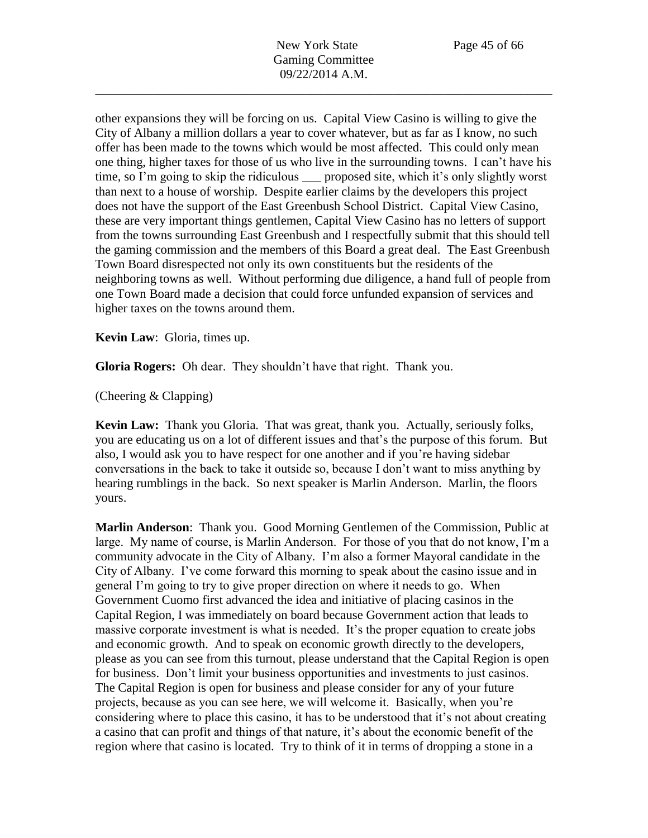other expansions they will be forcing on us. Capital View Casino is willing to give the City of Albany a million dollars a year to cover whatever, but as far as I know, no such offer has been made to the towns which would be most affected. This could only mean one thing, higher taxes for those of us who live in the surrounding towns. I can't have his time, so I'm going to skip the ridiculous \_\_\_ proposed site, which it's only slightly worst than next to a house of worship. Despite earlier claims by the developers this project does not have the support of the East Greenbush School District. Capital View Casino, these are very important things gentlemen, Capital View Casino has no letters of support from the towns surrounding East Greenbush and I respectfully submit that this should tell the gaming commission and the members of this Board a great deal. The East Greenbush Town Board disrespected not only its own constituents but the residents of the neighboring towns as well. Without performing due diligence, a hand full of people from one Town Board made a decision that could force unfunded expansion of services and higher taxes on the towns around them.

**Kevin Law**: Gloria, times up.

**Gloria Rogers:** Oh dear. They shouldn't have that right. Thank you.

(Cheering & Clapping)

**Kevin Law:** Thank you Gloria. That was great, thank you. Actually, seriously folks, you are educating us on a lot of different issues and that's the purpose of this forum. But also, I would ask you to have respect for one another and if you're having sidebar conversations in the back to take it outside so, because I don't want to miss anything by hearing rumblings in the back. So next speaker is Marlin Anderson. Marlin, the floors yours.

**Marlin Anderson**: Thank you. Good Morning Gentlemen of the Commission, Public at large. My name of course, is Marlin Anderson. For those of you that do not know, I'm a community advocate in the City of Albany. I'm also a former Mayoral candidate in the City of Albany. I've come forward this morning to speak about the casino issue and in general I'm going to try to give proper direction on where it needs to go. When Government Cuomo first advanced the idea and initiative of placing casinos in the Capital Region, I was immediately on board because Government action that leads to massive corporate investment is what is needed. It's the proper equation to create jobs and economic growth. And to speak on economic growth directly to the developers, please as you can see from this turnout, please understand that the Capital Region is open for business. Don't limit your business opportunities and investments to just casinos. The Capital Region is open for business and please consider for any of your future projects, because as you can see here, we will welcome it. Basically, when you're considering where to place this casino, it has to be understood that it's not about creating a casino that can profit and things of that nature, it's about the economic benefit of the region where that casino is located. Try to think of it in terms of dropping a stone in a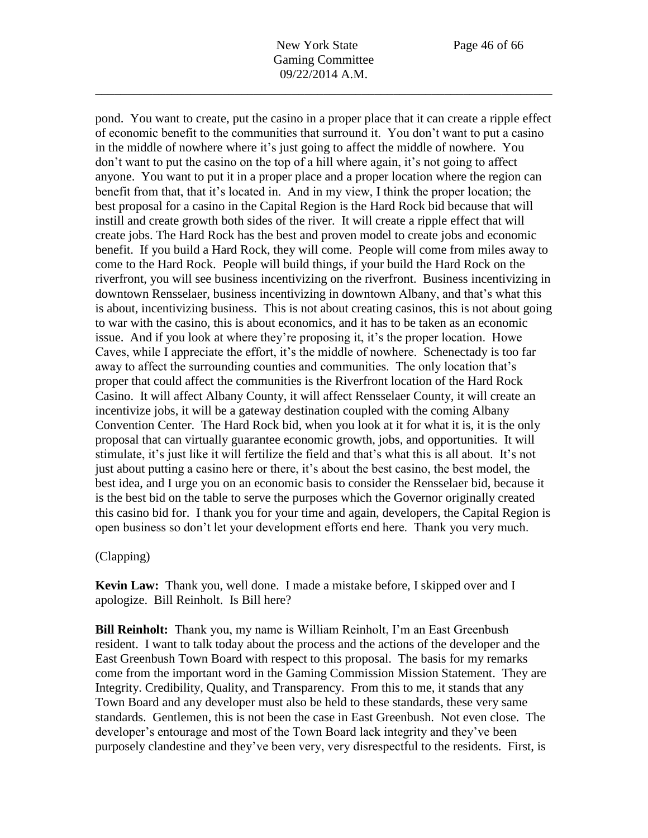pond. You want to create, put the casino in a proper place that it can create a ripple effect of economic benefit to the communities that surround it. You don't want to put a casino in the middle of nowhere where it's just going to affect the middle of nowhere. You don't want to put the casino on the top of a hill where again, it's not going to affect anyone. You want to put it in a proper place and a proper location where the region can benefit from that, that it's located in. And in my view, I think the proper location; the best proposal for a casino in the Capital Region is the Hard Rock bid because that will instill and create growth both sides of the river. It will create a ripple effect that will create jobs. The Hard Rock has the best and proven model to create jobs and economic benefit. If you build a Hard Rock, they will come. People will come from miles away to come to the Hard Rock. People will build things, if your build the Hard Rock on the riverfront, you will see business incentivizing on the riverfront. Business incentivizing in downtown Rensselaer, business incentivizing in downtown Albany, and that's what this is about, incentivizing business. This is not about creating casinos, this is not about going to war with the casino, this is about economics, and it has to be taken as an economic issue. And if you look at where they're proposing it, it's the proper location. Howe Caves, while I appreciate the effort, it's the middle of nowhere. Schenectady is too far away to affect the surrounding counties and communities. The only location that's proper that could affect the communities is the Riverfront location of the Hard Rock Casino. It will affect Albany County, it will affect Rensselaer County, it will create an incentivize jobs, it will be a gateway destination coupled with the coming Albany Convention Center. The Hard Rock bid, when you look at it for what it is, it is the only proposal that can virtually guarantee economic growth, jobs, and opportunities. It will stimulate, it's just like it will fertilize the field and that's what this is all about. It's not just about putting a casino here or there, it's about the best casino, the best model, the best idea, and I urge you on an economic basis to consider the Rensselaer bid, because it is the best bid on the table to serve the purposes which the Governor originally created this casino bid for. I thank you for your time and again, developers, the Capital Region is open business so don't let your development efforts end here. Thank you very much.

# (Clapping)

**Kevin Law:** Thank you, well done. I made a mistake before, I skipped over and I apologize. Bill Reinholt. Is Bill here?

**Bill Reinholt:** Thank you, my name is William Reinholt, I'm an East Greenbush resident. I want to talk today about the process and the actions of the developer and the East Greenbush Town Board with respect to this proposal. The basis for my remarks come from the important word in the Gaming Commission Mission Statement. They are Integrity. Credibility, Quality, and Transparency. From this to me, it stands that any Town Board and any developer must also be held to these standards, these very same standards. Gentlemen, this is not been the case in East Greenbush. Not even close. The developer's entourage and most of the Town Board lack integrity and they've been purposely clandestine and they've been very, very disrespectful to the residents. First, is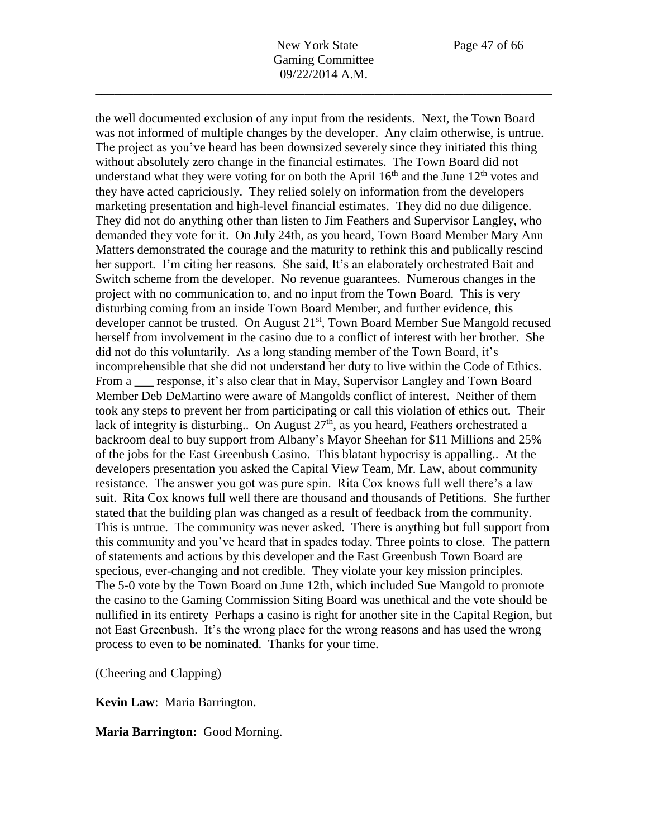the well documented exclusion of any input from the residents. Next, the Town Board was not informed of multiple changes by the developer. Any claim otherwise, is untrue. The project as you've heard has been downsized severely since they initiated this thing without absolutely zero change in the financial estimates. The Town Board did not understand what they were voting for on both the April  $16<sup>th</sup>$  and the June  $12<sup>th</sup>$  votes and they have acted capriciously. They relied solely on information from the developers marketing presentation and high-level financial estimates. They did no due diligence. They did not do anything other than listen to Jim Feathers and Supervisor Langley, who demanded they vote for it. On July 24th, as you heard, Town Board Member Mary Ann Matters demonstrated the courage and the maturity to rethink this and publically rescind her support. I'm citing her reasons. She said, It's an elaborately orchestrated Bait and Switch scheme from the developer. No revenue guarantees. Numerous changes in the project with no communication to, and no input from the Town Board. This is very disturbing coming from an inside Town Board Member, and further evidence, this developer cannot be trusted. On August 21<sup>st</sup>, Town Board Member Sue Mangold recused herself from involvement in the casino due to a conflict of interest with her brother. She did not do this voluntarily. As a long standing member of the Town Board, it's incomprehensible that she did not understand her duty to live within the Code of Ethics. From a sample propose, it's also clear that in May, Supervisor Langley and Town Board Member Deb DeMartino were aware of Mangolds conflict of interest. Neither of them took any steps to prevent her from participating or call this violation of ethics out. Their lack of integrity is disturbing.. On August  $27<sup>th</sup>$ , as you heard, Feathers orchestrated a backroom deal to buy support from Albany's Mayor Sheehan for \$11 Millions and 25% of the jobs for the East Greenbush Casino. This blatant hypocrisy is appalling.. At the developers presentation you asked the Capital View Team, Mr. Law, about community resistance. The answer you got was pure spin. Rita Cox knows full well there's a law suit. Rita Cox knows full well there are thousand and thousands of Petitions. She further stated that the building plan was changed as a result of feedback from the community. This is untrue. The community was never asked. There is anything but full support from this community and you've heard that in spades today. Three points to close. The pattern of statements and actions by this developer and the East Greenbush Town Board are specious, ever-changing and not credible. They violate your key mission principles. The 5-0 vote by the Town Board on June 12th, which included Sue Mangold to promote the casino to the Gaming Commission Siting Board was unethical and the vote should be nullified in its entirety Perhaps a casino is right for another site in the Capital Region, but not East Greenbush. It's the wrong place for the wrong reasons and has used the wrong process to even to be nominated. Thanks for your time.

(Cheering and Clapping)

**Kevin Law**: Maria Barrington.

**Maria Barrington:** Good Morning.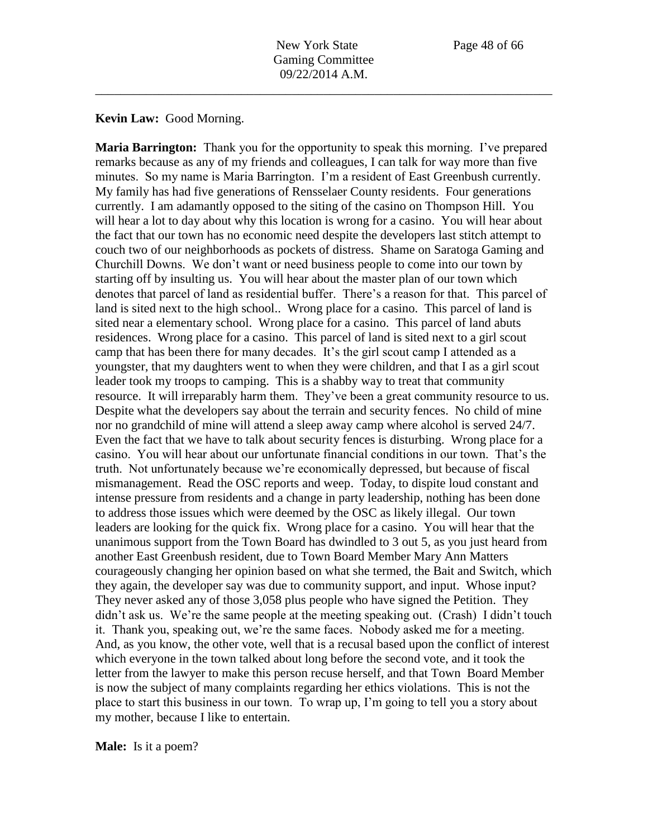#### **Kevin Law:** Good Morning.

**Maria Barrington:** Thank you for the opportunity to speak this morning. I've prepared remarks because as any of my friends and colleagues, I can talk for way more than five minutes. So my name is Maria Barrington. I'm a resident of East Greenbush currently. My family has had five generations of Rensselaer County residents. Four generations currently. I am adamantly opposed to the siting of the casino on Thompson Hill. You will hear a lot to day about why this location is wrong for a casino. You will hear about the fact that our town has no economic need despite the developers last stitch attempt to couch two of our neighborhoods as pockets of distress. Shame on Saratoga Gaming and Churchill Downs. We don't want or need business people to come into our town by starting off by insulting us. You will hear about the master plan of our town which denotes that parcel of land as residential buffer. There's a reason for that. This parcel of land is sited next to the high school.. Wrong place for a casino. This parcel of land is sited near a elementary school. Wrong place for a casino. This parcel of land abuts residences. Wrong place for a casino. This parcel of land is sited next to a girl scout camp that has been there for many decades. It's the girl scout camp I attended as a youngster, that my daughters went to when they were children, and that I as a girl scout leader took my troops to camping. This is a shabby way to treat that community resource. It will irreparably harm them. They've been a great community resource to us. Despite what the developers say about the terrain and security fences. No child of mine nor no grandchild of mine will attend a sleep away camp where alcohol is served 24/7. Even the fact that we have to talk about security fences is disturbing. Wrong place for a casino. You will hear about our unfortunate financial conditions in our town. That's the truth. Not unfortunately because we're economically depressed, but because of fiscal mismanagement. Read the OSC reports and weep. Today, to dispite loud constant and intense pressure from residents and a change in party leadership, nothing has been done to address those issues which were deemed by the OSC as likely illegal. Our town leaders are looking for the quick fix. Wrong place for a casino. You will hear that the unanimous support from the Town Board has dwindled to 3 out 5, as you just heard from another East Greenbush resident, due to Town Board Member Mary Ann Matters courageously changing her opinion based on what she termed, the Bait and Switch, which they again, the developer say was due to community support, and input. Whose input? They never asked any of those 3,058 plus people who have signed the Petition. They didn't ask us. We're the same people at the meeting speaking out. (Crash) I didn't touch it. Thank you, speaking out, we're the same faces. Nobody asked me for a meeting. And, as you know, the other vote, well that is a recusal based upon the conflict of interest which everyone in the town talked about long before the second vote, and it took the letter from the lawyer to make this person recuse herself, and that Town Board Member is now the subject of many complaints regarding her ethics violations. This is not the place to start this business in our town. To wrap up, I'm going to tell you a story about my mother, because I like to entertain.

**Male:** Is it a poem?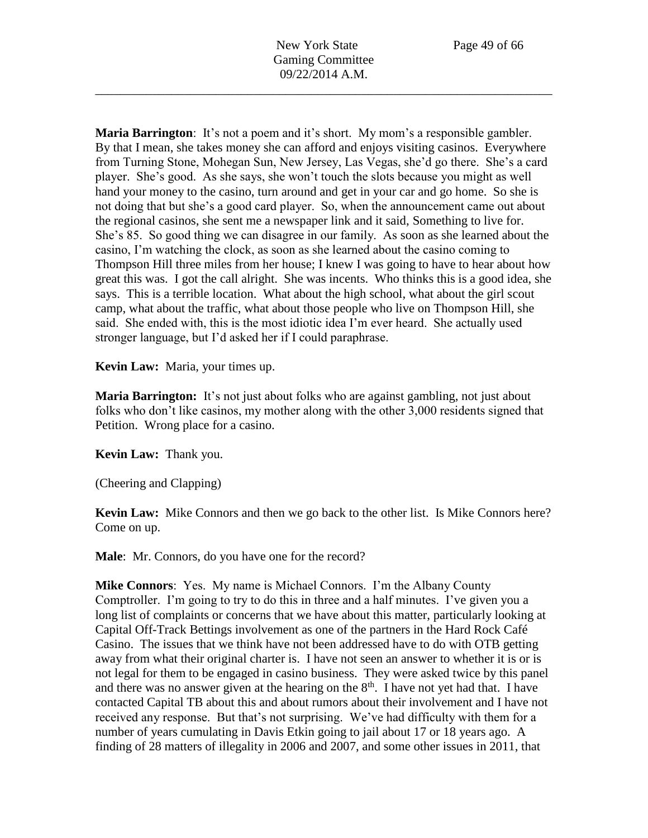**Maria Barrington**: It's not a poem and it's short. My mom's a responsible gambler. By that I mean, she takes money she can afford and enjoys visiting casinos. Everywhere from Turning Stone, Mohegan Sun, New Jersey, Las Vegas, she'd go there. She's a card player. She's good. As she says, she won't touch the slots because you might as well hand your money to the casino, turn around and get in your car and go home. So she is not doing that but she's a good card player. So, when the announcement came out about the regional casinos, she sent me a newspaper link and it said, Something to live for. She's 85. So good thing we can disagree in our family. As soon as she learned about the casino, I'm watching the clock, as soon as she learned about the casino coming to Thompson Hill three miles from her house; I knew I was going to have to hear about how great this was. I got the call alright. She was incents. Who thinks this is a good idea, she says. This is a terrible location. What about the high school, what about the girl scout camp, what about the traffic, what about those people who live on Thompson Hill, she said. She ended with, this is the most idiotic idea I'm ever heard. She actually used stronger language, but I'd asked her if I could paraphrase.

**Kevin Law:** Maria, your times up.

**Maria Barrington:** It's not just about folks who are against gambling, not just about folks who don't like casinos, my mother along with the other 3,000 residents signed that Petition. Wrong place for a casino.

**Kevin Law:** Thank you.

(Cheering and Clapping)

**Kevin Law:** Mike Connors and then we go back to the other list. Is Mike Connors here? Come on up.

**Male**: Mr. Connors, do you have one for the record?

**Mike Connors**: Yes. My name is Michael Connors. I'm the Albany County Comptroller. I'm going to try to do this in three and a half minutes. I've given you a long list of complaints or concerns that we have about this matter, particularly looking at Capital Off-Track Bettings involvement as one of the partners in the Hard Rock Café Casino. The issues that we think have not been addressed have to do with OTB getting away from what their original charter is. I have not seen an answer to whether it is or is not legal for them to be engaged in casino business. They were asked twice by this panel and there was no answer given at the hearing on the  $8<sup>th</sup>$ . I have not yet had that. I have contacted Capital TB about this and about rumors about their involvement and I have not received any response. But that's not surprising. We've had difficulty with them for a number of years cumulating in Davis Etkin going to jail about 17 or 18 years ago. A finding of 28 matters of illegality in 2006 and 2007, and some other issues in 2011, that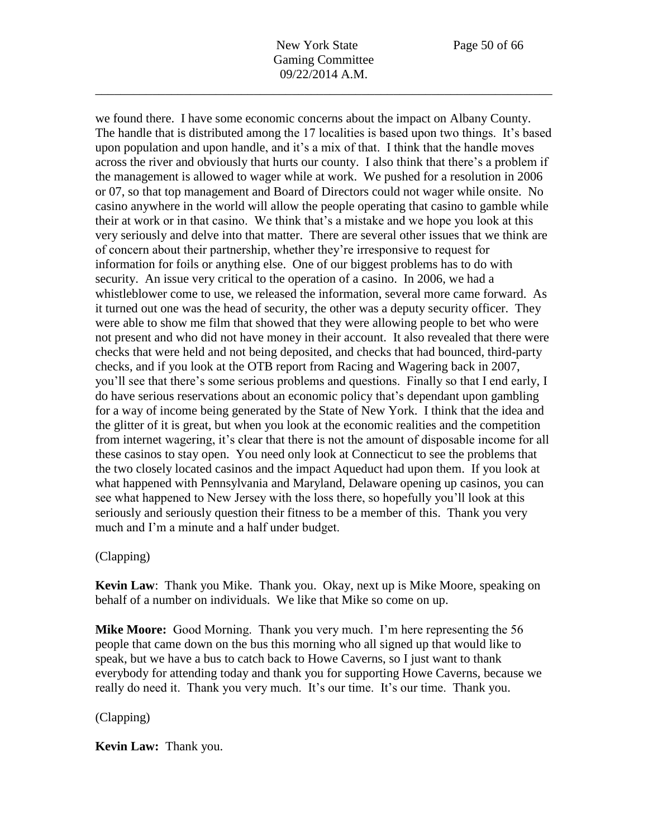we found there. I have some economic concerns about the impact on Albany County. The handle that is distributed among the 17 localities is based upon two things. It's based upon population and upon handle, and it's a mix of that. I think that the handle moves across the river and obviously that hurts our county. I also think that there's a problem if the management is allowed to wager while at work. We pushed for a resolution in 2006 or 07, so that top management and Board of Directors could not wager while onsite. No casino anywhere in the world will allow the people operating that casino to gamble while their at work or in that casino. We think that's a mistake and we hope you look at this very seriously and delve into that matter. There are several other issues that we think are of concern about their partnership, whether they're irresponsive to request for information for foils or anything else. One of our biggest problems has to do with security. An issue very critical to the operation of a casino. In 2006, we had a whistleblower come to use, we released the information, several more came forward. As it turned out one was the head of security, the other was a deputy security officer. They were able to show me film that showed that they were allowing people to bet who were not present and who did not have money in their account. It also revealed that there were checks that were held and not being deposited, and checks that had bounced, third-party checks, and if you look at the OTB report from Racing and Wagering back in 2007, you'll see that there's some serious problems and questions. Finally so that I end early, I do have serious reservations about an economic policy that's dependant upon gambling for a way of income being generated by the State of New York. I think that the idea and the glitter of it is great, but when you look at the economic realities and the competition from internet wagering, it's clear that there is not the amount of disposable income for all these casinos to stay open. You need only look at Connecticut to see the problems that the two closely located casinos and the impact Aqueduct had upon them. If you look at what happened with Pennsylvania and Maryland, Delaware opening up casinos, you can see what happened to New Jersey with the loss there, so hopefully you'll look at this seriously and seriously question their fitness to be a member of this. Thank you very much and I'm a minute and a half under budget.

# (Clapping)

**Kevin Law**: Thank you Mike. Thank you. Okay, next up is Mike Moore, speaking on behalf of a number on individuals. We like that Mike so come on up.

**Mike Moore:** Good Morning. Thank you very much. I'm here representing the 56 people that came down on the bus this morning who all signed up that would like to speak, but we have a bus to catch back to Howe Caverns, so I just want to thank everybody for attending today and thank you for supporting Howe Caverns, because we really do need it. Thank you very much. It's our time. It's our time. Thank you.

# (Clapping)

**Kevin Law:** Thank you.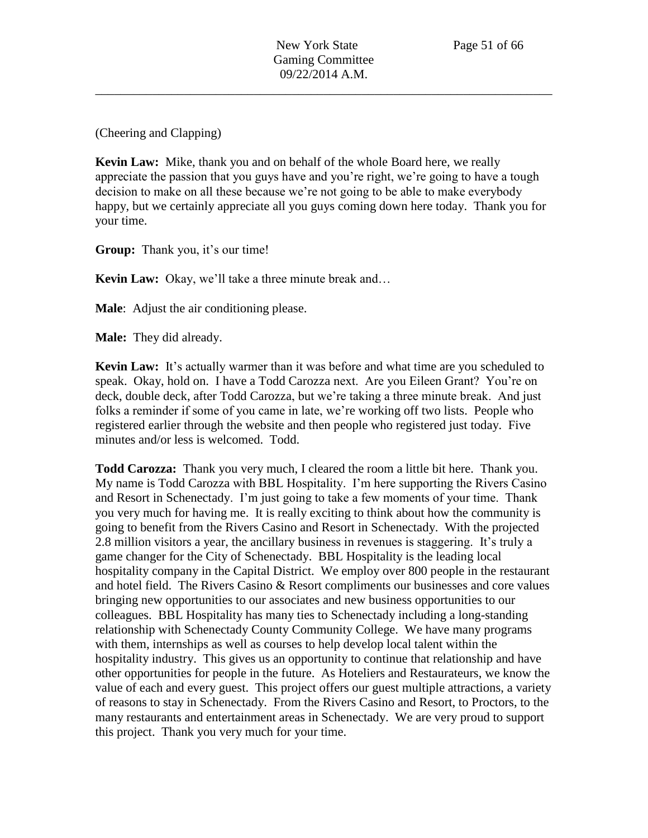(Cheering and Clapping)

**Kevin Law:** Mike, thank you and on behalf of the whole Board here, we really appreciate the passion that you guys have and you're right, we're going to have a tough decision to make on all these because we're not going to be able to make everybody happy, but we certainly appreciate all you guys coming down here today. Thank you for your time.

**Group:** Thank you, it's our time!

**Kevin Law:** Okay, we'll take a three minute break and…

**Male**: Adjust the air conditioning please.

**Male:** They did already.

**Kevin Law:** It's actually warmer than it was before and what time are you scheduled to speak. Okay, hold on. I have a Todd Carozza next. Are you Eileen Grant? You're on deck, double deck, after Todd Carozza, but we're taking a three minute break. And just folks a reminder if some of you came in late, we're working off two lists. People who registered earlier through the website and then people who registered just today. Five minutes and/or less is welcomed. Todd.

**Todd Carozza:** Thank you very much, I cleared the room a little bit here. Thank you. My name is Todd Carozza with BBL Hospitality. I'm here supporting the Rivers Casino and Resort in Schenectady. I'm just going to take a few moments of your time. Thank you very much for having me. It is really exciting to think about how the community is going to benefit from the Rivers Casino and Resort in Schenectady. With the projected 2.8 million visitors a year, the ancillary business in revenues is staggering. It's truly a game changer for the City of Schenectady. BBL Hospitality is the leading local hospitality company in the Capital District. We employ over 800 people in the restaurant and hotel field. The Rivers Casino & Resort compliments our businesses and core values bringing new opportunities to our associates and new business opportunities to our colleagues. BBL Hospitality has many ties to Schenectady including a long-standing relationship with Schenectady County Community College. We have many programs with them, internships as well as courses to help develop local talent within the hospitality industry. This gives us an opportunity to continue that relationship and have other opportunities for people in the future. As Hoteliers and Restaurateurs, we know the value of each and every guest. This project offers our guest multiple attractions, a variety of reasons to stay in Schenectady. From the Rivers Casino and Resort, to Proctors, to the many restaurants and entertainment areas in Schenectady. We are very proud to support this project. Thank you very much for your time.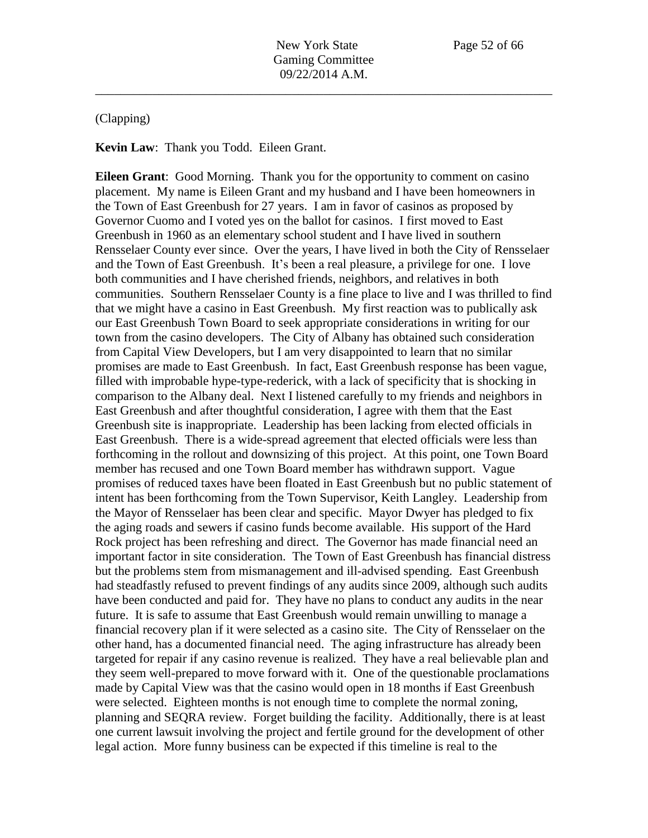#### (Clapping)

**Kevin Law**: Thank you Todd. Eileen Grant.

**Eileen Grant**: Good Morning. Thank you for the opportunity to comment on casino placement. My name is Eileen Grant and my husband and I have been homeowners in the Town of East Greenbush for 27 years. I am in favor of casinos as proposed by Governor Cuomo and I voted yes on the ballot for casinos. I first moved to East Greenbush in 1960 as an elementary school student and I have lived in southern Rensselaer County ever since. Over the years, I have lived in both the City of Rensselaer and the Town of East Greenbush. It's been a real pleasure, a privilege for one. I love both communities and I have cherished friends, neighbors, and relatives in both communities. Southern Rensselaer County is a fine place to live and I was thrilled to find that we might have a casino in East Greenbush. My first reaction was to publically ask our East Greenbush Town Board to seek appropriate considerations in writing for our town from the casino developers. The City of Albany has obtained such consideration from Capital View Developers, but I am very disappointed to learn that no similar promises are made to East Greenbush. In fact, East Greenbush response has been vague, filled with improbable hype-type-rederick, with a lack of specificity that is shocking in comparison to the Albany deal. Next I listened carefully to my friends and neighbors in East Greenbush and after thoughtful consideration, I agree with them that the East Greenbush site is inappropriate. Leadership has been lacking from elected officials in East Greenbush. There is a wide-spread agreement that elected officials were less than forthcoming in the rollout and downsizing of this project. At this point, one Town Board member has recused and one Town Board member has withdrawn support. Vague promises of reduced taxes have been floated in East Greenbush but no public statement of intent has been forthcoming from the Town Supervisor, Keith Langley. Leadership from the Mayor of Rensselaer has been clear and specific. Mayor Dwyer has pledged to fix the aging roads and sewers if casino funds become available. His support of the Hard Rock project has been refreshing and direct. The Governor has made financial need an important factor in site consideration. The Town of East Greenbush has financial distress but the problems stem from mismanagement and ill-advised spending. East Greenbush had steadfastly refused to prevent findings of any audits since 2009, although such audits have been conducted and paid for. They have no plans to conduct any audits in the near future. It is safe to assume that East Greenbush would remain unwilling to manage a financial recovery plan if it were selected as a casino site. The City of Rensselaer on the other hand, has a documented financial need. The aging infrastructure has already been targeted for repair if any casino revenue is realized. They have a real believable plan and they seem well-prepared to move forward with it. One of the questionable proclamations made by Capital View was that the casino would open in 18 months if East Greenbush were selected. Eighteen months is not enough time to complete the normal zoning, planning and SEQRA review. Forget building the facility. Additionally, there is at least one current lawsuit involving the project and fertile ground for the development of other legal action. More funny business can be expected if this timeline is real to the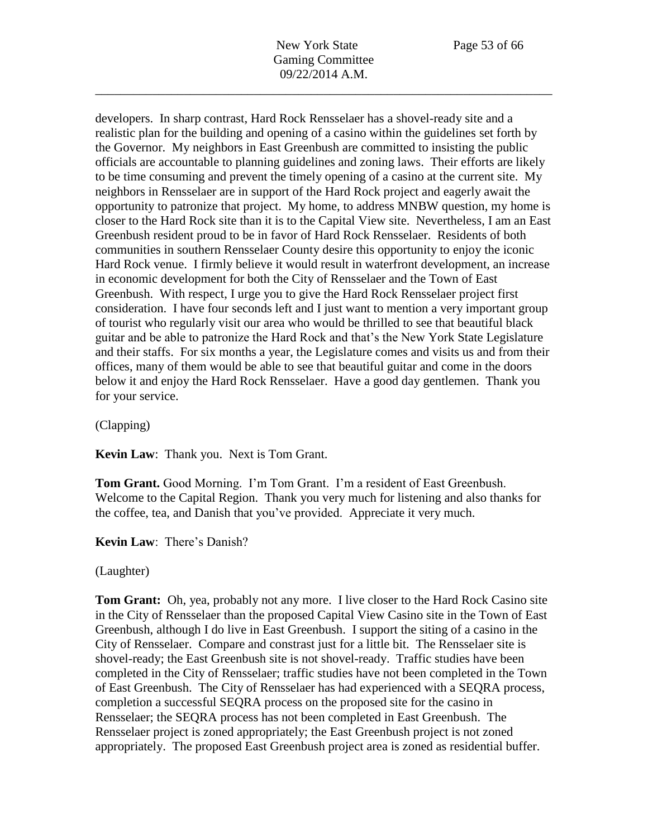developers. In sharp contrast, Hard Rock Rensselaer has a shovel-ready site and a realistic plan for the building and opening of a casino within the guidelines set forth by the Governor. My neighbors in East Greenbush are committed to insisting the public officials are accountable to planning guidelines and zoning laws. Their efforts are likely to be time consuming and prevent the timely opening of a casino at the current site. My neighbors in Rensselaer are in support of the Hard Rock project and eagerly await the opportunity to patronize that project. My home, to address MNBW question, my home is closer to the Hard Rock site than it is to the Capital View site. Nevertheless, I am an East Greenbush resident proud to be in favor of Hard Rock Rensselaer. Residents of both communities in southern Rensselaer County desire this opportunity to enjoy the iconic Hard Rock venue. I firmly believe it would result in waterfront development, an increase in economic development for both the City of Rensselaer and the Town of East Greenbush. With respect, I urge you to give the Hard Rock Rensselaer project first consideration. I have four seconds left and I just want to mention a very important group of tourist who regularly visit our area who would be thrilled to see that beautiful black guitar and be able to patronize the Hard Rock and that's the New York State Legislature and their staffs. For six months a year, the Legislature comes and visits us and from their offices, many of them would be able to see that beautiful guitar and come in the doors below it and enjoy the Hard Rock Rensselaer. Have a good day gentlemen. Thank you for your service.

(Clapping)

**Kevin Law**: Thank you. Next is Tom Grant.

**Tom Grant.** Good Morning. I'm Tom Grant. I'm a resident of East Greenbush. Welcome to the Capital Region. Thank you very much for listening and also thanks for the coffee, tea, and Danish that you've provided. Appreciate it very much.

**Kevin Law**: There's Danish?

(Laughter)

**Tom Grant:** Oh, yea, probably not any more. I live closer to the Hard Rock Casino site in the City of Rensselaer than the proposed Capital View Casino site in the Town of East Greenbush, although I do live in East Greenbush. I support the siting of a casino in the City of Rensselaer. Compare and constrast just for a little bit. The Rensselaer site is shovel-ready; the East Greenbush site is not shovel-ready. Traffic studies have been completed in the City of Rensselaer; traffic studies have not been completed in the Town of East Greenbush. The City of Rensselaer has had experienced with a SEQRA process, completion a successful SEQRA process on the proposed site for the casino in Rensselaer; the SEQRA process has not been completed in East Greenbush. The Rensselaer project is zoned appropriately; the East Greenbush project is not zoned appropriately. The proposed East Greenbush project area is zoned as residential buffer.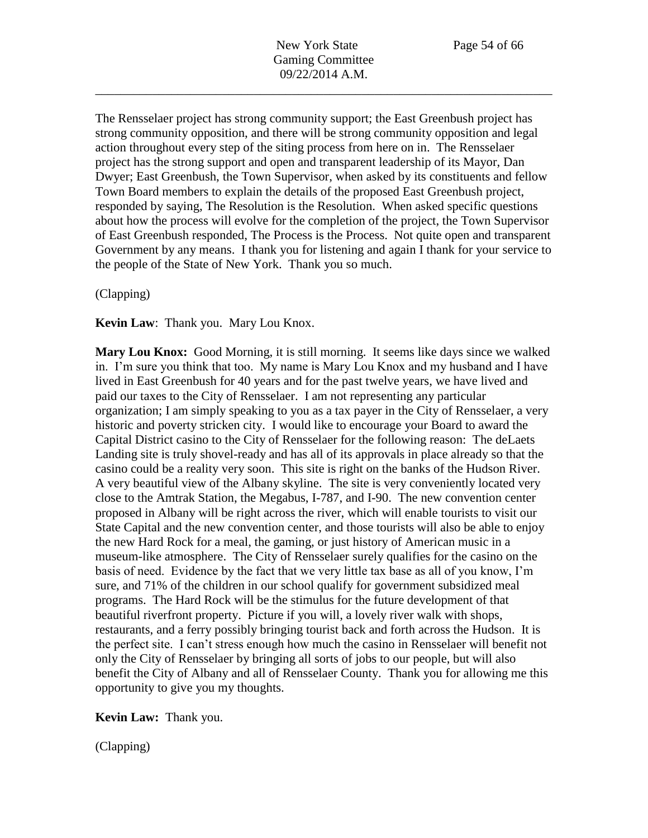The Rensselaer project has strong community support; the East Greenbush project has strong community opposition, and there will be strong community opposition and legal action throughout every step of the siting process from here on in. The Rensselaer project has the strong support and open and transparent leadership of its Mayor, Dan Dwyer; East Greenbush, the Town Supervisor, when asked by its constituents and fellow Town Board members to explain the details of the proposed East Greenbush project, responded by saying, The Resolution is the Resolution. When asked specific questions about how the process will evolve for the completion of the project, the Town Supervisor of East Greenbush responded, The Process is the Process. Not quite open and transparent Government by any means. I thank you for listening and again I thank for your service to the people of the State of New York. Thank you so much.

(Clapping)

**Kevin Law**: Thank you. Mary Lou Knox.

**Mary Lou Knox:** Good Morning, it is still morning. It seems like days since we walked in. I'm sure you think that too. My name is Mary Lou Knox and my husband and I have lived in East Greenbush for 40 years and for the past twelve years, we have lived and paid our taxes to the City of Rensselaer. I am not representing any particular organization; I am simply speaking to you as a tax payer in the City of Rensselaer, a very historic and poverty stricken city. I would like to encourage your Board to award the Capital District casino to the City of Rensselaer for the following reason: The deLaets Landing site is truly shovel-ready and has all of its approvals in place already so that the casino could be a reality very soon. This site is right on the banks of the Hudson River. A very beautiful view of the Albany skyline. The site is very conveniently located very close to the Amtrak Station, the Megabus, I-787, and I-90. The new convention center proposed in Albany will be right across the river, which will enable tourists to visit our State Capital and the new convention center, and those tourists will also be able to enjoy the new Hard Rock for a meal, the gaming, or just history of American music in a museum-like atmosphere. The City of Rensselaer surely qualifies for the casino on the basis of need. Evidence by the fact that we very little tax base as all of you know, I'm sure, and 71% of the children in our school qualify for government subsidized meal programs. The Hard Rock will be the stimulus for the future development of that beautiful riverfront property. Picture if you will, a lovely river walk with shops, restaurants, and a ferry possibly bringing tourist back and forth across the Hudson. It is the perfect site. I can't stress enough how much the casino in Rensselaer will benefit not only the City of Rensselaer by bringing all sorts of jobs to our people, but will also benefit the City of Albany and all of Rensselaer County. Thank you for allowing me this opportunity to give you my thoughts.

**Kevin Law:** Thank you.

(Clapping)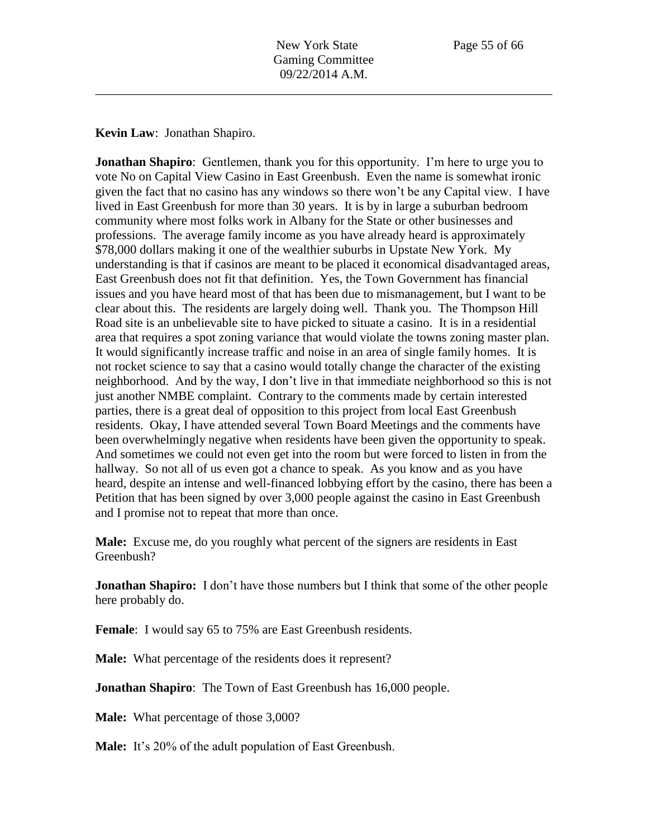**Kevin Law**: Jonathan Shapiro.

**Jonathan Shapiro**: Gentlemen, thank you for this opportunity. I'm here to urge you to vote No on Capital View Casino in East Greenbush. Even the name is somewhat ironic given the fact that no casino has any windows so there won't be any Capital view. I have lived in East Greenbush for more than 30 years. It is by in large a suburban bedroom community where most folks work in Albany for the State or other businesses and professions. The average family income as you have already heard is approximately \$78,000 dollars making it one of the wealthier suburbs in Upstate New York. My understanding is that if casinos are meant to be placed it economical disadvantaged areas, East Greenbush does not fit that definition. Yes, the Town Government has financial issues and you have heard most of that has been due to mismanagement, but I want to be clear about this. The residents are largely doing well. Thank you. The Thompson Hill Road site is an unbelievable site to have picked to situate a casino. It is in a residential area that requires a spot zoning variance that would violate the towns zoning master plan. It would significantly increase traffic and noise in an area of single family homes. It is not rocket science to say that a casino would totally change the character of the existing neighborhood. And by the way, I don't live in that immediate neighborhood so this is not just another NMBE complaint. Contrary to the comments made by certain interested parties, there is a great deal of opposition to this project from local East Greenbush residents. Okay, I have attended several Town Board Meetings and the comments have been overwhelmingly negative when residents have been given the opportunity to speak. And sometimes we could not even get into the room but were forced to listen in from the hallway. So not all of us even got a chance to speak. As you know and as you have heard, despite an intense and well-financed lobbying effort by the casino, there has been a Petition that has been signed by over 3,000 people against the casino in East Greenbush and I promise not to repeat that more than once.

**Male:** Excuse me, do you roughly what percent of the signers are residents in East Greenbush?

**Jonathan Shapiro:** I don't have those numbers but I think that some of the other people here probably do.

**Female**: I would say 65 to 75% are East Greenbush residents.

**Male:** What percentage of the residents does it represent?

**Jonathan Shapiro**: The Town of East Greenbush has 16,000 people.

**Male:** What percentage of those 3,000?

**Male:** It's 20% of the adult population of East Greenbush.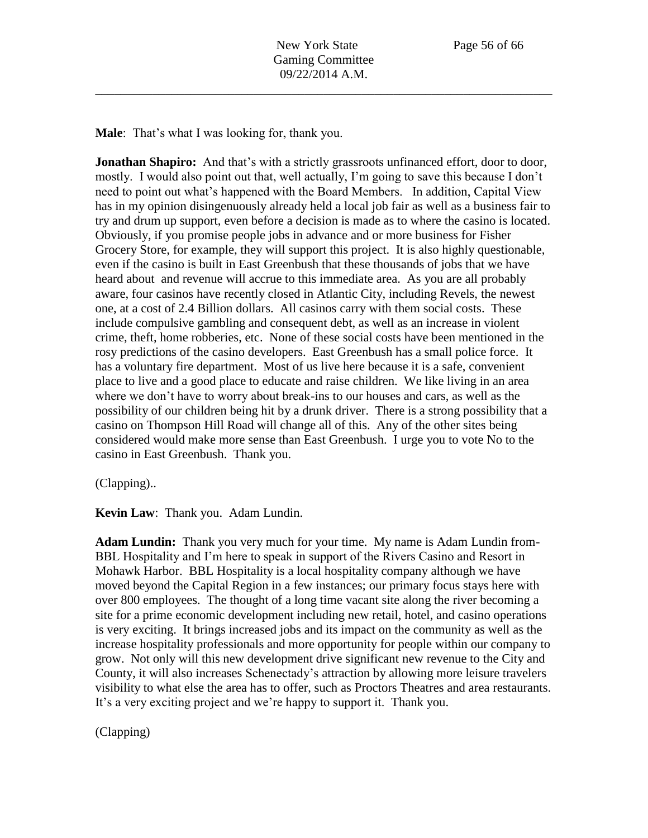**Male**: That's what I was looking for, thank you.

**Jonathan Shapiro:** And that's with a strictly grassroots unfinanced effort, door to door, mostly. I would also point out that, well actually, I'm going to save this because I don't need to point out what's happened with the Board Members. In addition, Capital View has in my opinion disingenuously already held a local job fair as well as a business fair to try and drum up support, even before a decision is made as to where the casino is located. Obviously, if you promise people jobs in advance and or more business for Fisher Grocery Store, for example, they will support this project. It is also highly questionable, even if the casino is built in East Greenbush that these thousands of jobs that we have heard about and revenue will accrue to this immediate area. As you are all probably aware, four casinos have recently closed in Atlantic City, including Revels, the newest one, at a cost of 2.4 Billion dollars. All casinos carry with them social costs. These include compulsive gambling and consequent debt, as well as an increase in violent crime, theft, home robberies, etc. None of these social costs have been mentioned in the rosy predictions of the casino developers. East Greenbush has a small police force. It has a voluntary fire department. Most of us live here because it is a safe, convenient place to live and a good place to educate and raise children. We like living in an area where we don't have to worry about break-ins to our houses and cars, as well as the possibility of our children being hit by a drunk driver. There is a strong possibility that a casino on Thompson Hill Road will change all of this. Any of the other sites being considered would make more sense than East Greenbush. I urge you to vote No to the casino in East Greenbush. Thank you.

(Clapping)..

**Kevin Law**: Thank you. Adam Lundin.

**Adam Lundin:** Thank you very much for your time. My name is Adam Lundin from-BBL Hospitality and I'm here to speak in support of the Rivers Casino and Resort in Mohawk Harbor. BBL Hospitality is a local hospitality company although we have moved beyond the Capital Region in a few instances; our primary focus stays here with over 800 employees. The thought of a long time vacant site along the river becoming a site for a prime economic development including new retail, hotel, and casino operations is very exciting. It brings increased jobs and its impact on the community as well as the increase hospitality professionals and more opportunity for people within our company to grow. Not only will this new development drive significant new revenue to the City and County, it will also increases Schenectady's attraction by allowing more leisure travelers visibility to what else the area has to offer, such as Proctors Theatres and area restaurants. It's a very exciting project and we're happy to support it. Thank you.

(Clapping)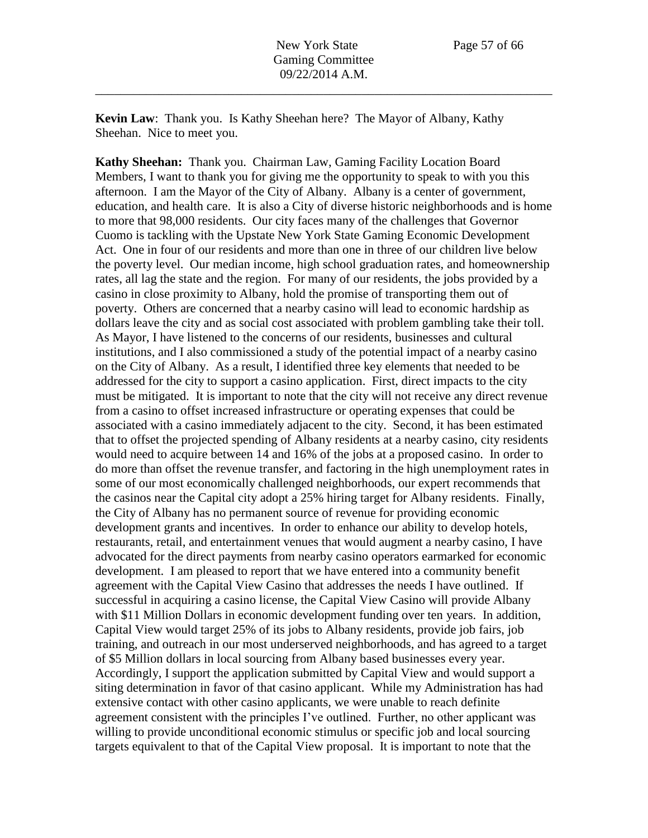**Kevin Law**: Thank you. Is Kathy Sheehan here? The Mayor of Albany, Kathy Sheehan. Nice to meet you.

**Kathy Sheehan:** Thank you. Chairman Law, Gaming Facility Location Board Members, I want to thank you for giving me the opportunity to speak to with you this afternoon. I am the Mayor of the City of Albany. Albany is a center of government, education, and health care. It is also a City of diverse historic neighborhoods and is home to more that 98,000 residents. Our city faces many of the challenges that Governor Cuomo is tackling with the Upstate New York State Gaming Economic Development Act. One in four of our residents and more than one in three of our children live below the poverty level. Our median income, high school graduation rates, and homeownership rates, all lag the state and the region. For many of our residents, the jobs provided by a casino in close proximity to Albany, hold the promise of transporting them out of poverty. Others are concerned that a nearby casino will lead to economic hardship as dollars leave the city and as social cost associated with problem gambling take their toll. As Mayor, I have listened to the concerns of our residents, businesses and cultural institutions, and I also commissioned a study of the potential impact of a nearby casino on the City of Albany. As a result, I identified three key elements that needed to be addressed for the city to support a casino application. First, direct impacts to the city must be mitigated. It is important to note that the city will not receive any direct revenue from a casino to offset increased infrastructure or operating expenses that could be associated with a casino immediately adjacent to the city. Second, it has been estimated that to offset the projected spending of Albany residents at a nearby casino, city residents would need to acquire between 14 and 16% of the jobs at a proposed casino. In order to do more than offset the revenue transfer, and factoring in the high unemployment rates in some of our most economically challenged neighborhoods, our expert recommends that the casinos near the Capital city adopt a 25% hiring target for Albany residents. Finally, the City of Albany has no permanent source of revenue for providing economic development grants and incentives. In order to enhance our ability to develop hotels, restaurants, retail, and entertainment venues that would augment a nearby casino, I have advocated for the direct payments from nearby casino operators earmarked for economic development. I am pleased to report that we have entered into a community benefit agreement with the Capital View Casino that addresses the needs I have outlined. If successful in acquiring a casino license, the Capital View Casino will provide Albany with \$11 Million Dollars in economic development funding over ten years. In addition, Capital View would target 25% of its jobs to Albany residents, provide job fairs, job training, and outreach in our most underserved neighborhoods, and has agreed to a target of \$5 Million dollars in local sourcing from Albany based businesses every year. Accordingly, I support the application submitted by Capital View and would support a siting determination in favor of that casino applicant. While my Administration has had extensive contact with other casino applicants, we were unable to reach definite agreement consistent with the principles I've outlined. Further, no other applicant was willing to provide unconditional economic stimulus or specific job and local sourcing targets equivalent to that of the Capital View proposal. It is important to note that the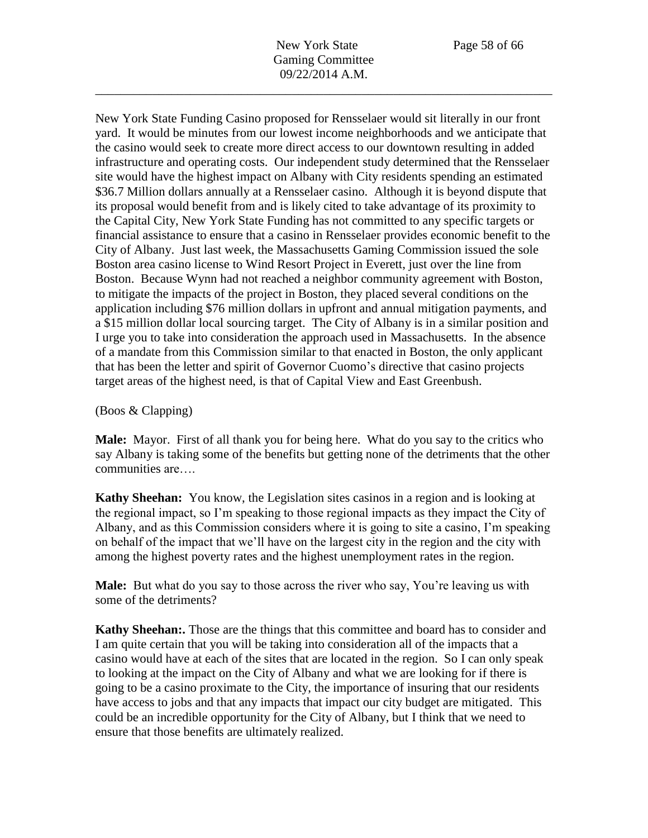New York State Funding Casino proposed for Rensselaer would sit literally in our front yard. It would be minutes from our lowest income neighborhoods and we anticipate that the casino would seek to create more direct access to our downtown resulting in added infrastructure and operating costs. Our independent study determined that the Rensselaer site would have the highest impact on Albany with City residents spending an estimated \$36.7 Million dollars annually at a Rensselaer casino. Although it is beyond dispute that its proposal would benefit from and is likely cited to take advantage of its proximity to the Capital City, New York State Funding has not committed to any specific targets or financial assistance to ensure that a casino in Rensselaer provides economic benefit to the City of Albany. Just last week, the Massachusetts Gaming Commission issued the sole Boston area casino license to Wind Resort Project in Everett, just over the line from Boston. Because Wynn had not reached a neighbor community agreement with Boston, to mitigate the impacts of the project in Boston, they placed several conditions on the application including \$76 million dollars in upfront and annual mitigation payments, and a \$15 million dollar local sourcing target. The City of Albany is in a similar position and I urge you to take into consideration the approach used in Massachusetts. In the absence of a mandate from this Commission similar to that enacted in Boston, the only applicant that has been the letter and spirit of Governor Cuomo's directive that casino projects target areas of the highest need, is that of Capital View and East Greenbush.

## (Boos & Clapping)

**Male:** Mayor. First of all thank you for being here. What do you say to the critics who say Albany is taking some of the benefits but getting none of the detriments that the other communities are….

**Kathy Sheehan:** You know, the Legislation sites casinos in a region and is looking at the regional impact, so I'm speaking to those regional impacts as they impact the City of Albany, and as this Commission considers where it is going to site a casino, I'm speaking on behalf of the impact that we'll have on the largest city in the region and the city with among the highest poverty rates and the highest unemployment rates in the region.

**Male:** But what do you say to those across the river who say, You're leaving us with some of the detriments?

**Kathy Sheehan:.** Those are the things that this committee and board has to consider and I am quite certain that you will be taking into consideration all of the impacts that a casino would have at each of the sites that are located in the region. So I can only speak to looking at the impact on the City of Albany and what we are looking for if there is going to be a casino proximate to the City, the importance of insuring that our residents have access to jobs and that any impacts that impact our city budget are mitigated. This could be an incredible opportunity for the City of Albany, but I think that we need to ensure that those benefits are ultimately realized.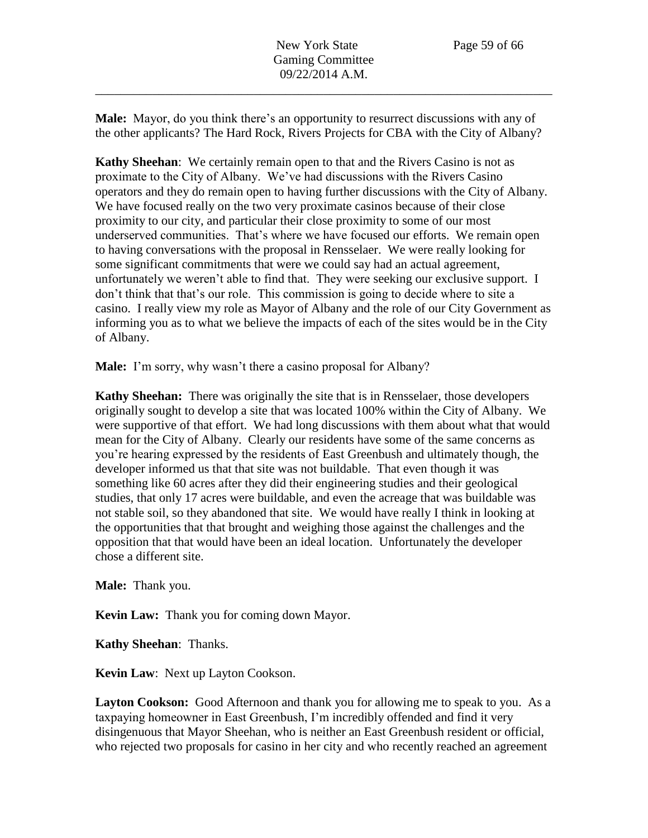**Male:** Mayor, do you think there's an opportunity to resurrect discussions with any of the other applicants? The Hard Rock, Rivers Projects for CBA with the City of Albany?

**Kathy Sheehan**: We certainly remain open to that and the Rivers Casino is not as proximate to the City of Albany. We've had discussions with the Rivers Casino operators and they do remain open to having further discussions with the City of Albany. We have focused really on the two very proximate casinos because of their close proximity to our city, and particular their close proximity to some of our most underserved communities. That's where we have focused our efforts. We remain open to having conversations with the proposal in Rensselaer. We were really looking for some significant commitments that were we could say had an actual agreement, unfortunately we weren't able to find that. They were seeking our exclusive support. I don't think that that's our role. This commission is going to decide where to site a casino. I really view my role as Mayor of Albany and the role of our City Government as informing you as to what we believe the impacts of each of the sites would be in the City of Albany.

**Male:** I'm sorry, why wasn't there a casino proposal for Albany?

**Kathy Sheehan:** There was originally the site that is in Rensselaer, those developers originally sought to develop a site that was located 100% within the City of Albany. We were supportive of that effort. We had long discussions with them about what that would mean for the City of Albany. Clearly our residents have some of the same concerns as you're hearing expressed by the residents of East Greenbush and ultimately though, the developer informed us that that site was not buildable. That even though it was something like 60 acres after they did their engineering studies and their geological studies, that only 17 acres were buildable, and even the acreage that was buildable was not stable soil, so they abandoned that site. We would have really I think in looking at the opportunities that that brought and weighing those against the challenges and the opposition that that would have been an ideal location. Unfortunately the developer chose a different site.

**Male:** Thank you.

**Kevin Law:** Thank you for coming down Mayor.

**Kathy Sheehan**: Thanks.

**Kevin Law**: Next up Layton Cookson.

**Layton Cookson:** Good Afternoon and thank you for allowing me to speak to you. As a taxpaying homeowner in East Greenbush, I'm incredibly offended and find it very disingenuous that Mayor Sheehan, who is neither an East Greenbush resident or official, who rejected two proposals for casino in her city and who recently reached an agreement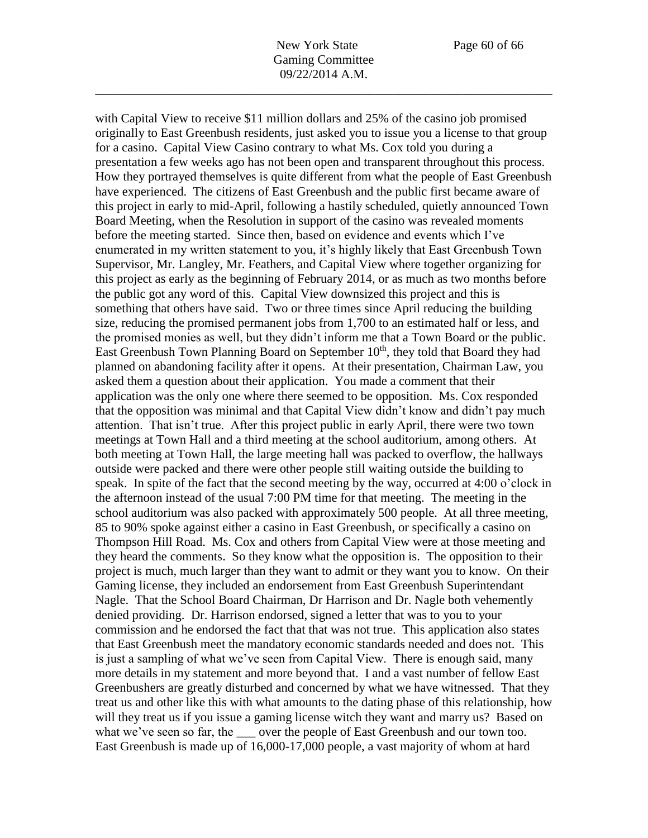with Capital View to receive \$11 million dollars and 25% of the casino job promised originally to East Greenbush residents, just asked you to issue you a license to that group for a casino. Capital View Casino contrary to what Ms. Cox told you during a presentation a few weeks ago has not been open and transparent throughout this process. How they portrayed themselves is quite different from what the people of East Greenbush have experienced. The citizens of East Greenbush and the public first became aware of this project in early to mid-April, following a hastily scheduled, quietly announced Town Board Meeting, when the Resolution in support of the casino was revealed moments before the meeting started. Since then, based on evidence and events which I've enumerated in my written statement to you, it's highly likely that East Greenbush Town Supervisor, Mr. Langley, Mr. Feathers, and Capital View where together organizing for this project as early as the beginning of February 2014, or as much as two months before the public got any word of this. Capital View downsized this project and this is something that others have said. Two or three times since April reducing the building size, reducing the promised permanent jobs from 1,700 to an estimated half or less, and the promised monies as well, but they didn't inform me that a Town Board or the public. East Greenbush Town Planning Board on September 10<sup>th</sup>, they told that Board they had planned on abandoning facility after it opens. At their presentation, Chairman Law, you asked them a question about their application. You made a comment that their application was the only one where there seemed to be opposition. Ms. Cox responded that the opposition was minimal and that Capital View didn't know and didn't pay much attention. That isn't true. After this project public in early April, there were two town meetings at Town Hall and a third meeting at the school auditorium, among others. At both meeting at Town Hall, the large meeting hall was packed to overflow, the hallways outside were packed and there were other people still waiting outside the building to speak. In spite of the fact that the second meeting by the way, occurred at 4:00 o'clock in the afternoon instead of the usual 7:00 PM time for that meeting. The meeting in the school auditorium was also packed with approximately 500 people. At all three meeting, 85 to 90% spoke against either a casino in East Greenbush, or specifically a casino on Thompson Hill Road. Ms. Cox and others from Capital View were at those meeting and they heard the comments. So they know what the opposition is. The opposition to their project is much, much larger than they want to admit or they want you to know. On their Gaming license, they included an endorsement from East Greenbush Superintendant Nagle. That the School Board Chairman, Dr Harrison and Dr. Nagle both vehemently denied providing. Dr. Harrison endorsed, signed a letter that was to you to your commission and he endorsed the fact that that was not true. This application also states that East Greenbush meet the mandatory economic standards needed and does not. This is just a sampling of what we've seen from Capital View. There is enough said, many more details in my statement and more beyond that. I and a vast number of fellow East Greenbushers are greatly disturbed and concerned by what we have witnessed. That they treat us and other like this with what amounts to the dating phase of this relationship, how will they treat us if you issue a gaming license witch they want and marry us? Based on what we've seen so far, the \_\_\_ over the people of East Greenbush and our town too. East Greenbush is made up of 16,000-17,000 people, a vast majority of whom at hard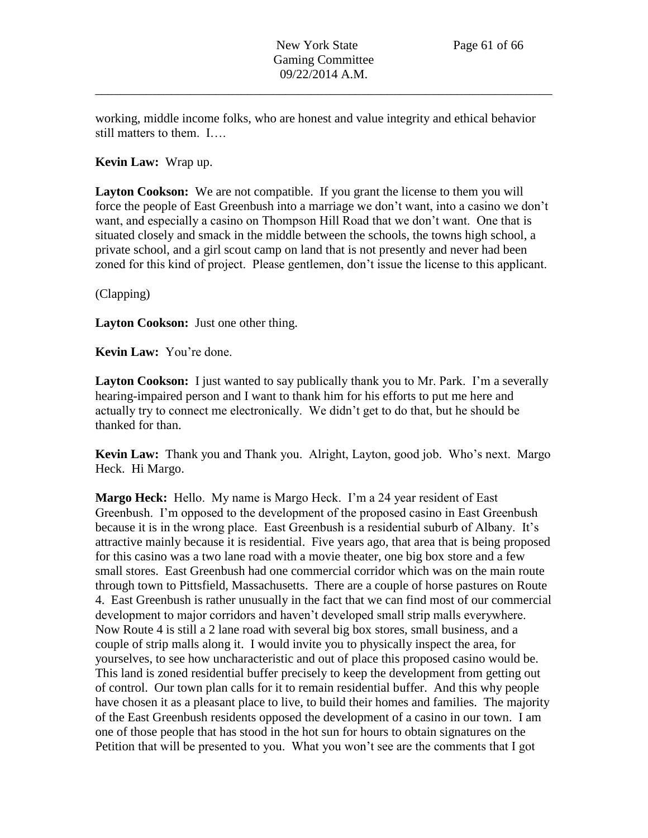working, middle income folks, who are honest and value integrity and ethical behavior still matters to them. I….

### **Kevin Law:** Wrap up.

Layton Cookson: We are not compatible. If you grant the license to them you will force the people of East Greenbush into a marriage we don't want, into a casino we don't want, and especially a casino on Thompson Hill Road that we don't want. One that is situated closely and smack in the middle between the schools, the towns high school, a private school, and a girl scout camp on land that is not presently and never had been zoned for this kind of project. Please gentlemen, don't issue the license to this applicant.

(Clapping)

**Layton Cookson:** Just one other thing.

**Kevin Law:** You're done.

**Layton Cookson:** I just wanted to say publically thank you to Mr. Park. I'm a severally hearing-impaired person and I want to thank him for his efforts to put me here and actually try to connect me electronically. We didn't get to do that, but he should be thanked for than.

**Kevin Law:** Thank you and Thank you. Alright, Layton, good job. Who's next. Margo Heck. Hi Margo.

**Margo Heck:** Hello. My name is Margo Heck. I'm a 24 year resident of East Greenbush. I'm opposed to the development of the proposed casino in East Greenbush because it is in the wrong place. East Greenbush is a residential suburb of Albany. It's attractive mainly because it is residential. Five years ago, that area that is being proposed for this casino was a two lane road with a movie theater, one big box store and a few small stores. East Greenbush had one commercial corridor which was on the main route through town to Pittsfield, Massachusetts. There are a couple of horse pastures on Route 4. East Greenbush is rather unusually in the fact that we can find most of our commercial development to major corridors and haven't developed small strip malls everywhere. Now Route 4 is still a 2 lane road with several big box stores, small business, and a couple of strip malls along it. I would invite you to physically inspect the area, for yourselves, to see how uncharacteristic and out of place this proposed casino would be. This land is zoned residential buffer precisely to keep the development from getting out of control. Our town plan calls for it to remain residential buffer. And this why people have chosen it as a pleasant place to live, to build their homes and families. The majority of the East Greenbush residents opposed the development of a casino in our town. I am one of those people that has stood in the hot sun for hours to obtain signatures on the Petition that will be presented to you. What you won't see are the comments that I got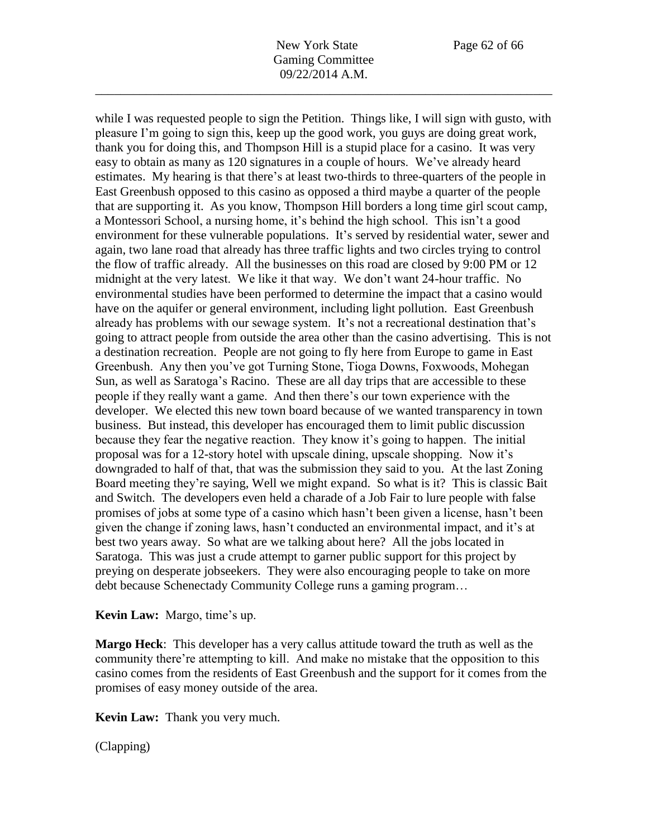New York State Page 62 of 66 Gaming Committee 09/22/2014 A.M.

\_\_\_\_\_\_\_\_\_\_\_\_\_\_\_\_\_\_\_\_\_\_\_\_\_\_\_\_\_\_\_\_\_\_\_\_\_\_\_\_\_\_\_\_\_\_\_\_\_\_\_\_\_\_\_\_\_\_\_\_\_\_\_\_\_\_\_\_\_\_\_\_

while I was requested people to sign the Petition. Things like, I will sign with gusto, with pleasure I'm going to sign this, keep up the good work, you guys are doing great work, thank you for doing this, and Thompson Hill is a stupid place for a casino. It was very easy to obtain as many as 120 signatures in a couple of hours. We've already heard estimates. My hearing is that there's at least two-thirds to three-quarters of the people in East Greenbush opposed to this casino as opposed a third maybe a quarter of the people that are supporting it. As you know, Thompson Hill borders a long time girl scout camp, a Montessori School, a nursing home, it's behind the high school. This isn't a good environment for these vulnerable populations. It's served by residential water, sewer and again, two lane road that already has three traffic lights and two circles trying to control the flow of traffic already. All the businesses on this road are closed by 9:00 PM or 12 midnight at the very latest. We like it that way. We don't want 24-hour traffic. No environmental studies have been performed to determine the impact that a casino would have on the aquifer or general environment, including light pollution. East Greenbush already has problems with our sewage system. It's not a recreational destination that's going to attract people from outside the area other than the casino advertising. This is not a destination recreation. People are not going to fly here from Europe to game in East Greenbush. Any then you've got Turning Stone, Tioga Downs, Foxwoods, Mohegan Sun, as well as Saratoga's Racino. These are all day trips that are accessible to these people if they really want a game. And then there's our town experience with the developer. We elected this new town board because of we wanted transparency in town business. But instead, this developer has encouraged them to limit public discussion because they fear the negative reaction. They know it's going to happen. The initial proposal was for a 12-story hotel with upscale dining, upscale shopping. Now it's downgraded to half of that, that was the submission they said to you. At the last Zoning Board meeting they're saying, Well we might expand. So what is it? This is classic Bait and Switch. The developers even held a charade of a Job Fair to lure people with false promises of jobs at some type of a casino which hasn't been given a license, hasn't been given the change if zoning laws, hasn't conducted an environmental impact, and it's at best two years away. So what are we talking about here? All the jobs located in Saratoga. This was just a crude attempt to garner public support for this project by preying on desperate jobseekers. They were also encouraging people to take on more debt because Schenectady Community College runs a gaming program…

**Kevin Law:** Margo, time's up.

**Margo Heck**: This developer has a very callus attitude toward the truth as well as the community there're attempting to kill. And make no mistake that the opposition to this casino comes from the residents of East Greenbush and the support for it comes from the promises of easy money outside of the area.

**Kevin Law:** Thank you very much.

(Clapping)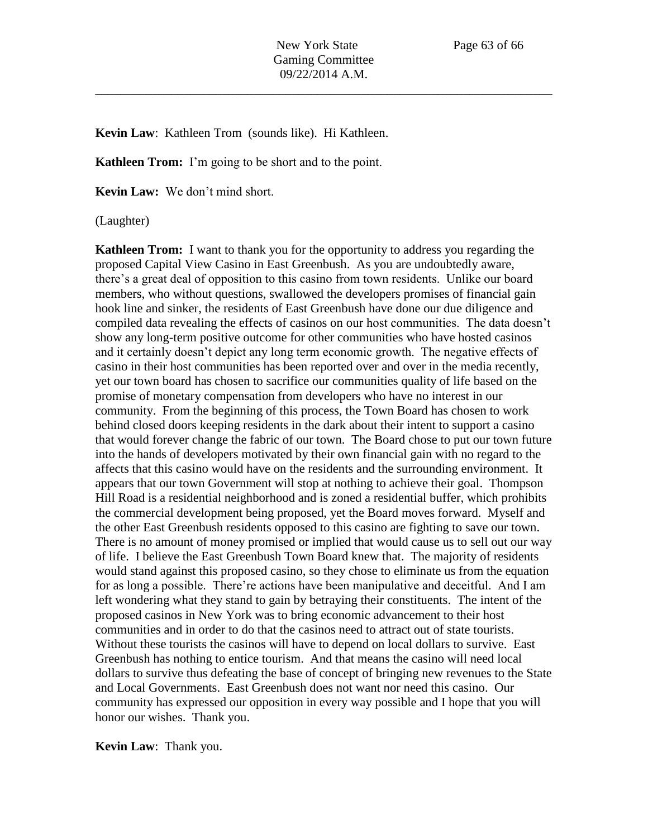**Kevin Law**: Kathleen Trom (sounds like). Hi Kathleen.

**Kathleen Trom:** I'm going to be short and to the point.

**Kevin Law:** We don't mind short.

(Laughter)

**Kathleen Trom:** I want to thank you for the opportunity to address you regarding the proposed Capital View Casino in East Greenbush. As you are undoubtedly aware, there's a great deal of opposition to this casino from town residents. Unlike our board members, who without questions, swallowed the developers promises of financial gain hook line and sinker, the residents of East Greenbush have done our due diligence and compiled data revealing the effects of casinos on our host communities. The data doesn't show any long-term positive outcome for other communities who have hosted casinos and it certainly doesn't depict any long term economic growth. The negative effects of casino in their host communities has been reported over and over in the media recently, yet our town board has chosen to sacrifice our communities quality of life based on the promise of monetary compensation from developers who have no interest in our community. From the beginning of this process, the Town Board has chosen to work behind closed doors keeping residents in the dark about their intent to support a casino that would forever change the fabric of our town. The Board chose to put our town future into the hands of developers motivated by their own financial gain with no regard to the affects that this casino would have on the residents and the surrounding environment. It appears that our town Government will stop at nothing to achieve their goal. Thompson Hill Road is a residential neighborhood and is zoned a residential buffer, which prohibits the commercial development being proposed, yet the Board moves forward. Myself and the other East Greenbush residents opposed to this casino are fighting to save our town. There is no amount of money promised or implied that would cause us to sell out our way of life. I believe the East Greenbush Town Board knew that. The majority of residents would stand against this proposed casino, so they chose to eliminate us from the equation for as long a possible. There're actions have been manipulative and deceitful. And I am left wondering what they stand to gain by betraying their constituents. The intent of the proposed casinos in New York was to bring economic advancement to their host communities and in order to do that the casinos need to attract out of state tourists. Without these tourists the casinos will have to depend on local dollars to survive. East Greenbush has nothing to entice tourism. And that means the casino will need local dollars to survive thus defeating the base of concept of bringing new revenues to the State and Local Governments. East Greenbush does not want nor need this casino. Our community has expressed our opposition in every way possible and I hope that you will honor our wishes. Thank you.

**Kevin Law**: Thank you.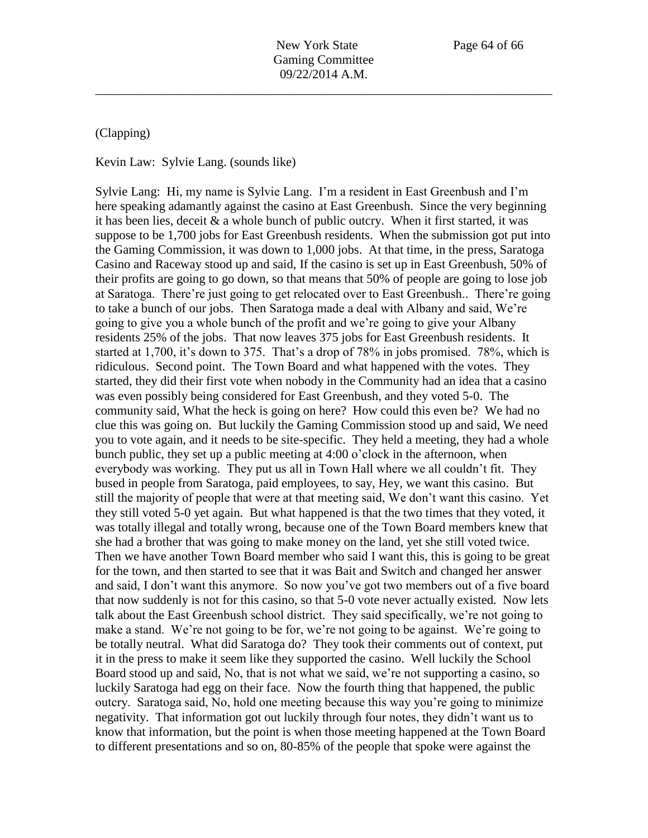### (Clapping)

Kevin Law: Sylvie Lang. (sounds like)

Sylvie Lang: Hi, my name is Sylvie Lang. I'm a resident in East Greenbush and I'm here speaking adamantly against the casino at East Greenbush. Since the very beginning it has been lies, deceit  $\&$  a whole bunch of public outcry. When it first started, it was suppose to be 1,700 jobs for East Greenbush residents. When the submission got put into the Gaming Commission, it was down to 1,000 jobs. At that time, in the press, Saratoga Casino and Raceway stood up and said, If the casino is set up in East Greenbush, 50% of their profits are going to go down, so that means that 50% of people are going to lose job at Saratoga. There're just going to get relocated over to East Greenbush.. There're going to take a bunch of our jobs. Then Saratoga made a deal with Albany and said, We're going to give you a whole bunch of the profit and we're going to give your Albany residents 25% of the jobs. That now leaves 375 jobs for East Greenbush residents. It started at 1,700, it's down to 375. That's a drop of 78% in jobs promised. 78%, which is ridiculous. Second point. The Town Board and what happened with the votes. They started, they did their first vote when nobody in the Community had an idea that a casino was even possibly being considered for East Greenbush, and they voted 5-0. The community said, What the heck is going on here? How could this even be? We had no clue this was going on. But luckily the Gaming Commission stood up and said, We need you to vote again, and it needs to be site-specific. They held a meeting, they had a whole bunch public, they set up a public meeting at 4:00 o'clock in the afternoon, when everybody was working. They put us all in Town Hall where we all couldn't fit. They bused in people from Saratoga, paid employees, to say, Hey, we want this casino. But still the majority of people that were at that meeting said, We don't want this casino. Yet they still voted 5-0 yet again. But what happened is that the two times that they voted, it was totally illegal and totally wrong, because one of the Town Board members knew that she had a brother that was going to make money on the land, yet she still voted twice. Then we have another Town Board member who said I want this, this is going to be great for the town, and then started to see that it was Bait and Switch and changed her answer and said, I don't want this anymore. So now you've got two members out of a five board that now suddenly is not for this casino, so that 5-0 vote never actually existed. Now lets talk about the East Greenbush school district. They said specifically, we're not going to make a stand. We're not going to be for, we're not going to be against. We're going to be totally neutral. What did Saratoga do? They took their comments out of context, put it in the press to make it seem like they supported the casino. Well luckily the School Board stood up and said, No, that is not what we said, we're not supporting a casino, so luckily Saratoga had egg on their face. Now the fourth thing that happened, the public outcry. Saratoga said, No, hold one meeting because this way you're going to minimize negativity. That information got out luckily through four notes, they didn't want us to know that information, but the point is when those meeting happened at the Town Board to different presentations and so on, 80-85% of the people that spoke were against the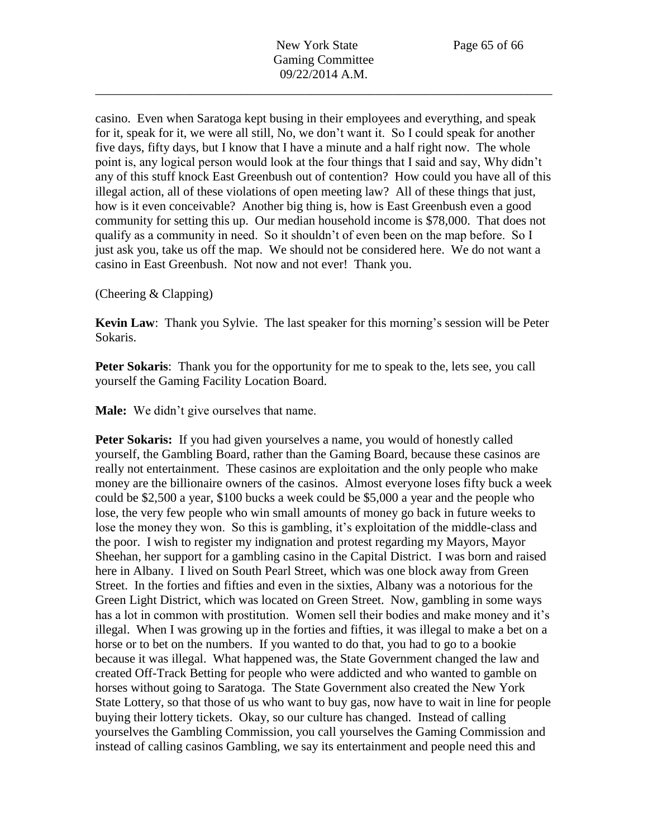casino. Even when Saratoga kept busing in their employees and everything, and speak for it, speak for it, we were all still, No, we don't want it. So I could speak for another five days, fifty days, but I know that I have a minute and a half right now. The whole point is, any logical person would look at the four things that I said and say, Why didn't any of this stuff knock East Greenbush out of contention? How could you have all of this illegal action, all of these violations of open meeting law? All of these things that just, how is it even conceivable? Another big thing is, how is East Greenbush even a good community for setting this up. Our median household income is \$78,000. That does not qualify as a community in need. So it shouldn't of even been on the map before. So I just ask you, take us off the map. We should not be considered here. We do not want a casino in East Greenbush. Not now and not ever! Thank you.

(Cheering & Clapping)

**Kevin Law**: Thank you Sylvie. The last speaker for this morning's session will be Peter Sokaris.

**Peter Sokaris:** Thank you for the opportunity for me to speak to the, lets see, you call yourself the Gaming Facility Location Board.

**Male:** We didn't give ourselves that name.

Peter Sokaris: If you had given yourselves a name, you would of honestly called yourself, the Gambling Board, rather than the Gaming Board, because these casinos are really not entertainment. These casinos are exploitation and the only people who make money are the billionaire owners of the casinos. Almost everyone loses fifty buck a week could be \$2,500 a year, \$100 bucks a week could be \$5,000 a year and the people who lose, the very few people who win small amounts of money go back in future weeks to lose the money they won. So this is gambling, it's exploitation of the middle-class and the poor. I wish to register my indignation and protest regarding my Mayors, Mayor Sheehan, her support for a gambling casino in the Capital District. I was born and raised here in Albany. I lived on South Pearl Street, which was one block away from Green Street. In the forties and fifties and even in the sixties, Albany was a notorious for the Green Light District, which was located on Green Street. Now, gambling in some ways has a lot in common with prostitution. Women sell their bodies and make money and it's illegal. When I was growing up in the forties and fifties, it was illegal to make a bet on a horse or to bet on the numbers. If you wanted to do that, you had to go to a bookie because it was illegal. What happened was, the State Government changed the law and created Off-Track Betting for people who were addicted and who wanted to gamble on horses without going to Saratoga. The State Government also created the New York State Lottery, so that those of us who want to buy gas, now have to wait in line for people buying their lottery tickets. Okay, so our culture has changed. Instead of calling yourselves the Gambling Commission, you call yourselves the Gaming Commission and instead of calling casinos Gambling, we say its entertainment and people need this and